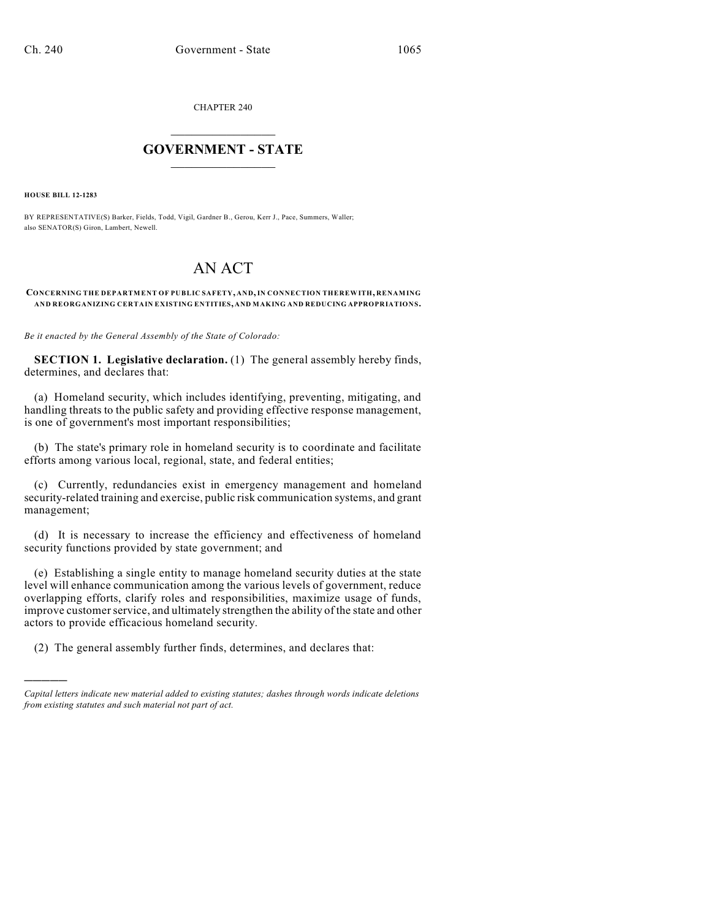CHAPTER 240

# $\mathcal{L}_\text{max}$  . The set of the set of the set of the set of the set of the set of the set of the set of the set of the set of the set of the set of the set of the set of the set of the set of the set of the set of the set **GOVERNMENT - STATE**  $\_$   $\_$   $\_$   $\_$   $\_$   $\_$   $\_$   $\_$   $\_$

**HOUSE BILL 12-1283**

)))))

BY REPRESENTATIVE(S) Barker, Fields, Todd, Vigil, Gardner B., Gerou, Kerr J., Pace, Summers, Waller; also SENATOR(S) Giron, Lambert, Newell.

# AN ACT

#### **CONCERNING THE DEPARTMENT OF PUBLIC SAFETY, AND,IN CONNECTION THEREWITH, RENAMING AND REORGANIZING CERTAIN EXISTING ENTITIES, AND MAKING AND REDUCING APPROPRIATIONS.**

*Be it enacted by the General Assembly of the State of Colorado:*

**SECTION 1. Legislative declaration.** (1) The general assembly hereby finds, determines, and declares that:

(a) Homeland security, which includes identifying, preventing, mitigating, and handling threats to the public safety and providing effective response management, is one of government's most important responsibilities;

(b) The state's primary role in homeland security is to coordinate and facilitate efforts among various local, regional, state, and federal entities;

(c) Currently, redundancies exist in emergency management and homeland security-related training and exercise, public risk communication systems, and grant management;

(d) It is necessary to increase the efficiency and effectiveness of homeland security functions provided by state government; and

(e) Establishing a single entity to manage homeland security duties at the state level will enhance communication among the various levels of government, reduce overlapping efforts, clarify roles and responsibilities, maximize usage of funds, improve customer service, and ultimately strengthen the ability of the state and other actors to provide efficacious homeland security.

(2) The general assembly further finds, determines, and declares that:

*Capital letters indicate new material added to existing statutes; dashes through words indicate deletions from existing statutes and such material not part of act.*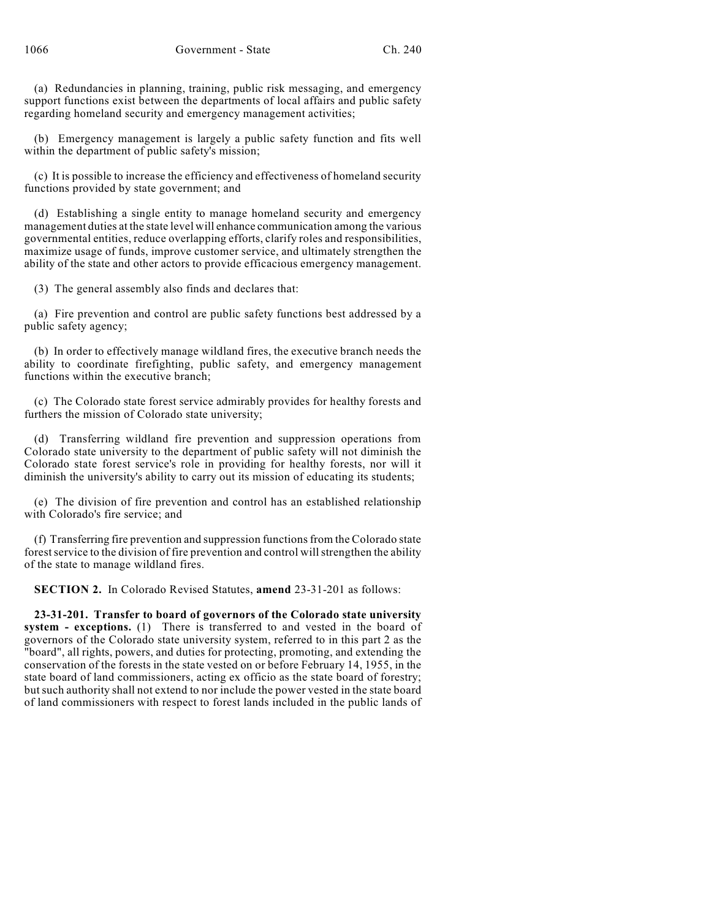(a) Redundancies in planning, training, public risk messaging, and emergency support functions exist between the departments of local affairs and public safety regarding homeland security and emergency management activities;

(b) Emergency management is largely a public safety function and fits well within the department of public safety's mission;

(c) It is possible to increase the efficiency and effectiveness of homeland security functions provided by state government; and

(d) Establishing a single entity to manage homeland security and emergency management duties at the state level will enhance communication among the various governmental entities, reduce overlapping efforts, clarify roles and responsibilities, maximize usage of funds, improve customer service, and ultimately strengthen the ability of the state and other actors to provide efficacious emergency management.

(3) The general assembly also finds and declares that:

(a) Fire prevention and control are public safety functions best addressed by a public safety agency;

(b) In order to effectively manage wildland fires, the executive branch needs the ability to coordinate firefighting, public safety, and emergency management functions within the executive branch;

(c) The Colorado state forest service admirably provides for healthy forests and furthers the mission of Colorado state university;

(d) Transferring wildland fire prevention and suppression operations from Colorado state university to the department of public safety will not diminish the Colorado state forest service's role in providing for healthy forests, nor will it diminish the university's ability to carry out its mission of educating its students;

(e) The division of fire prevention and control has an established relationship with Colorado's fire service; and

(f) Transferring fire prevention and suppression functionsfrom the Colorado state forest service to the division of fire prevention and control will strengthen the ability of the state to manage wildland fires.

**SECTION 2.** In Colorado Revised Statutes, **amend** 23-31-201 as follows:

**23-31-201. Transfer to board of governors of the Colorado state university system - exceptions.** (1) There is transferred to and vested in the board of governors of the Colorado state university system, referred to in this part 2 as the "board", all rights, powers, and duties for protecting, promoting, and extending the conservation of the forests in the state vested on or before February 14, 1955, in the state board of land commissioners, acting ex officio as the state board of forestry; butsuch authority shall not extend to nor include the power vested in the state board of land commissioners with respect to forest lands included in the public lands of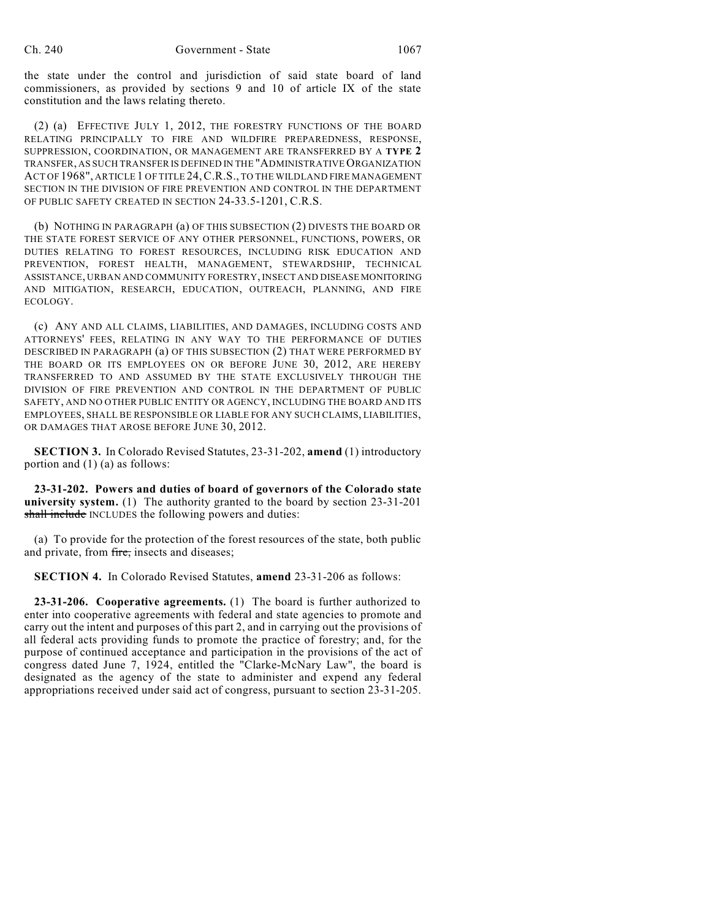the state under the control and jurisdiction of said state board of land commissioners, as provided by sections 9 and 10 of article IX of the state constitution and the laws relating thereto.

(2) (a) EFFECTIVE JULY 1, 2012, THE FORESTRY FUNCTIONS OF THE BOARD RELATING PRINCIPALLY TO FIRE AND WILDFIRE PREPAREDNESS, RESPONSE, SUPPRESSION, COORDINATION, OR MANAGEMENT ARE TRANSFERRED BY A **TYPE 2** TRANSFER, AS SUCH TRANSFER IS DEFINED IN THE "ADMINISTRATIVE ORGANIZATION ACT OF 1968", ARTICLE 1 OF TITLE 24,C.R.S., TO THE WILDLAND FIRE MANAGEMENT SECTION IN THE DIVISION OF FIRE PREVENTION AND CONTROL IN THE DEPARTMENT OF PUBLIC SAFETY CREATED IN SECTION 24-33.5-1201, C.R.S.

(b) NOTHING IN PARAGRAPH (a) OF THIS SUBSECTION (2) DIVESTS THE BOARD OR THE STATE FOREST SERVICE OF ANY OTHER PERSONNEL, FUNCTIONS, POWERS, OR DUTIES RELATING TO FOREST RESOURCES, INCLUDING RISK EDUCATION AND PREVENTION, FOREST HEALTH, MANAGEMENT, STEWARDSHIP, TECHNICAL ASSISTANCE, URBAN AND COMMUNITY FORESTRY, INSECT AND DISEASE MONITORING AND MITIGATION, RESEARCH, EDUCATION, OUTREACH, PLANNING, AND FIRE ECOLOGY.

(c) ANY AND ALL CLAIMS, LIABILITIES, AND DAMAGES, INCLUDING COSTS AND ATTORNEYS' FEES, RELATING IN ANY WAY TO THE PERFORMANCE OF DUTIES DESCRIBED IN PARAGRAPH (a) OF THIS SUBSECTION (2) THAT WERE PERFORMED BY THE BOARD OR ITS EMPLOYEES ON OR BEFORE JUNE 30, 2012, ARE HEREBY TRANSFERRED TO AND ASSUMED BY THE STATE EXCLUSIVELY THROUGH THE DIVISION OF FIRE PREVENTION AND CONTROL IN THE DEPARTMENT OF PUBLIC SAFETY, AND NO OTHER PUBLIC ENTITY OR AGENCY, INCLUDING THE BOARD AND ITS EMPLOYEES, SHALL BE RESPONSIBLE OR LIABLE FOR ANY SUCH CLAIMS, LIABILITIES, OR DAMAGES THAT AROSE BEFORE JUNE 30, 2012.

**SECTION 3.** In Colorado Revised Statutes, 23-31-202, **amend** (1) introductory portion and (1) (a) as follows:

**23-31-202. Powers and duties of board of governors of the Colorado state university system.** (1) The authority granted to the board by section 23-31-201 shall include INCLUDES the following powers and duties:

(a) To provide for the protection of the forest resources of the state, both public and private, from fire, insects and diseases;

**SECTION 4.** In Colorado Revised Statutes, **amend** 23-31-206 as follows:

**23-31-206. Cooperative agreements.** (1) The board is further authorized to enter into cooperative agreements with federal and state agencies to promote and carry out the intent and purposes of this part 2, and in carrying out the provisions of all federal acts providing funds to promote the practice of forestry; and, for the purpose of continued acceptance and participation in the provisions of the act of congress dated June 7, 1924, entitled the "Clarke-McNary Law", the board is designated as the agency of the state to administer and expend any federal appropriations received under said act of congress, pursuant to section 23-31-205.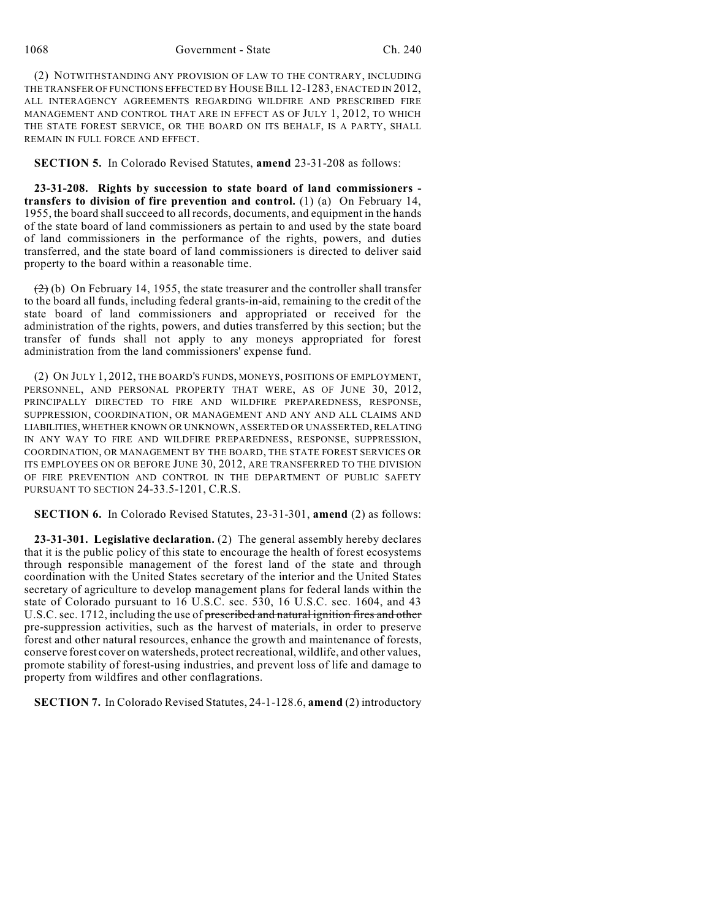1068 Government - State Ch. 240

(2) NOTWITHSTANDING ANY PROVISION OF LAW TO THE CONTRARY, INCLUDING THE TRANSFER OF FUNCTIONS EFFECTED BY HOUSE BILL 12-1283, ENACTED IN 2012, ALL INTERAGENCY AGREEMENTS REGARDING WILDFIRE AND PRESCRIBED FIRE MANAGEMENT AND CONTROL THAT ARE IN EFFECT AS OF JULY 1, 2012, TO WHICH THE STATE FOREST SERVICE, OR THE BOARD ON ITS BEHALF, IS A PARTY, SHALL REMAIN IN FULL FORCE AND EFFECT.

**SECTION 5.** In Colorado Revised Statutes, **amend** 23-31-208 as follows:

**23-31-208. Rights by succession to state board of land commissioners transfers to division of fire prevention and control.** (1) (a) On February 14, 1955, the board shallsucceed to all records, documents, and equipment in the hands of the state board of land commissioners as pertain to and used by the state board of land commissioners in the performance of the rights, powers, and duties transferred, and the state board of land commissioners is directed to deliver said property to the board within a reasonable time.

 $(2)$  (b) On February 14, 1955, the state treasurer and the controller shall transfer to the board all funds, including federal grants-in-aid, remaining to the credit of the state board of land commissioners and appropriated or received for the administration of the rights, powers, and duties transferred by this section; but the transfer of funds shall not apply to any moneys appropriated for forest administration from the land commissioners' expense fund.

(2) ON JULY 1, 2012, THE BOARD'S FUNDS, MONEYS, POSITIONS OF EMPLOYMENT, PERSONNEL, AND PERSONAL PROPERTY THAT WERE, AS OF JUNE 30, 2012, PRINCIPALLY DIRECTED TO FIRE AND WILDFIRE PREPAREDNESS, RESPONSE, SUPPRESSION, COORDINATION, OR MANAGEMENT AND ANY AND ALL CLAIMS AND LIABILITIES,WHETHER KNOWN OR UNKNOWN, ASSERTED OR UNASSERTED, RELATING IN ANY WAY TO FIRE AND WILDFIRE PREPAREDNESS, RESPONSE, SUPPRESSION, COORDINATION, OR MANAGEMENT BY THE BOARD, THE STATE FOREST SERVICES OR ITS EMPLOYEES ON OR BEFORE JUNE 30, 2012, ARE TRANSFERRED TO THE DIVISION OF FIRE PREVENTION AND CONTROL IN THE DEPARTMENT OF PUBLIC SAFETY PURSUANT TO SECTION 24-33.5-1201, C.R.S.

**SECTION 6.** In Colorado Revised Statutes, 23-31-301, **amend** (2) as follows:

**23-31-301. Legislative declaration.** (2) The general assembly hereby declares that it is the public policy of this state to encourage the health of forest ecosystems through responsible management of the forest land of the state and through coordination with the United States secretary of the interior and the United States secretary of agriculture to develop management plans for federal lands within the state of Colorado pursuant to 16 U.S.C. sec. 530, 16 U.S.C. sec. 1604, and 43 U.S.C. sec. 1712, including the use of prescribed and natural ignition fires and other pre-suppression activities, such as the harvest of materials, in order to preserve forest and other natural resources, enhance the growth and maintenance of forests, conserve forest cover on watersheds, protect recreational, wildlife, and other values, promote stability of forest-using industries, and prevent loss of life and damage to property from wildfires and other conflagrations.

**SECTION 7.** In Colorado Revised Statutes, 24-1-128.6, **amend** (2) introductory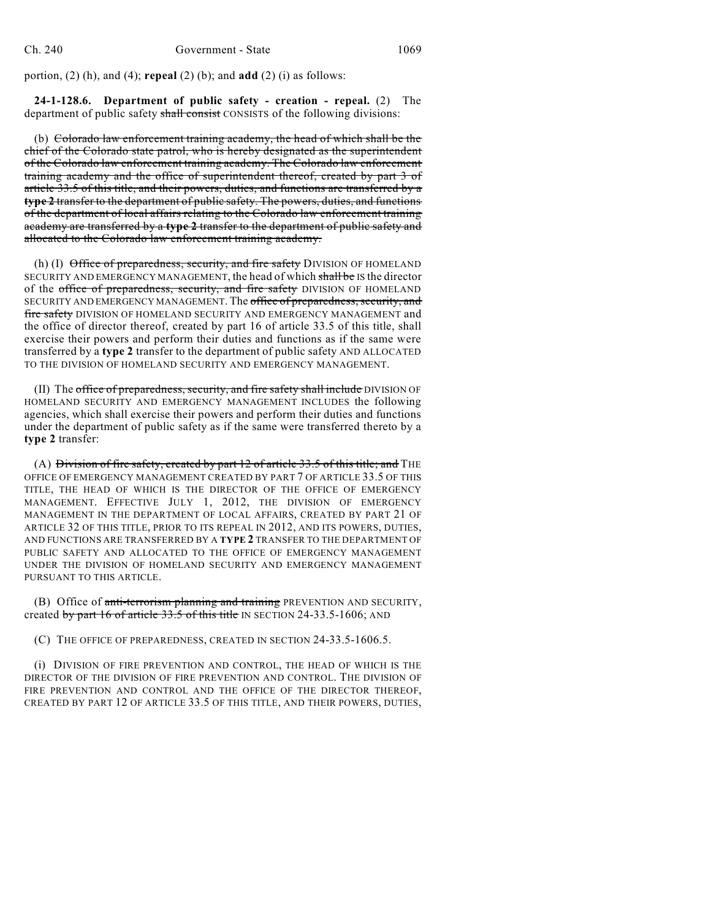portion, (2) (h), and (4); **repeal** (2) (b); and **add** (2) (i) as follows:

**24-1-128.6. Department of public safety - creation - repeal.** (2) The department of public safety shall consist CONSISTS of the following divisions:

(b) Colorado law enforcement training academy, the head of which shall be the chief of the Colorado state patrol, who is hereby designated as the superintendent of the Colorado law enforcement training academy. The Colorado law enforcement training academy and the office of superintendent thereof, created by part 3 of article 33.5 of this title, and their powers, duties, and functions are transferred by a **type 2** transfer to the department of public safety. The powers, duties, and functions of the department of local affairs relating to the Colorado law enforcement training academy are transferred by a **type 2** transfer to the department of public safety and allocated to the Colorado law enforcement training academy.

(h) (I)  $\Theta$ ffice of preparedness, security, and fire safety DIVISION OF HOMELAND SECURITY AND EMERGENCY MANAGEMENT, the head of which shall be IS the director of the office of preparedness, security, and fire safety DIVISION OF HOMELAND SECURITY AND EMERGENCY MANAGEMENT. The office of preparedness, security, and fire safety DIVISION OF HOMELAND SECURITY AND EMERGENCY MANAGEMENT and the office of director thereof, created by part 16 of article 33.5 of this title, shall exercise their powers and perform their duties and functions as if the same were transferred by a **type 2** transfer to the department of public safety AND ALLOCATED TO THE DIVISION OF HOMELAND SECURITY AND EMERGENCY MANAGEMENT.

(II) The office of preparedness, security, and fire safety shall include DIVISION OF HOMELAND SECURITY AND EMERGENCY MANAGEMENT INCLUDES the following agencies, which shall exercise their powers and perform their duties and functions under the department of public safety as if the same were transferred thereto by a **type 2** transfer:

(A) Division of fire safety, created by part  $12$  of article  $33.5$  of this title; and THE OFFICE OF EMERGENCY MANAGEMENT CREATED BY PART 7 OF ARTICLE 33.5 OF THIS TITLE, THE HEAD OF WHICH IS THE DIRECTOR OF THE OFFICE OF EMERGENCY MANAGEMENT. EFFECTIVE JULY 1, 2012, THE DIVISION OF EMERGENCY MANAGEMENT IN THE DEPARTMENT OF LOCAL AFFAIRS, CREATED BY PART 21 OF ARTICLE 32 OF THIS TITLE, PRIOR TO ITS REPEAL IN 2012, AND ITS POWERS, DUTIES, AND FUNCTIONS ARE TRANSFERRED BY A **TYPE 2** TRANSFER TO THE DEPARTMENT OF PUBLIC SAFETY AND ALLOCATED TO THE OFFICE OF EMERGENCY MANAGEMENT UNDER THE DIVISION OF HOMELAND SECURITY AND EMERGENCY MANAGEMENT PURSUANT TO THIS ARTICLE.

(B) Office of anti-terrorism planning and training PREVENTION AND SECURITY, created by part 16 of article  $33.5$  of this title IN SECTION 24-33.5-1606; AND

(C) THE OFFICE OF PREPAREDNESS, CREATED IN SECTION 24-33.5-1606.5.

(i) DIVISION OF FIRE PREVENTION AND CONTROL, THE HEAD OF WHICH IS THE DIRECTOR OF THE DIVISION OF FIRE PREVENTION AND CONTROL. THE DIVISION OF FIRE PREVENTION AND CONTROL AND THE OFFICE OF THE DIRECTOR THEREOF, CREATED BY PART 12 OF ARTICLE 33.5 OF THIS TITLE, AND THEIR POWERS, DUTIES,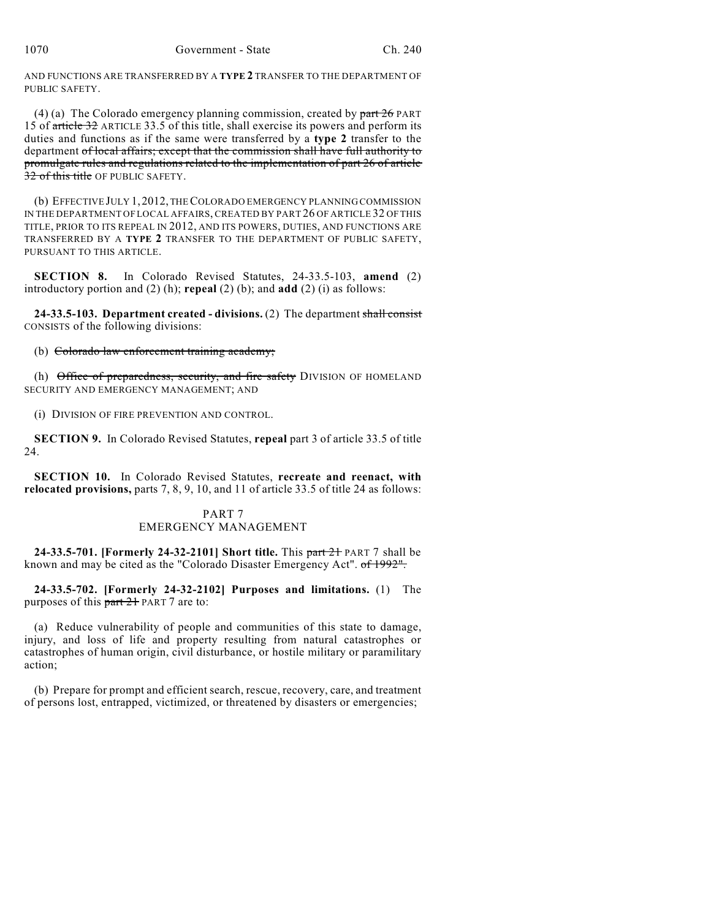AND FUNCTIONS ARE TRANSFERRED BY A **TYPE 2** TRANSFER TO THE DEPARTMENT OF PUBLIC SAFETY.

(4) (a) The Colorado emergency planning commission, created by  $part 26$  PART 15 of article 32 ARTICLE 33.5 of this title, shall exercise its powers and perform its duties and functions as if the same were transferred by a **type 2** transfer to the department of local affairs; except that the commission shall have full authority to promulgate rules and regulations related to the implementation of part 26 of article 32 of this title OF PUBLIC SAFETY.

(b) EFFECTIVE JULY 1,2012, THECOLORADO EMERGENCY PLANNING COMMISSION IN THE DEPARTMENT OF LOCAL AFFAIRS, CREATED BY PART 26 OF ARTICLE 32 OF THIS TITLE, PRIOR TO ITS REPEAL IN 2012, AND ITS POWERS, DUTIES, AND FUNCTIONS ARE TRANSFERRED BY A **TYPE 2** TRANSFER TO THE DEPARTMENT OF PUBLIC SAFETY, PURSUANT TO THIS ARTICLE.

**SECTION 8.** In Colorado Revised Statutes, 24-33.5-103, **amend** (2) introductory portion and (2) (h); **repeal** (2) (b); and **add** (2) (i) as follows:

**24-33.5-103. Department created - divisions.** (2) The department shall consist CONSISTS of the following divisions:

(b) Colorado law enforcement training academy;

(h) Office of preparedness, security, and fire safety DIVISION OF HOMELAND SECURITY AND EMERGENCY MANAGEMENT; AND

(i) DIVISION OF FIRE PREVENTION AND CONTROL.

**SECTION 9.** In Colorado Revised Statutes, **repeal** part 3 of article 33.5 of title  $24.$ 

**SECTION 10.** In Colorado Revised Statutes, **recreate and reenact, with relocated provisions,** parts 7, 8, 9, 10, and 11 of article 33.5 of title 24 as follows:

# PART 7 EMERGENCY MANAGEMENT

**24-33.5-701. [Formerly 24-32-2101] Short title.** This part 21 PART 7 shall be known and may be cited as the "Colorado Disaster Emergency Act". of 1992".

**24-33.5-702. [Formerly 24-32-2102] Purposes and limitations.** (1) The purposes of this part 21 PART 7 are to:

(a) Reduce vulnerability of people and communities of this state to damage, injury, and loss of life and property resulting from natural catastrophes or catastrophes of human origin, civil disturbance, or hostile military or paramilitary action;

(b) Prepare for prompt and efficient search, rescue, recovery, care, and treatment of persons lost, entrapped, victimized, or threatened by disasters or emergencies;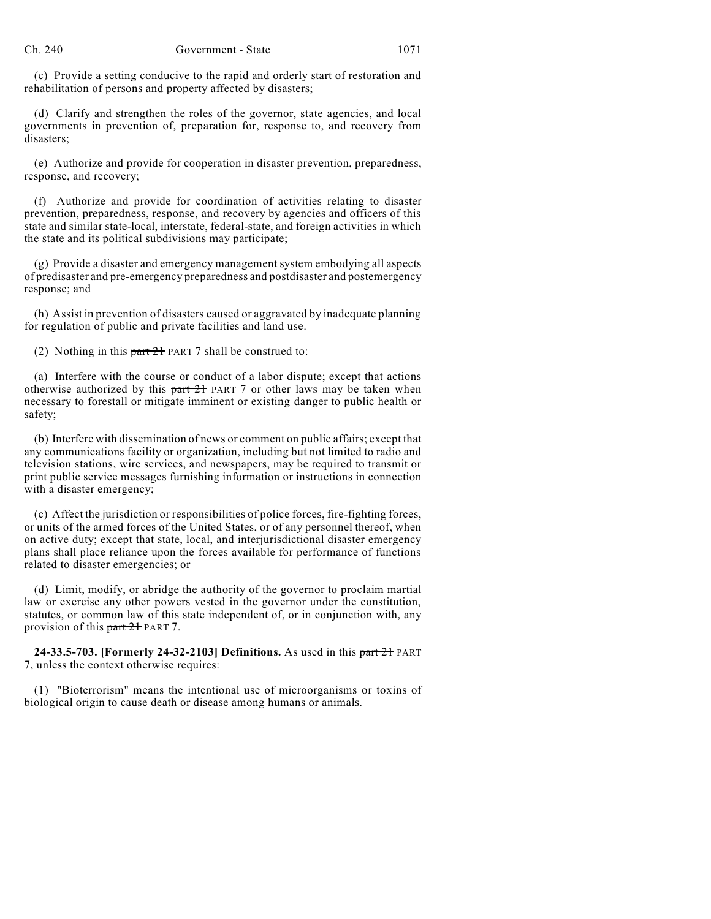(c) Provide a setting conducive to the rapid and orderly start of restoration and rehabilitation of persons and property affected by disasters;

(d) Clarify and strengthen the roles of the governor, state agencies, and local governments in prevention of, preparation for, response to, and recovery from disasters;

(e) Authorize and provide for cooperation in disaster prevention, preparedness, response, and recovery;

(f) Authorize and provide for coordination of activities relating to disaster prevention, preparedness, response, and recovery by agencies and officers of this state and similar state-local, interstate, federal-state, and foreign activities in which the state and its political subdivisions may participate;

(g) Provide a disaster and emergency management system embodying all aspects of predisaster and pre-emergency preparedness and postdisaster and postemergency response; and

(h) Assist in prevention of disasters caused or aggravated by inadequate planning for regulation of public and private facilities and land use.

(2) Nothing in this  $part 21$  PART 7 shall be construed to:

(a) Interfere with the course or conduct of a labor dispute; except that actions otherwise authorized by this  $part 21$  PART 7 or other laws may be taken when necessary to forestall or mitigate imminent or existing danger to public health or safety;

(b) Interfere with dissemination of news or comment on public affairs; except that any communications facility or organization, including but not limited to radio and television stations, wire services, and newspapers, may be required to transmit or print public service messages furnishing information or instructions in connection with a disaster emergency;

(c) Affect the jurisdiction or responsibilities of police forces, fire-fighting forces, or units of the armed forces of the United States, or of any personnel thereof, when on active duty; except that state, local, and interjurisdictional disaster emergency plans shall place reliance upon the forces available for performance of functions related to disaster emergencies; or

(d) Limit, modify, or abridge the authority of the governor to proclaim martial law or exercise any other powers vested in the governor under the constitution, statutes, or common law of this state independent of, or in conjunction with, any provision of this part 21 PART 7.

**24-33.5-703. [Formerly 24-32-2103] Definitions.** As used in this part 21 PART 7, unless the context otherwise requires:

(1) "Bioterrorism" means the intentional use of microorganisms or toxins of biological origin to cause death or disease among humans or animals.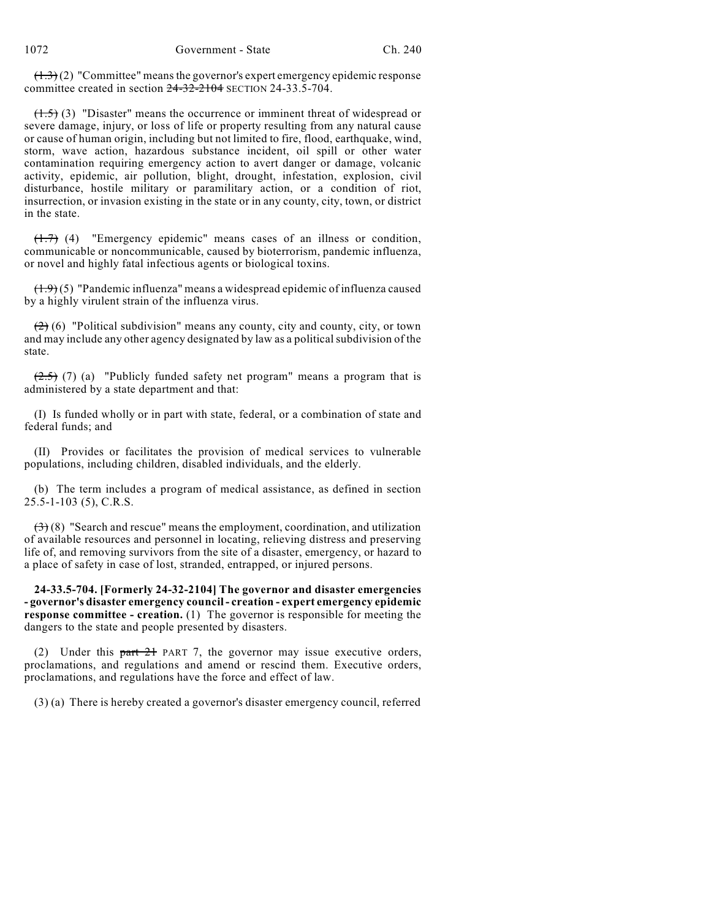$(1.3)(2)$  "Committee" means the governor's expert emergency epidemic response committee created in section 24-32-2104 SECTION 24-33.5-704.

 $(1.5)$  (3) "Disaster" means the occurrence or imminent threat of widespread or severe damage, injury, or loss of life or property resulting from any natural cause or cause of human origin, including but not limited to fire, flood, earthquake, wind, storm, wave action, hazardous substance incident, oil spill or other water contamination requiring emergency action to avert danger or damage, volcanic activity, epidemic, air pollution, blight, drought, infestation, explosion, civil disturbance, hostile military or paramilitary action, or a condition of riot, insurrection, or invasion existing in the state or in any county, city, town, or district in the state.

(1.7) (4) "Emergency epidemic" means cases of an illness or condition, communicable or noncommunicable, caused by bioterrorism, pandemic influenza, or novel and highly fatal infectious agents or biological toxins.

 $(1.9)(5)$  "Pandemic influenza" means a widespread epidemic of influenza caused by a highly virulent strain of the influenza virus.

 $(2)$  (6) "Political subdivision" means any county, city and county, city, or town and may include any other agency designated by law as a political subdivision of the state.

 $(2.5)$  (7) (a) "Publicly funded safety net program" means a program that is administered by a state department and that:

(I) Is funded wholly or in part with state, federal, or a combination of state and federal funds; and

(II) Provides or facilitates the provision of medical services to vulnerable populations, including children, disabled individuals, and the elderly.

(b) The term includes a program of medical assistance, as defined in section 25.5-1-103 (5), C.R.S.

 $(3)$  (8) "Search and rescue" means the employment, coordination, and utilization of available resources and personnel in locating, relieving distress and preserving life of, and removing survivors from the site of a disaster, emergency, or hazard to a place of safety in case of lost, stranded, entrapped, or injured persons.

**24-33.5-704. [Formerly 24-32-2104] The governor and disaster emergencies - governor's disaster emergency council - creation - expert emergency epidemic response committee - creation.** (1) The governor is responsible for meeting the dangers to the state and people presented by disasters.

(2) Under this part 21 PART 7, the governor may issue executive orders, proclamations, and regulations and amend or rescind them. Executive orders, proclamations, and regulations have the force and effect of law.

(3) (a) There is hereby created a governor's disaster emergency council, referred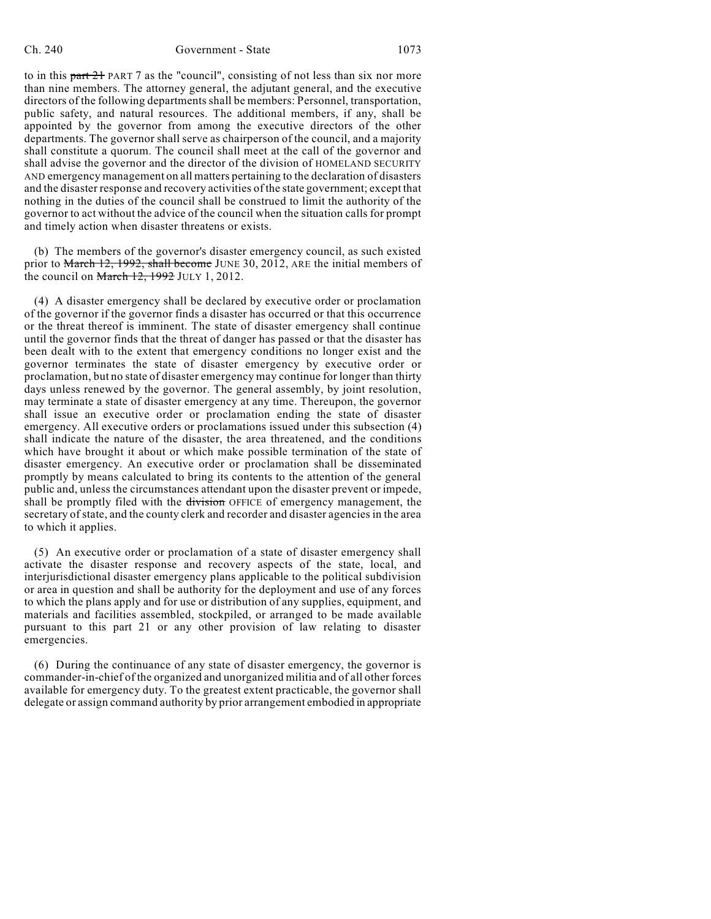#### Ch. 240 Government - State 1073

to in this part 21 PART 7 as the "council", consisting of not less than six nor more than nine members. The attorney general, the adjutant general, and the executive directors of the following departments shall be members: Personnel, transportation, public safety, and natural resources. The additional members, if any, shall be appointed by the governor from among the executive directors of the other departments. The governor shall serve as chairperson of the council, and a majority shall constitute a quorum. The council shall meet at the call of the governor and shall advise the governor and the director of the division of HOMELAND SECURITY AND emergency management on all matters pertaining to the declaration of disasters and the disaster response and recovery activities of the state government; except that nothing in the duties of the council shall be construed to limit the authority of the governor to act without the advice of the council when the situation calls for prompt and timely action when disaster threatens or exists.

(b) The members of the governor's disaster emergency council, as such existed prior to March 12, 1992, shall become JUNE 30, 2012, ARE the initial members of the council on  $\frac{\text{March }12, 1992 \text{ JULY }1, 2012.}$ 

(4) A disaster emergency shall be declared by executive order or proclamation of the governor if the governor finds a disaster has occurred or that this occurrence or the threat thereof is imminent. The state of disaster emergency shall continue until the governor finds that the threat of danger has passed or that the disaster has been dealt with to the extent that emergency conditions no longer exist and the governor terminates the state of disaster emergency by executive order or proclamation, but no state of disaster emergency may continue for longer than thirty days unless renewed by the governor. The general assembly, by joint resolution, may terminate a state of disaster emergency at any time. Thereupon, the governor shall issue an executive order or proclamation ending the state of disaster emergency. All executive orders or proclamations issued under this subsection (4) shall indicate the nature of the disaster, the area threatened, and the conditions which have brought it about or which make possible termination of the state of disaster emergency. An executive order or proclamation shall be disseminated promptly by means calculated to bring its contents to the attention of the general public and, unless the circumstances attendant upon the disaster prevent or impede, shall be promptly filed with the division OFFICE of emergency management, the secretary of state, and the county clerk and recorder and disaster agenciesin the area to which it applies.

(5) An executive order or proclamation of a state of disaster emergency shall activate the disaster response and recovery aspects of the state, local, and interjurisdictional disaster emergency plans applicable to the political subdivision or area in question and shall be authority for the deployment and use of any forces to which the plans apply and for use or distribution of any supplies, equipment, and materials and facilities assembled, stockpiled, or arranged to be made available pursuant to this part 21 or any other provision of law relating to disaster emergencies.

(6) During the continuance of any state of disaster emergency, the governor is commander-in-chief of the organized and unorganized militia and of all other forces available for emergency duty. To the greatest extent practicable, the governor shall delegate or assign command authority by prior arrangement embodied in appropriate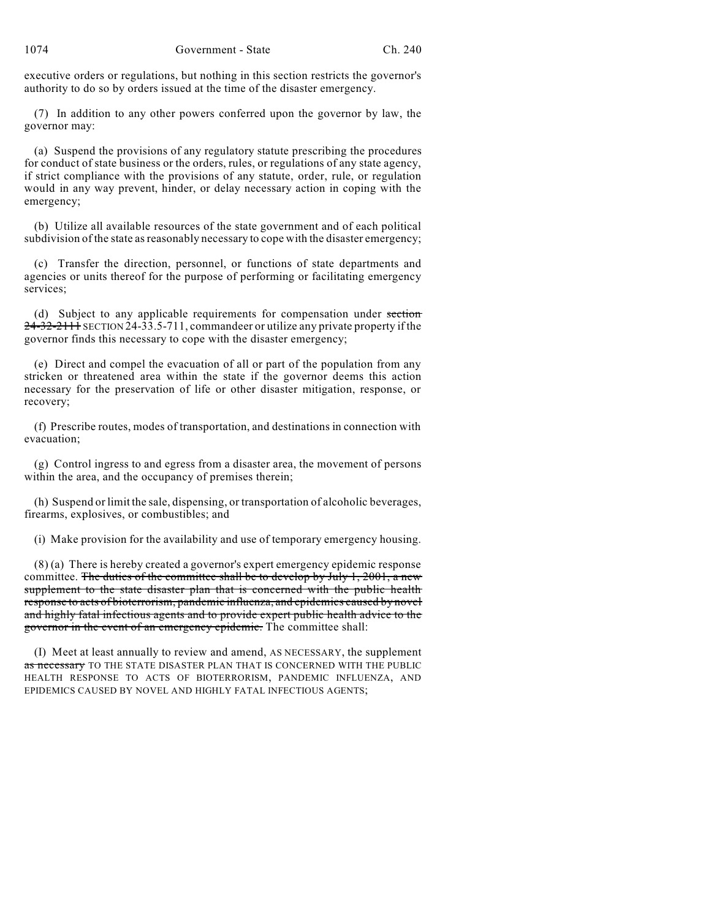executive orders or regulations, but nothing in this section restricts the governor's authority to do so by orders issued at the time of the disaster emergency.

(7) In addition to any other powers conferred upon the governor by law, the governor may:

(a) Suspend the provisions of any regulatory statute prescribing the procedures for conduct of state business or the orders, rules, or regulations of any state agency, if strict compliance with the provisions of any statute, order, rule, or regulation would in any way prevent, hinder, or delay necessary action in coping with the emergency;

(b) Utilize all available resources of the state government and of each political subdivision of the state asreasonably necessary to cope with the disaster emergency;

(c) Transfer the direction, personnel, or functions of state departments and agencies or units thereof for the purpose of performing or facilitating emergency services;

(d) Subject to any applicable requirements for compensation under section  $24-32-2111$  SECTION 24-33.5-711, commandeer or utilize any private property if the governor finds this necessary to cope with the disaster emergency;

(e) Direct and compel the evacuation of all or part of the population from any stricken or threatened area within the state if the governor deems this action necessary for the preservation of life or other disaster mitigation, response, or recovery;

(f) Prescribe routes, modes of transportation, and destinations in connection with evacuation;

(g) Control ingress to and egress from a disaster area, the movement of persons within the area, and the occupancy of premises therein;

(h) Suspend or limit the sale, dispensing, or transportation of alcoholic beverages, firearms, explosives, or combustibles; and

(i) Make provision for the availability and use of temporary emergency housing.

(8) (a) There is hereby created a governor's expert emergency epidemic response committee. The duties of the committee shall be to develop by July 1, 2001, a new supplement to the state disaster plan that is concerned with the public health response to acts of bioterrorism, pandemic influenza, and epidemics caused by novel and highly fatal infectious agents and to provide expert public health advice to the governor in the event of an emergency epidemic. The committee shall:

(I) Meet at least annually to review and amend, AS NECESSARY, the supplement as necessary TO THE STATE DISASTER PLAN THAT IS CONCERNED WITH THE PUBLIC HEALTH RESPONSE TO ACTS OF BIOTERRORISM, PANDEMIC INFLUENZA, AND EPIDEMICS CAUSED BY NOVEL AND HIGHLY FATAL INFECTIOUS AGENTS;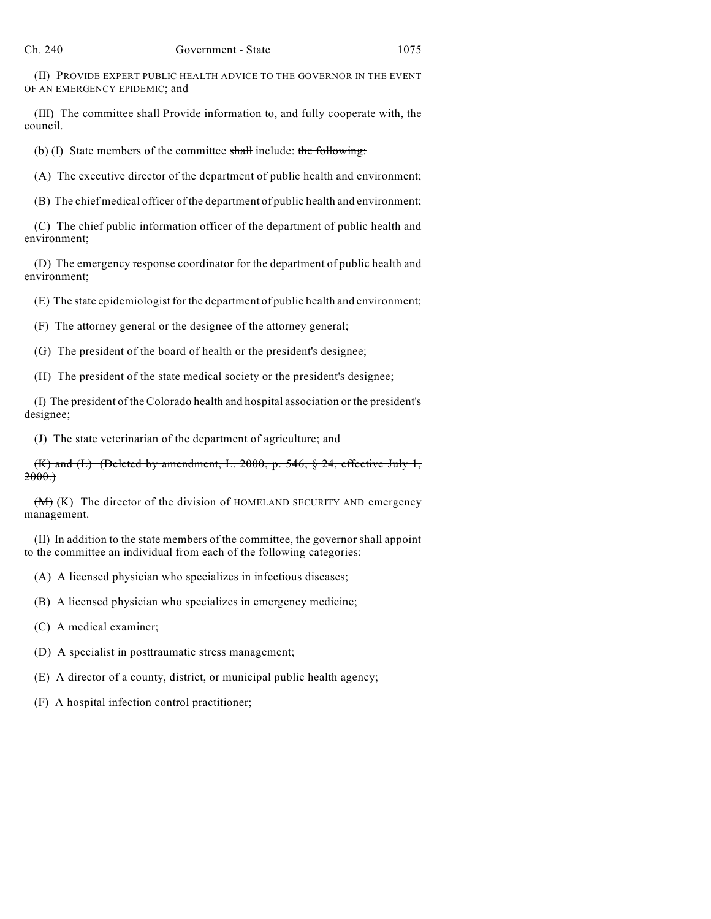(II) PROVIDE EXPERT PUBLIC HEALTH ADVICE TO THE GOVERNOR IN THE EVENT OF AN EMERGENCY EPIDEMIC; and

(III) The committee shall Provide information to, and fully cooperate with, the council.

(b) (I) State members of the committee  $shall$  include: the following:

(A) The executive director of the department of public health and environment;

(B) The chief medical officer of the department of public health and environment;

(C) The chief public information officer of the department of public health and environment;

(D) The emergency response coordinator for the department of public health and environment;

(E) The state epidemiologist for the department of public health and environment;

(F) The attorney general or the designee of the attorney general;

(G) The president of the board of health or the president's designee;

(H) The president of the state medical society or the president's designee;

(I) The president of the Colorado health and hospital association or the president's designee;

(J) The state veterinarian of the department of agriculture; and

(K) and (L) (Deleted by amendment, L. 2000, p. 546,  $\S$  24, effective July 1,  $2000.$ 

 $(M)$  (K) The director of the division of HOMELAND SECURITY AND emergency management.

(II) In addition to the state members of the committee, the governor shall appoint to the committee an individual from each of the following categories:

(A) A licensed physician who specializes in infectious diseases;

(B) A licensed physician who specializes in emergency medicine;

(C) A medical examiner;

(D) A specialist in posttraumatic stress management;

(E) A director of a county, district, or municipal public health agency;

(F) A hospital infection control practitioner;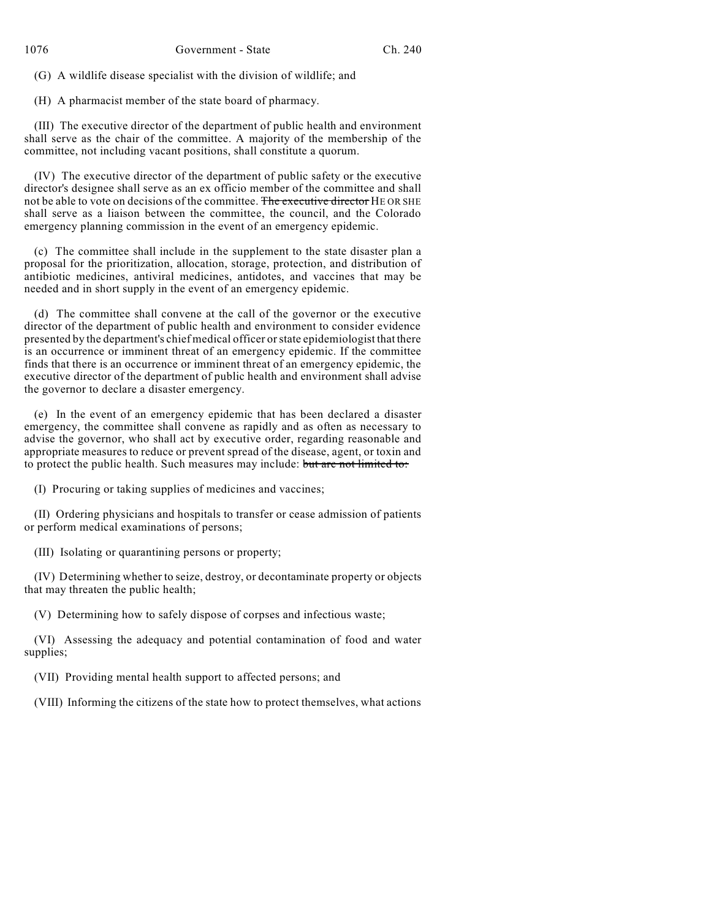(G) A wildlife disease specialist with the division of wildlife; and

(H) A pharmacist member of the state board of pharmacy.

(III) The executive director of the department of public health and environment shall serve as the chair of the committee. A majority of the membership of the committee, not including vacant positions, shall constitute a quorum.

(IV) The executive director of the department of public safety or the executive director's designee shall serve as an ex officio member of the committee and shall not be able to vote on decisions of the committee. The executive director HE OR SHE shall serve as a liaison between the committee, the council, and the Colorado emergency planning commission in the event of an emergency epidemic.

(c) The committee shall include in the supplement to the state disaster plan a proposal for the prioritization, allocation, storage, protection, and distribution of antibiotic medicines, antiviral medicines, antidotes, and vaccines that may be needed and in short supply in the event of an emergency epidemic.

(d) The committee shall convene at the call of the governor or the executive director of the department of public health and environment to consider evidence presented by the department's chief medical officer orstate epidemiologist that there is an occurrence or imminent threat of an emergency epidemic. If the committee finds that there is an occurrence or imminent threat of an emergency epidemic, the executive director of the department of public health and environment shall advise the governor to declare a disaster emergency.

(e) In the event of an emergency epidemic that has been declared a disaster emergency, the committee shall convene as rapidly and as often as necessary to advise the governor, who shall act by executive order, regarding reasonable and appropriate measures to reduce or prevent spread of the disease, agent, or toxin and to protect the public health. Such measures may include: but are not limited to:

(I) Procuring or taking supplies of medicines and vaccines;

(II) Ordering physicians and hospitals to transfer or cease admission of patients or perform medical examinations of persons;

(III) Isolating or quarantining persons or property;

(IV) Determining whether to seize, destroy, or decontaminate property or objects that may threaten the public health;

(V) Determining how to safely dispose of corpses and infectious waste;

(VI) Assessing the adequacy and potential contamination of food and water supplies;

(VII) Providing mental health support to affected persons; and

(VIII) Informing the citizens of the state how to protect themselves, what actions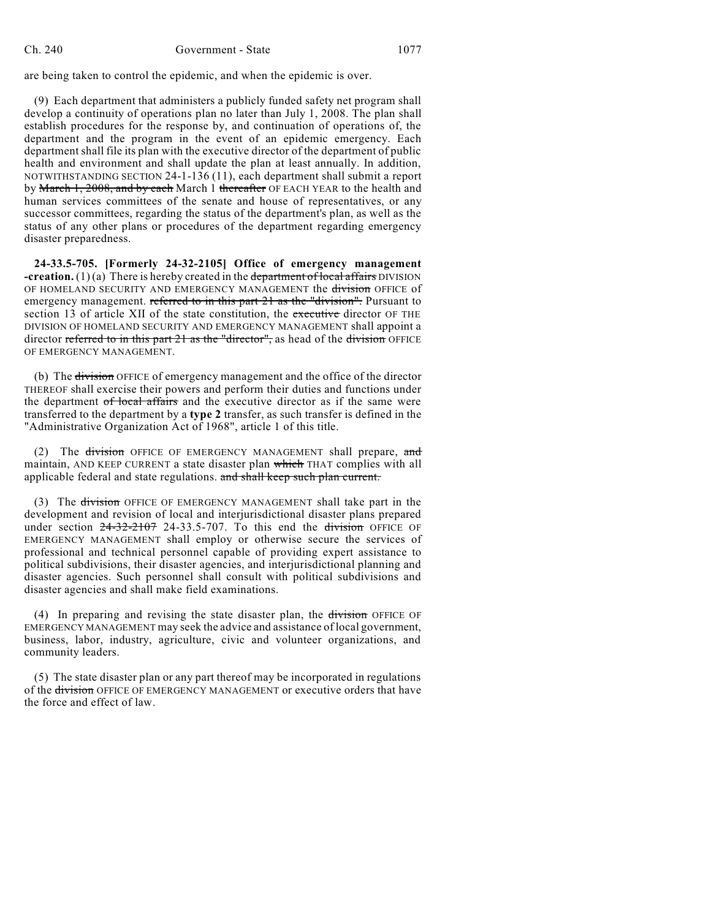are being taken to control the epidemic, and when the epidemic is over.

(9) Each department that administers a publicly funded safety net program shall develop a continuity of operations plan no later than July 1, 2008. The plan shall establish procedures for the response by, and continuation of operations of, the department and the program in the event of an epidemic emergency. Each department shall file its plan with the executive director of the department of public health and environment and shall update the plan at least annually. In addition, NOTWITHSTANDING SECTION 24-1-136 (11), each department shall submit a report by March 1, 2008, and by each March 1 thereafter OF EACH YEAR to the health and human services committees of the senate and house of representatives, or any successor committees, regarding the status of the department's plan, as well as the status of any other plans or procedures of the department regarding emergency disaster preparedness.

**24-33.5-705. [Formerly 24-32-2105] Office of emergency management -creation.** (1)(a) There is hereby created in the department of local affairs DIVISION OF HOMELAND SECURITY AND EMERGENCY MANAGEMENT the division OFFICE of emergency management. referred to in this part 21 as the "division". Pursuant to section 13 of article XII of the state constitution, the executive director OF THE DIVISION OF HOMELAND SECURITY AND EMERGENCY MANAGEMENT shall appoint a director referred to in this part 21 as the "director", as head of the division OFFICE OF EMERGENCY MANAGEMENT.

(b) The division OFFICE of emergency management and the office of the director THEREOF shall exercise their powers and perform their duties and functions under the department of local affairs and the executive director as if the same were transferred to the department by a **type 2** transfer, as such transfer is defined in the "Administrative Organization Act of 1968", article 1 of this title.

(2) The division OFFICE OF EMERGENCY MANAGEMENT shall prepare, and maintain, AND KEEP CURRENT a state disaster plan which THAT complies with all applicable federal and state regulations. and shall keep such plan current.

(3) The division OFFICE OF EMERGENCY MANAGEMENT shall take part in the development and revision of local and interjurisdictional disaster plans prepared under section  $24-32-2107$  24-33.5-707. To this end the division OFFICE OF EMERGENCY MANAGEMENT shall employ or otherwise secure the services of professional and technical personnel capable of providing expert assistance to political subdivisions, their disaster agencies, and interjurisdictional planning and disaster agencies. Such personnel shall consult with political subdivisions and disaster agencies and shall make field examinations.

(4) In preparing and revising the state disaster plan, the division OFFICE OF EMERGENCY MANAGEMENT may seek the advice and assistance of local government, business, labor, industry, agriculture, civic and volunteer organizations, and community leaders.

(5) The state disaster plan or any part thereof may be incorporated in regulations of the division OFFICE OF EMERGENCY MANAGEMENT or executive orders that have the force and effect of law.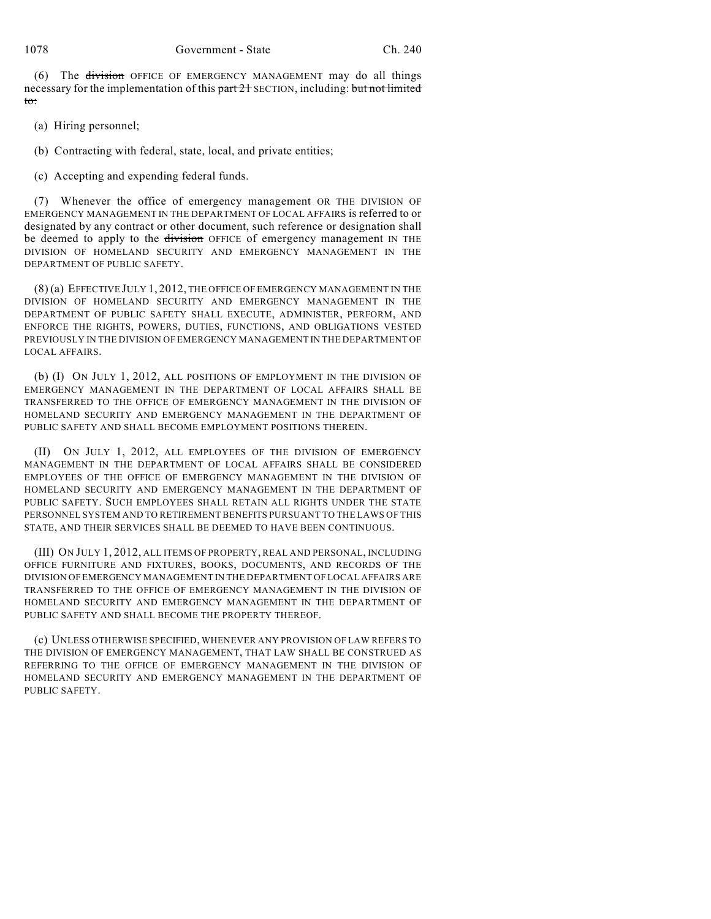(6) The division OFFICE OF EMERGENCY MANAGEMENT may do all things necessary for the implementation of this part 21 SECTION, including: but not limited to:

- (a) Hiring personnel;
- (b) Contracting with federal, state, local, and private entities;
- (c) Accepting and expending federal funds.

(7) Whenever the office of emergency management OR THE DIVISION OF EMERGENCY MANAGEMENT IN THE DEPARTMENT OF LOCAL AFFAIRS is referred to or designated by any contract or other document, such reference or designation shall be deemed to apply to the division OFFICE of emergency management IN THE DIVISION OF HOMELAND SECURITY AND EMERGENCY MANAGEMENT IN THE DEPARTMENT OF PUBLIC SAFETY.

(8) (a) EFFECTIVE JULY 1, 2012, THE OFFICE OF EMERGENCY MANAGEMENT IN THE DIVISION OF HOMELAND SECURITY AND EMERGENCY MANAGEMENT IN THE DEPARTMENT OF PUBLIC SAFETY SHALL EXECUTE, ADMINISTER, PERFORM, AND ENFORCE THE RIGHTS, POWERS, DUTIES, FUNCTIONS, AND OBLIGATIONS VESTED PREVIOUSLY IN THE DIVISION OF EMERGENCY MANAGEMENT IN THE DEPARTMENT OF LOCAL AFFAIRS.

(b) (I) ON JULY 1, 2012, ALL POSITIONS OF EMPLOYMENT IN THE DIVISION OF EMERGENCY MANAGEMENT IN THE DEPARTMENT OF LOCAL AFFAIRS SHALL BE TRANSFERRED TO THE OFFICE OF EMERGENCY MANAGEMENT IN THE DIVISION OF HOMELAND SECURITY AND EMERGENCY MANAGEMENT IN THE DEPARTMENT OF PUBLIC SAFETY AND SHALL BECOME EMPLOYMENT POSITIONS THEREIN.

(II) ON JULY 1, 2012, ALL EMPLOYEES OF THE DIVISION OF EMERGENCY MANAGEMENT IN THE DEPARTMENT OF LOCAL AFFAIRS SHALL BE CONSIDERED EMPLOYEES OF THE OFFICE OF EMERGENCY MANAGEMENT IN THE DIVISION OF HOMELAND SECURITY AND EMERGENCY MANAGEMENT IN THE DEPARTMENT OF PUBLIC SAFETY. SUCH EMPLOYEES SHALL RETAIN ALL RIGHTS UNDER THE STATE PERSONNEL SYSTEM AND TO RETIREMENT BENEFITS PURSUANT TO THE LAWS OF THIS STATE, AND THEIR SERVICES SHALL BE DEEMED TO HAVE BEEN CONTINUOUS.

(III) ON JULY 1, 2012, ALL ITEMS OF PROPERTY, REAL AND PERSONAL, INCLUDING OFFICE FURNITURE AND FIXTURES, BOOKS, DOCUMENTS, AND RECORDS OF THE DIVISION OF EMERGENCY MANAGEMENT IN THE DEPARTMENT OF LOCAL AFFAIRS ARE TRANSFERRED TO THE OFFICE OF EMERGENCY MANAGEMENT IN THE DIVISION OF HOMELAND SECURITY AND EMERGENCY MANAGEMENT IN THE DEPARTMENT OF PUBLIC SAFETY AND SHALL BECOME THE PROPERTY THEREOF.

(c) UNLESS OTHERWISE SPECIFIED, WHENEVER ANY PROVISION OF LAW REFERS TO THE DIVISION OF EMERGENCY MANAGEMENT, THAT LAW SHALL BE CONSTRUED AS REFERRING TO THE OFFICE OF EMERGENCY MANAGEMENT IN THE DIVISION OF HOMELAND SECURITY AND EMERGENCY MANAGEMENT IN THE DEPARTMENT OF PUBLIC SAFETY.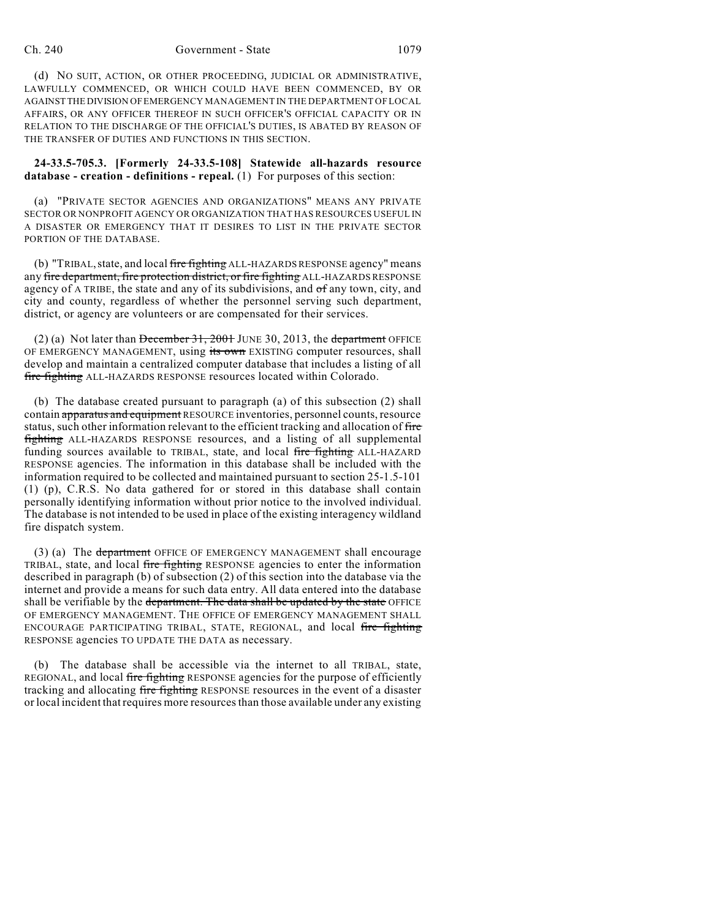#### Ch. 240 Government - State 1079

(d) NO SUIT, ACTION, OR OTHER PROCEEDING, JUDICIAL OR ADMINISTRATIVE, LAWFULLY COMMENCED, OR WHICH COULD HAVE BEEN COMMENCED, BY OR AGAINST THE DIVISION OFEMERGENCY MANAGEMENT IN THE DEPARTMENT OF LOCAL AFFAIRS, OR ANY OFFICER THEREOF IN SUCH OFFICER'S OFFICIAL CAPACITY OR IN RELATION TO THE DISCHARGE OF THE OFFICIAL'S DUTIES, IS ABATED BY REASON OF THE TRANSFER OF DUTIES AND FUNCTIONS IN THIS SECTION.

**24-33.5-705.3. [Formerly 24-33.5-108] Statewide all-hazards resource database - creation - definitions - repeal.** (1) For purposes of this section:

(a) "PRIVATE SECTOR AGENCIES AND ORGANIZATIONS" MEANS ANY PRIVATE SECTOR OR NONPROFIT AGENCY OR ORGANIZATION THAT HAS RESOURCES USEFUL IN A DISASTER OR EMERGENCY THAT IT DESIRES TO LIST IN THE PRIVATE SECTOR PORTION OF THE DATABASE.

(b) "TRIBAL, state, and local fire fighting ALL-HAZARDS RESPONSE agency" means any fire department, fire protection district, or fire fighting ALL-HAZARDS RESPONSE agency of A TRIBE, the state and any of its subdivisions, and of any town, city, and city and county, regardless of whether the personnel serving such department, district, or agency are volunteers or are compensated for their services.

(2) (a) Not later than  $\overline{\text{December 31, 2001}}$  JUNE 30, 2013, the department OFFICE OF EMERGENCY MANAGEMENT, using its own EXISTING computer resources, shall develop and maintain a centralized computer database that includes a listing of all fire fighting ALL-HAZARDS RESPONSE resources located within Colorado.

(b) The database created pursuant to paragraph (a) of this subsection (2) shall contain apparatus and equipment RESOURCE inventories, personnel counts, resource status, such other information relevant to the efficient tracking and allocation of fire fighting ALL-HAZARDS RESPONSE resources, and a listing of all supplemental funding sources available to TRIBAL, state, and local fire fighting ALL-HAZARD RESPONSE agencies. The information in this database shall be included with the information required to be collected and maintained pursuant to section 25-1.5-101 (1) (p), C.R.S. No data gathered for or stored in this database shall contain personally identifying information without prior notice to the involved individual. The database is not intended to be used in place of the existing interagency wildland fire dispatch system.

(3) (a) The department OFFICE OF EMERGENCY MANAGEMENT shall encourage TRIBAL, state, and local fire fighting RESPONSE agencies to enter the information described in paragraph (b) of subsection (2) of this section into the database via the internet and provide a means for such data entry. All data entered into the database shall be verifiable by the department. The data shall be updated by the state OFFICE OF EMERGENCY MANAGEMENT. THE OFFICE OF EMERGENCY MANAGEMENT SHALL ENCOURAGE PARTICIPATING TRIBAL, STATE, REGIONAL, and local fire fighting RESPONSE agencies TO UPDATE THE DATA as necessary.

(b) The database shall be accessible via the internet to all TRIBAL, state, REGIONAL, and local fire fighting RESPONSE agencies for the purpose of efficiently tracking and allocating fire fighting RESPONSE resources in the event of a disaster or local incident that requires more resources than those available under any existing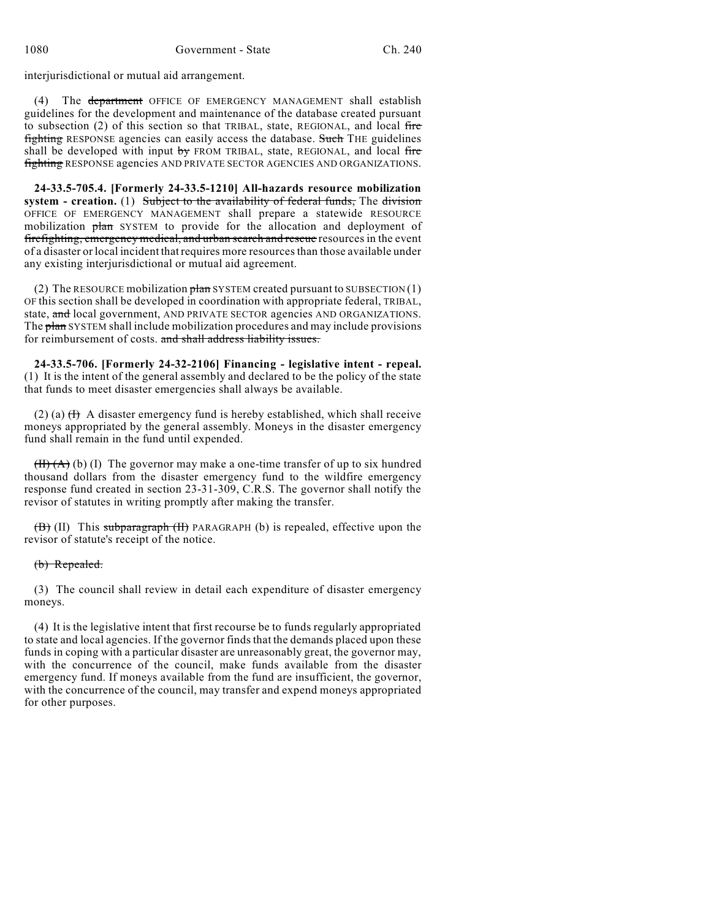interjurisdictional or mutual aid arrangement.

(4) The department OFFICE OF EMERGENCY MANAGEMENT shall establish guidelines for the development and maintenance of the database created pursuant to subsection  $(2)$  of this section so that TRIBAL, state, REGIONAL, and local fire fighting RESPONSE agencies can easily access the database. Such THE guidelines shall be developed with input by FROM TRIBAL, state, REGIONAL, and local fire fighting RESPONSE agencies AND PRIVATE SECTOR AGENCIES AND ORGANIZATIONS.

**24-33.5-705.4. [Formerly 24-33.5-1210] All-hazards resource mobilization system - creation.** (1) Subject to the availability of federal funds, The division OFFICE OF EMERGENCY MANAGEMENT shall prepare a statewide RESOURCE mobilization plan SYSTEM to provide for the allocation and deployment of firefighting, emergency medical, and urban search and rescue resources in the event of a disaster or local incident thatrequires more resourcesthan those available under any existing interjurisdictional or mutual aid agreement.

(2) The RESOURCE mobilization  $\frac{\theta}{\theta}$  SYSTEM created pursuant to SUBSECTION (1) OF this section shall be developed in coordination with appropriate federal, TRIBAL, state, and local government, AND PRIVATE SECTOR agencies AND ORGANIZATIONS. The plan SYSTEM shall include mobilization procedures and may include provisions for reimbursement of costs. and shall address liability issues.

**24-33.5-706. [Formerly 24-32-2106] Financing - legislative intent - repeal.** (1) It is the intent of the general assembly and declared to be the policy of the state that funds to meet disaster emergencies shall always be available.

(2) (a)  $(H)$  A disaster emergency fund is hereby established, which shall receive moneys appropriated by the general assembly. Moneys in the disaster emergency fund shall remain in the fund until expended.

 $(H)(A)(b)$  (I) The governor may make a one-time transfer of up to six hundred thousand dollars from the disaster emergency fund to the wildfire emergency response fund created in section 23-31-309, C.R.S. The governor shall notify the revisor of statutes in writing promptly after making the transfer.

(B) (II) This subparagraph (II) PARAGRAPH (b) is repealed, effective upon the revisor of statute's receipt of the notice.

### (b) Repealed.

(3) The council shall review in detail each expenditure of disaster emergency moneys.

(4) It is the legislative intent that first recourse be to funds regularly appropriated to state and local agencies. If the governor finds that the demands placed upon these funds in coping with a particular disaster are unreasonably great, the governor may, with the concurrence of the council, make funds available from the disaster emergency fund. If moneys available from the fund are insufficient, the governor, with the concurrence of the council, may transfer and expend moneys appropriated for other purposes.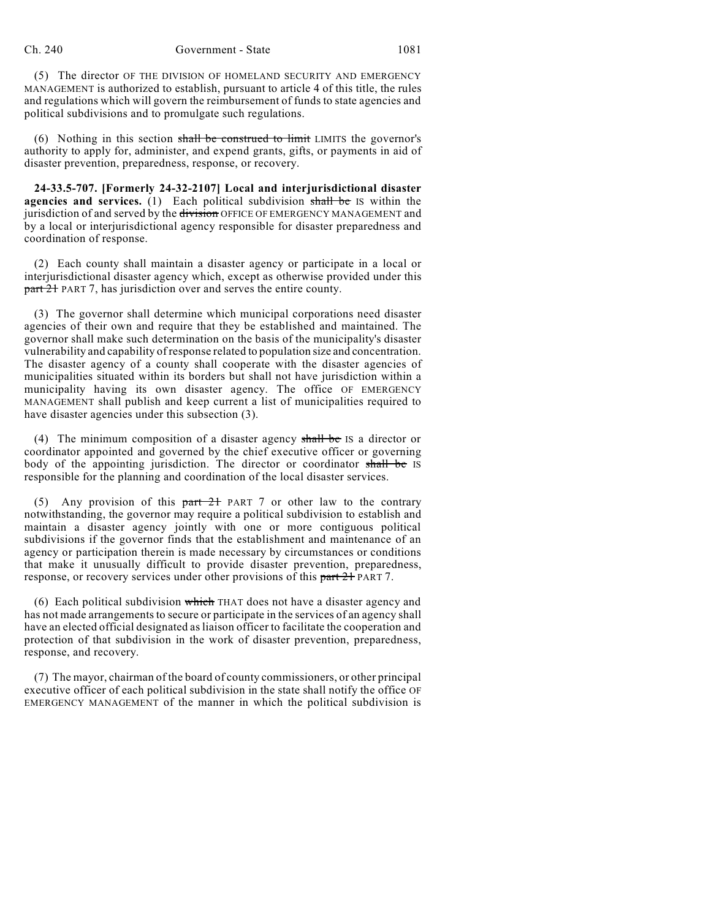(5) The director OF THE DIVISION OF HOMELAND SECURITY AND EMERGENCY MANAGEMENT is authorized to establish, pursuant to article 4 of this title, the rules and regulations which will govern the reimbursement of funds to state agencies and political subdivisions and to promulgate such regulations.

(6) Nothing in this section shall be construed to limit LIMITS the governor's authority to apply for, administer, and expend grants, gifts, or payments in aid of disaster prevention, preparedness, response, or recovery.

**24-33.5-707. [Formerly 24-32-2107] Local and interjurisdictional disaster agencies and services.** (1) Each political subdivision shall be IS within the jurisdiction of and served by the division OFFICE OF EMERGENCY MANAGEMENT and by a local or interjurisdictional agency responsible for disaster preparedness and coordination of response.

(2) Each county shall maintain a disaster agency or participate in a local or interjurisdictional disaster agency which, except as otherwise provided under this part 21 PART 7, has jurisdiction over and serves the entire county.

(3) The governor shall determine which municipal corporations need disaster agencies of their own and require that they be established and maintained. The governor shall make such determination on the basis of the municipality's disaster vulnerability and capability of response related to population size and concentration. The disaster agency of a county shall cooperate with the disaster agencies of municipalities situated within its borders but shall not have jurisdiction within a municipality having its own disaster agency. The office OF EMERGENCY MANAGEMENT shall publish and keep current a list of municipalities required to have disaster agencies under this subsection (3).

(4) The minimum composition of a disaster agency shall be IS a director or coordinator appointed and governed by the chief executive officer or governing body of the appointing jurisdiction. The director or coordinator shall be IS responsible for the planning and coordination of the local disaster services.

(5) Any provision of this  $part 21$  PART 7 or other law to the contrary notwithstanding, the governor may require a political subdivision to establish and maintain a disaster agency jointly with one or more contiguous political subdivisions if the governor finds that the establishment and maintenance of an agency or participation therein is made necessary by circumstances or conditions that make it unusually difficult to provide disaster prevention, preparedness, response, or recovery services under other provisions of this part 21 PART 7.

(6) Each political subdivision which THAT does not have a disaster agency and has not made arrangements to secure or participate in the services of an agency shall have an elected official designated asliaison officer to facilitate the cooperation and protection of that subdivision in the work of disaster prevention, preparedness, response, and recovery.

(7) The mayor, chairman of the board of county commissioners, or other principal executive officer of each political subdivision in the state shall notify the office OF EMERGENCY MANAGEMENT of the manner in which the political subdivision is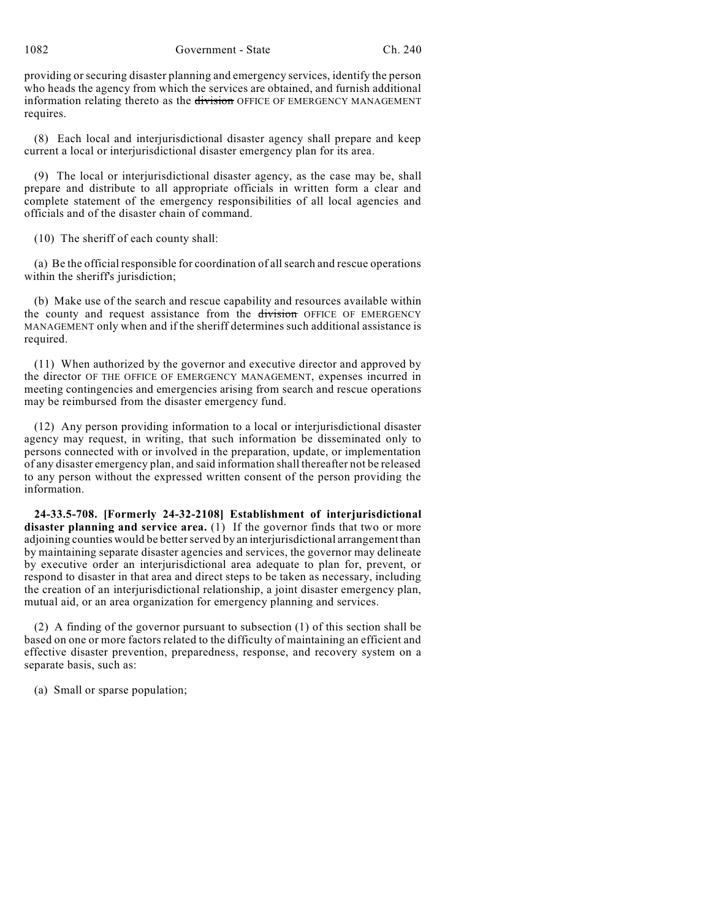1082 Government - State Ch. 240

providing or securing disaster planning and emergency services, identify the person who heads the agency from which the services are obtained, and furnish additional information relating thereto as the division OFFICE OF EMERGENCY MANAGEMENT requires.

(8) Each local and interjurisdictional disaster agency shall prepare and keep current a local or interjurisdictional disaster emergency plan for its area.

(9) The local or interjurisdictional disaster agency, as the case may be, shall prepare and distribute to all appropriate officials in written form a clear and complete statement of the emergency responsibilities of all local agencies and officials and of the disaster chain of command.

(10) The sheriff of each county shall:

(a) Be the official responsible for coordination of allsearch and rescue operations within the sheriff's jurisdiction:

(b) Make use of the search and rescue capability and resources available within the county and request assistance from the division OFFICE OF EMERGENCY MANAGEMENT only when and if the sheriff determines such additional assistance is required.

(11) When authorized by the governor and executive director and approved by the director OF THE OFFICE OF EMERGENCY MANAGEMENT, expenses incurred in meeting contingencies and emergencies arising from search and rescue operations may be reimbursed from the disaster emergency fund.

(12) Any person providing information to a local or interjurisdictional disaster agency may request, in writing, that such information be disseminated only to persons connected with or involved in the preparation, update, or implementation of any disaster emergency plan, and said information shall thereafter not be released to any person without the expressed written consent of the person providing the information.

**24-33.5-708. [Formerly 24-32-2108] Establishment of interjurisdictional disaster planning and service area.** (1) If the governor finds that two or more adjoining counties would be better served by an interjurisdictional arrangement than by maintaining separate disaster agencies and services, the governor may delineate by executive order an interjurisdictional area adequate to plan for, prevent, or respond to disaster in that area and direct steps to be taken as necessary, including the creation of an interjurisdictional relationship, a joint disaster emergency plan, mutual aid, or an area organization for emergency planning and services.

(2) A finding of the governor pursuant to subsection (1) of this section shall be based on one or more factors related to the difficulty of maintaining an efficient and effective disaster prevention, preparedness, response, and recovery system on a separate basis, such as:

(a) Small or sparse population;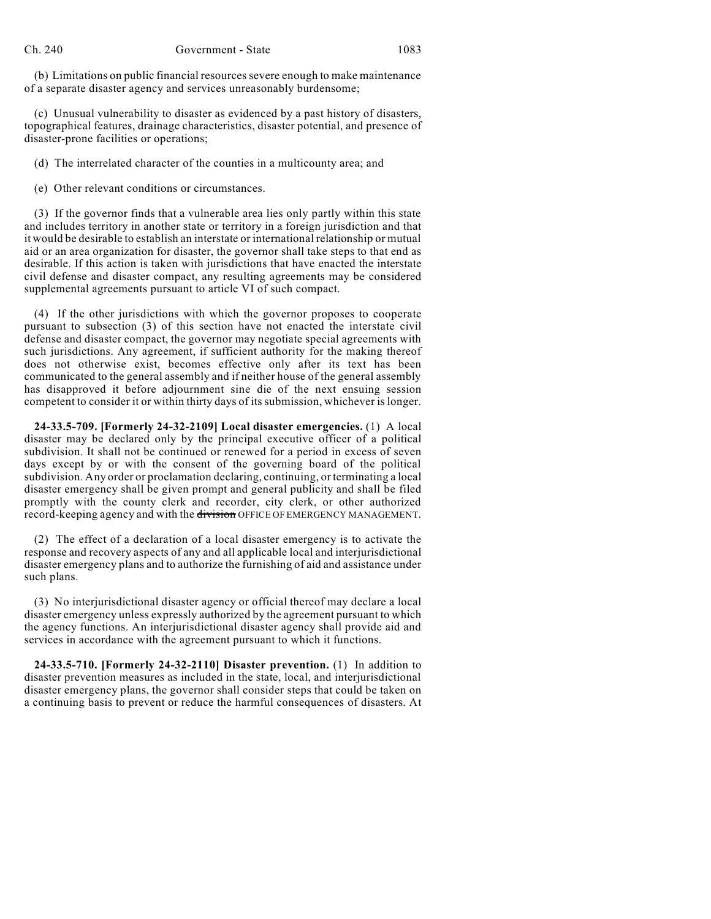(b) Limitations on public financial resources severe enough to make maintenance of a separate disaster agency and services unreasonably burdensome;

(c) Unusual vulnerability to disaster as evidenced by a past history of disasters, topographical features, drainage characteristics, disaster potential, and presence of disaster-prone facilities or operations;

(d) The interrelated character of the counties in a multicounty area; and

(e) Other relevant conditions or circumstances.

(3) If the governor finds that a vulnerable area lies only partly within this state and includes territory in another state or territory in a foreign jurisdiction and that it would be desirable to establish an interstate or international relationship or mutual aid or an area organization for disaster, the governor shall take steps to that end as desirable. If this action is taken with jurisdictions that have enacted the interstate civil defense and disaster compact, any resulting agreements may be considered supplemental agreements pursuant to article VI of such compact.

(4) If the other jurisdictions with which the governor proposes to cooperate pursuant to subsection (3) of this section have not enacted the interstate civil defense and disaster compact, the governor may negotiate special agreements with such jurisdictions. Any agreement, if sufficient authority for the making thereof does not otherwise exist, becomes effective only after its text has been communicated to the general assembly and if neither house of the general assembly has disapproved it before adjournment sine die of the next ensuing session competent to consider it or within thirty days of its submission, whichever is longer.

**24-33.5-709. [Formerly 24-32-2109] Local disaster emergencies.** (1) A local disaster may be declared only by the principal executive officer of a political subdivision. It shall not be continued or renewed for a period in excess of seven days except by or with the consent of the governing board of the political subdivision. Any order or proclamation declaring, continuing, or terminating a local disaster emergency shall be given prompt and general publicity and shall be filed promptly with the county clerk and recorder, city clerk, or other authorized record-keeping agency and with the division OFFICE OF EMERGENCY MANAGEMENT.

(2) The effect of a declaration of a local disaster emergency is to activate the response and recovery aspects of any and all applicable local and interjurisdictional disaster emergency plans and to authorize the furnishing of aid and assistance under such plans.

(3) No interjurisdictional disaster agency or official thereof may declare a local disaster emergency unless expressly authorized by the agreement pursuant to which the agency functions. An interjurisdictional disaster agency shall provide aid and services in accordance with the agreement pursuant to which it functions.

**24-33.5-710. [Formerly 24-32-2110] Disaster prevention.** (1) In addition to disaster prevention measures as included in the state, local, and interjurisdictional disaster emergency plans, the governor shall consider steps that could be taken on a continuing basis to prevent or reduce the harmful consequences of disasters. At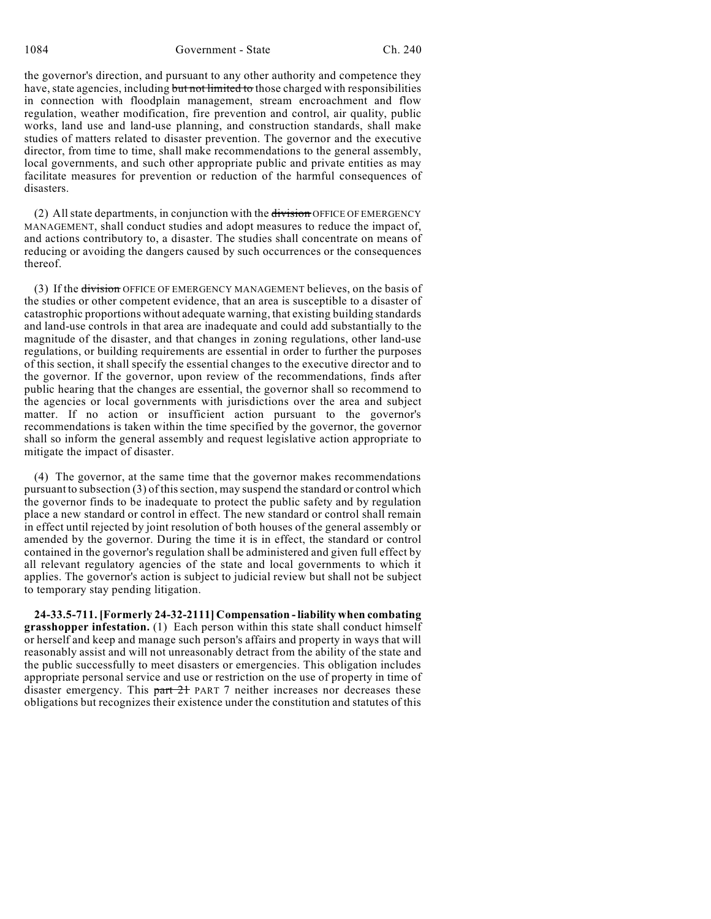1084 Government - State Ch. 240

the governor's direction, and pursuant to any other authority and competence they have, state agencies, including but not limited to those charged with responsibilities in connection with floodplain management, stream encroachment and flow regulation, weather modification, fire prevention and control, air quality, public works, land use and land-use planning, and construction standards, shall make studies of matters related to disaster prevention. The governor and the executive director, from time to time, shall make recommendations to the general assembly, local governments, and such other appropriate public and private entities as may facilitate measures for prevention or reduction of the harmful consequences of disasters.

(2) Allstate departments, in conjunction with the division OFFICE OF EMERGENCY MANAGEMENT, shall conduct studies and adopt measures to reduce the impact of, and actions contributory to, a disaster. The studies shall concentrate on means of reducing or avoiding the dangers caused by such occurrences or the consequences thereof.

(3) If the division OFFICE OF EMERGENCY MANAGEMENT believes, on the basis of the studies or other competent evidence, that an area is susceptible to a disaster of catastrophic proportions without adequate warning, that existing building standards and land-use controls in that area are inadequate and could add substantially to the magnitude of the disaster, and that changes in zoning regulations, other land-use regulations, or building requirements are essential in order to further the purposes of this section, it shall specify the essential changes to the executive director and to the governor. If the governor, upon review of the recommendations, finds after public hearing that the changes are essential, the governor shall so recommend to the agencies or local governments with jurisdictions over the area and subject matter. If no action or insufficient action pursuant to the governor's recommendations is taken within the time specified by the governor, the governor shall so inform the general assembly and request legislative action appropriate to mitigate the impact of disaster.

(4) The governor, at the same time that the governor makes recommendations pursuant to subsection (3) of thissection, may suspend the standard or control which the governor finds to be inadequate to protect the public safety and by regulation place a new standard or control in effect. The new standard or control shall remain in effect until rejected by joint resolution of both houses of the general assembly or amended by the governor. During the time it is in effect, the standard or control contained in the governor's regulation shall be administered and given full effect by all relevant regulatory agencies of the state and local governments to which it applies. The governor's action is subject to judicial review but shall not be subject to temporary stay pending litigation.

**24-33.5-711. [Formerly 24-32-2111] Compensation - liability when combating grasshopper infestation.** (1) Each person within this state shall conduct himself or herself and keep and manage such person's affairs and property in ways that will reasonably assist and will not unreasonably detract from the ability of the state and the public successfully to meet disasters or emergencies. This obligation includes appropriate personal service and use or restriction on the use of property in time of disaster emergency. This part 21 PART 7 neither increases nor decreases these obligations but recognizes their existence under the constitution and statutes of this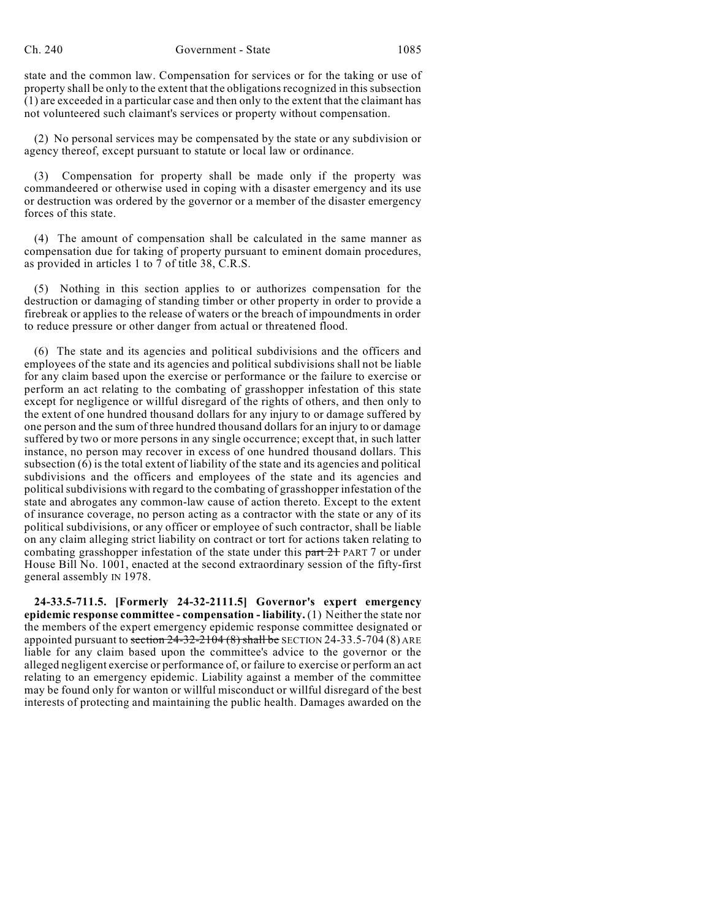state and the common law. Compensation for services or for the taking or use of property shall be only to the extent that the obligations recognized in this subsection (1) are exceeded in a particular case and then only to the extent that the claimant has not volunteered such claimant's services or property without compensation.

(2) No personal services may be compensated by the state or any subdivision or agency thereof, except pursuant to statute or local law or ordinance.

(3) Compensation for property shall be made only if the property was commandeered or otherwise used in coping with a disaster emergency and its use or destruction was ordered by the governor or a member of the disaster emergency forces of this state.

(4) The amount of compensation shall be calculated in the same manner as compensation due for taking of property pursuant to eminent domain procedures, as provided in articles 1 to 7 of title 38, C.R.S.

(5) Nothing in this section applies to or authorizes compensation for the destruction or damaging of standing timber or other property in order to provide a firebreak or applies to the release of waters or the breach of impoundments in order to reduce pressure or other danger from actual or threatened flood.

(6) The state and its agencies and political subdivisions and the officers and employees of the state and its agencies and political subdivisions shall not be liable for any claim based upon the exercise or performance or the failure to exercise or perform an act relating to the combating of grasshopper infestation of this state except for negligence or willful disregard of the rights of others, and then only to the extent of one hundred thousand dollars for any injury to or damage suffered by one person and the sum of three hundred thousand dollars for an injury to or damage suffered by two or more persons in any single occurrence; except that, in such latter instance, no person may recover in excess of one hundred thousand dollars. This subsection (6) is the total extent of liability of the state and its agencies and political subdivisions and the officers and employees of the state and its agencies and political subdivisions with regard to the combating of grasshopper infestation of the state and abrogates any common-law cause of action thereto. Except to the extent of insurance coverage, no person acting as a contractor with the state or any of its political subdivisions, or any officer or employee of such contractor, shall be liable on any claim alleging strict liability on contract or tort for actions taken relating to combating grasshopper infestation of the state under this part 2+ PART 7 or under House Bill No. 1001, enacted at the second extraordinary session of the fifty-first general assembly IN 1978.

**24-33.5-711.5. [Formerly 24-32-2111.5] Governor's expert emergency epidemic response committee - compensation - liability.** (1) Neither the state nor the members of the expert emergency epidemic response committee designated or appointed pursuant to section  $24-32-2104(8)$  shall be SECTION  $24-33.5-704(8)$  ARE liable for any claim based upon the committee's advice to the governor or the alleged negligent exercise or performance of, or failure to exercise or perform an act relating to an emergency epidemic. Liability against a member of the committee may be found only for wanton or willful misconduct or willful disregard of the best interests of protecting and maintaining the public health. Damages awarded on the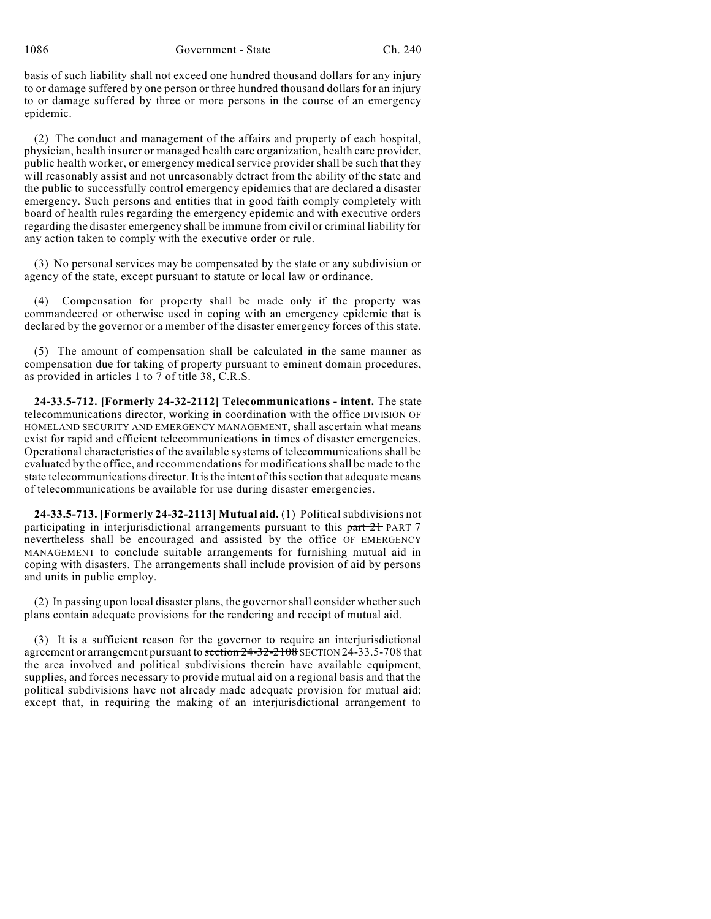1086 Government - State Ch. 240

basis of such liability shall not exceed one hundred thousand dollars for any injury to or damage suffered by one person or three hundred thousand dollars for an injury to or damage suffered by three or more persons in the course of an emergency epidemic.

(2) The conduct and management of the affairs and property of each hospital, physician, health insurer or managed health care organization, health care provider, public health worker, or emergency medical service provider shall be such that they will reasonably assist and not unreasonably detract from the ability of the state and the public to successfully control emergency epidemics that are declared a disaster emergency. Such persons and entities that in good faith comply completely with board of health rules regarding the emergency epidemic and with executive orders regarding the disaster emergency shall be immune from civil or criminal liability for any action taken to comply with the executive order or rule.

(3) No personal services may be compensated by the state or any subdivision or agency of the state, except pursuant to statute or local law or ordinance.

(4) Compensation for property shall be made only if the property was commandeered or otherwise used in coping with an emergency epidemic that is declared by the governor or a member of the disaster emergency forces of this state.

(5) The amount of compensation shall be calculated in the same manner as compensation due for taking of property pursuant to eminent domain procedures, as provided in articles 1 to 7 of title 38, C.R.S.

**24-33.5-712. [Formerly 24-32-2112] Telecommunications - intent.** The state telecommunications director, working in coordination with the office DIVISION OF HOMELAND SECURITY AND EMERGENCY MANAGEMENT, shall ascertain what means exist for rapid and efficient telecommunications in times of disaster emergencies. Operational characteristics of the available systems of telecommunications shall be evaluated by the office, and recommendations for modifications shall be made to the state telecommunications director. It is the intent of this section that adequate means of telecommunications be available for use during disaster emergencies.

**24-33.5-713. [Formerly 24-32-2113] Mutual aid.** (1) Political subdivisions not participating in interjurisdictional arrangements pursuant to this part 21 PART 7 nevertheless shall be encouraged and assisted by the office OF EMERGENCY MANAGEMENT to conclude suitable arrangements for furnishing mutual aid in coping with disasters. The arrangements shall include provision of aid by persons and units in public employ.

(2) In passing upon local disaster plans, the governorshall consider whether such plans contain adequate provisions for the rendering and receipt of mutual aid.

(3) It is a sufficient reason for the governor to require an interjurisdictional agreement or arrangement pursuant to section 24-32-2108 SECTION 24-33.5-708 that the area involved and political subdivisions therein have available equipment, supplies, and forces necessary to provide mutual aid on a regional basis and that the political subdivisions have not already made adequate provision for mutual aid; except that, in requiring the making of an interjurisdictional arrangement to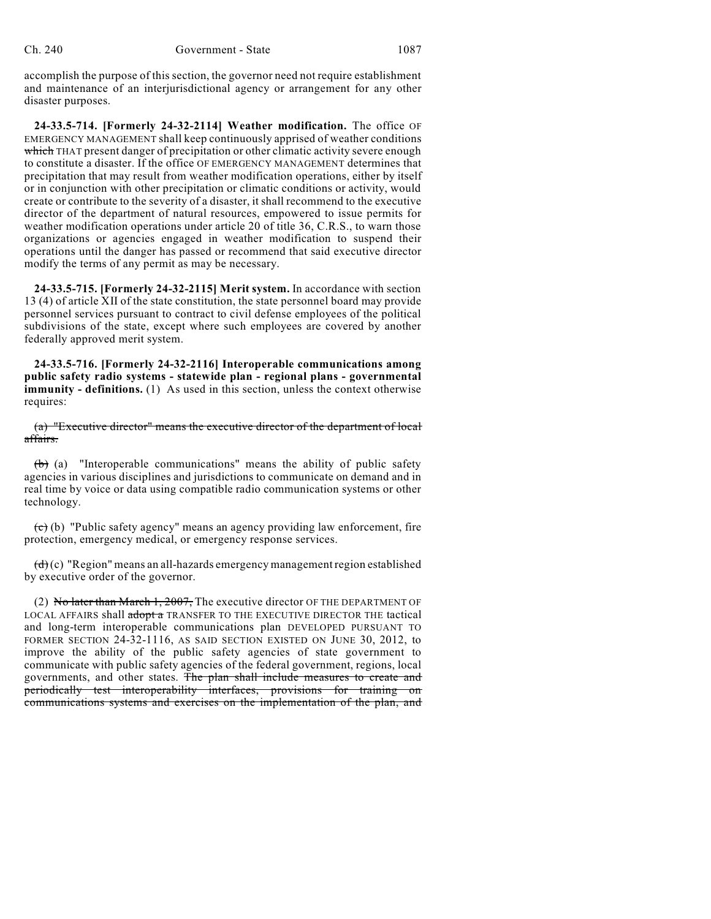accomplish the purpose of this section, the governor need not require establishment and maintenance of an interjurisdictional agency or arrangement for any other disaster purposes.

**24-33.5-714. [Formerly 24-32-2114] Weather modification.** The office OF EMERGENCY MANAGEMENT shall keep continuously apprised of weather conditions which THAT present danger of precipitation or other climatic activity severe enough to constitute a disaster. If the office OF EMERGENCY MANAGEMENT determines that precipitation that may result from weather modification operations, either by itself or in conjunction with other precipitation or climatic conditions or activity, would create or contribute to the severity of a disaster, it shall recommend to the executive director of the department of natural resources, empowered to issue permits for weather modification operations under article 20 of title 36, C.R.S., to warn those organizations or agencies engaged in weather modification to suspend their operations until the danger has passed or recommend that said executive director modify the terms of any permit as may be necessary.

**24-33.5-715. [Formerly 24-32-2115] Merit system.** In accordance with section 13 (4) of article XII of the state constitution, the state personnel board may provide personnel services pursuant to contract to civil defense employees of the political subdivisions of the state, except where such employees are covered by another federally approved merit system.

**24-33.5-716. [Formerly 24-32-2116] Interoperable communications among public safety radio systems - statewide plan - regional plans - governmental immunity - definitions.** (1) As used in this section, unless the context otherwise requires:

(a) "Executive director" means the executive director of the department of local affairs.

(b) (a) "Interoperable communications" means the ability of public safety agencies in various disciplines and jurisdictions to communicate on demand and in real time by voice or data using compatible radio communication systems or other technology.

 $\overline{(c)}$  (b) "Public safety agency" means an agency providing law enforcement, fire protection, emergency medical, or emergency response services.

 $(d)$  (c) "Region" means an all-hazards emergency management region established by executive order of the governor.

(2) No later than March 1, 2007, The executive director OF THE DEPARTMENT OF LOCAL AFFAIRS shall adopt a TRANSFER TO THE EXECUTIVE DIRECTOR THE tactical and long-term interoperable communications plan DEVELOPED PURSUANT TO FORMER SECTION 24-32-1116, AS SAID SECTION EXISTED ON JUNE 30, 2012, to improve the ability of the public safety agencies of state government to communicate with public safety agencies of the federal government, regions, local governments, and other states. The plan shall include measures to create and periodically test interoperability interfaces, provisions for training on communications systems and exercises on the implementation of the plan, and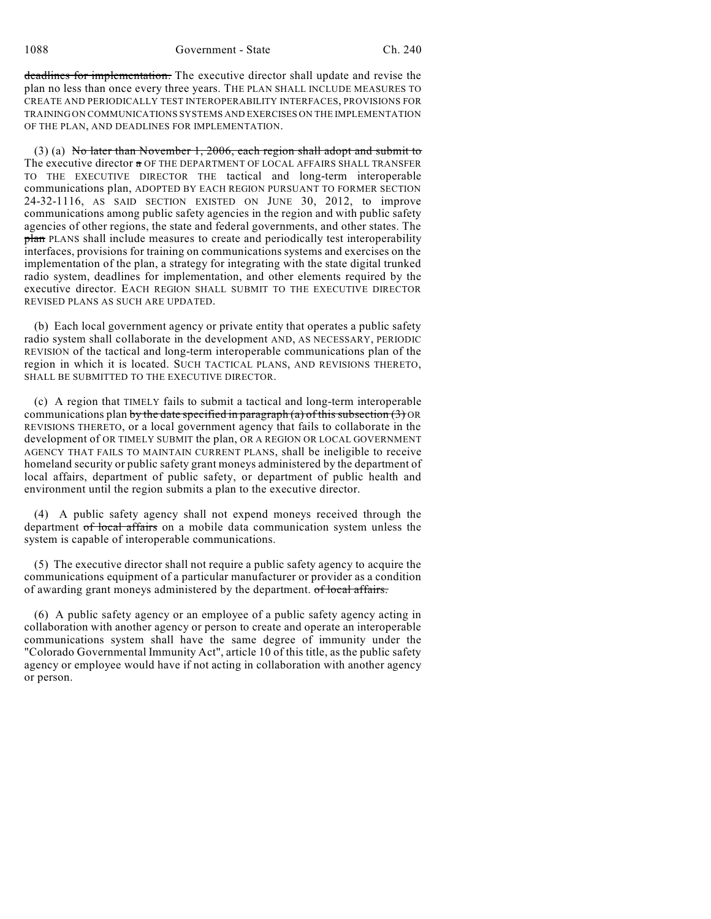deadlines for implementation. The executive director shall update and revise the plan no less than once every three years. THE PLAN SHALL INCLUDE MEASURES TO CREATE AND PERIODICALLY TEST INTEROPERABILITY INTERFACES, PROVISIONS FOR TRAINING ON COMMUNICATIONS SYSTEMS AND EXERCISES ON THE IMPLEMENTATION OF THE PLAN, AND DEADLINES FOR IMPLEMENTATION.

(3) (a) No later than November 1, 2006, each region shall adopt and submit to The executive director  $\alpha$  OF THE DEPARTMENT OF LOCAL AFFAIRS SHALL TRANSFER TO THE EXECUTIVE DIRECTOR THE tactical and long-term interoperable communications plan, ADOPTED BY EACH REGION PURSUANT TO FORMER SECTION 24-32-1116, AS SAID SECTION EXISTED ON JUNE 30, 2012, to improve communications among public safety agencies in the region and with public safety agencies of other regions, the state and federal governments, and other states. The plan PLANS shall include measures to create and periodically test interoperability interfaces, provisions for training on communications systems and exercises on the implementation of the plan, a strategy for integrating with the state digital trunked radio system, deadlines for implementation, and other elements required by the executive director. EACH REGION SHALL SUBMIT TO THE EXECUTIVE DIRECTOR REVISED PLANS AS SUCH ARE UPDATED.

(b) Each local government agency or private entity that operates a public safety radio system shall collaborate in the development AND, AS NECESSARY, PERIODIC REVISION of the tactical and long-term interoperable communications plan of the region in which it is located. SUCH TACTICAL PLANS, AND REVISIONS THERETO, SHALL BE SUBMITTED TO THE EXECUTIVE DIRECTOR.

(c) A region that TIMELY fails to submit a tactical and long-term interoperable communications plan by the date specified in paragraph (a) of this subsection  $(3)$  OR REVISIONS THERETO, or a local government agency that fails to collaborate in the development of OR TIMELY SUBMIT the plan, OR A REGION OR LOCAL GOVERNMENT AGENCY THAT FAILS TO MAINTAIN CURRENT PLANS, shall be ineligible to receive homeland security or public safety grant moneys administered by the department of local affairs, department of public safety, or department of public health and environment until the region submits a plan to the executive director.

(4) A public safety agency shall not expend moneys received through the department of local affairs on a mobile data communication system unless the system is capable of interoperable communications.

(5) The executive director shall not require a public safety agency to acquire the communications equipment of a particular manufacturer or provider as a condition of awarding grant moneys administered by the department. of local affairs.

(6) A public safety agency or an employee of a public safety agency acting in collaboration with another agency or person to create and operate an interoperable communications system shall have the same degree of immunity under the "Colorado Governmental Immunity Act", article 10 of this title, as the public safety agency or employee would have if not acting in collaboration with another agency or person.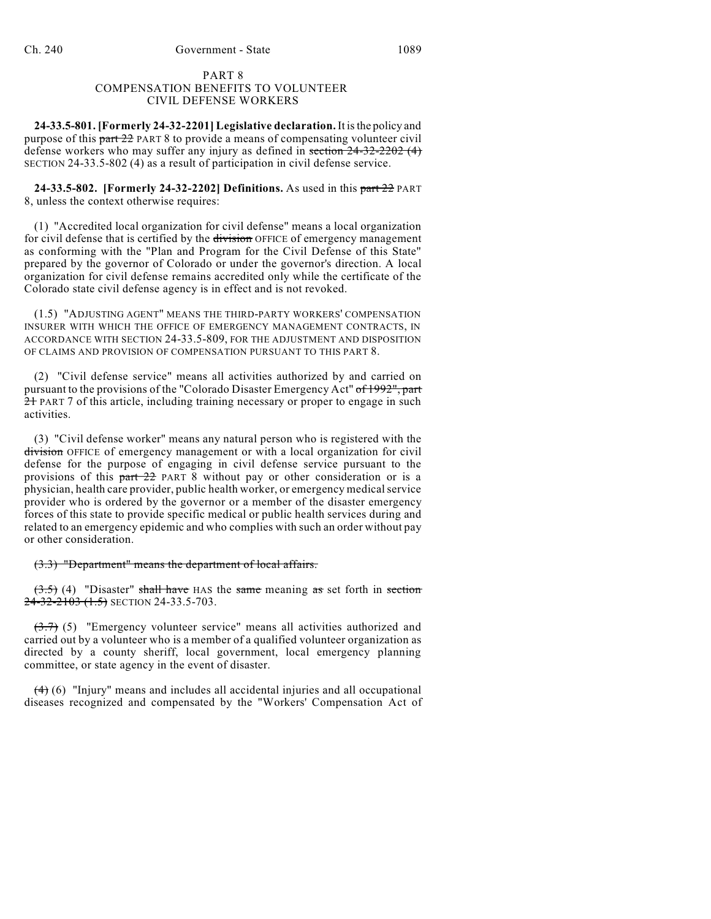# PART 8 COMPENSATION BENEFITS TO VOLUNTEER CIVIL DEFENSE WORKERS

**24-33.5-801. [Formerly 24-32-2201] Legislative declaration.**It isthe policy and purpose of this part 22 PART 8 to provide a means of compensating volunteer civil defense workers who may suffer any injury as defined in section 24-32-2202 (4) SECTION 24-33.5-802 (4) as a result of participation in civil defense service.

**24-33.5-802. [Formerly 24-32-2202] Definitions.** As used in this part 22 PART 8, unless the context otherwise requires:

(1) "Accredited local organization for civil defense" means a local organization for civil defense that is certified by the division OFFICE of emergency management as conforming with the "Plan and Program for the Civil Defense of this State" prepared by the governor of Colorado or under the governor's direction. A local organization for civil defense remains accredited only while the certificate of the Colorado state civil defense agency is in effect and is not revoked.

(1.5) "ADJUSTING AGENT" MEANS THE THIRD-PARTY WORKERS' COMPENSATION INSURER WITH WHICH THE OFFICE OF EMERGENCY MANAGEMENT CONTRACTS, IN ACCORDANCE WITH SECTION 24-33.5-809, FOR THE ADJUSTMENT AND DISPOSITION OF CLAIMS AND PROVISION OF COMPENSATION PURSUANT TO THIS PART 8.

(2) "Civil defense service" means all activities authorized by and carried on pursuant to the provisions of the "Colorado Disaster Emergency Act" of 1992", part 21 PART 7 of this article, including training necessary or proper to engage in such activities.

(3) "Civil defense worker" means any natural person who is registered with the division OFFICE of emergency management or with a local organization for civil defense for the purpose of engaging in civil defense service pursuant to the provisions of this part 22 PART 8 without pay or other consideration or is a physician, health care provider, public health worker, or emergency medicalservice provider who is ordered by the governor or a member of the disaster emergency forces of this state to provide specific medical or public health services during and related to an emergency epidemic and who complies with such an order without pay or other consideration.

#### (3.3) "Department" means the department of local affairs.

 $(3.5)$  (4) "Disaster" shall have HAS the same meaning as set forth in section  $24-32-2103$   $(1.5)$  SECTION 24-33.5-703.

(3.7) (5) "Emergency volunteer service" means all activities authorized and carried out by a volunteer who is a member of a qualified volunteer organization as directed by a county sheriff, local government, local emergency planning committee, or state agency in the event of disaster.

(4) (6) "Injury" means and includes all accidental injuries and all occupational diseases recognized and compensated by the "Workers' Compensation Act of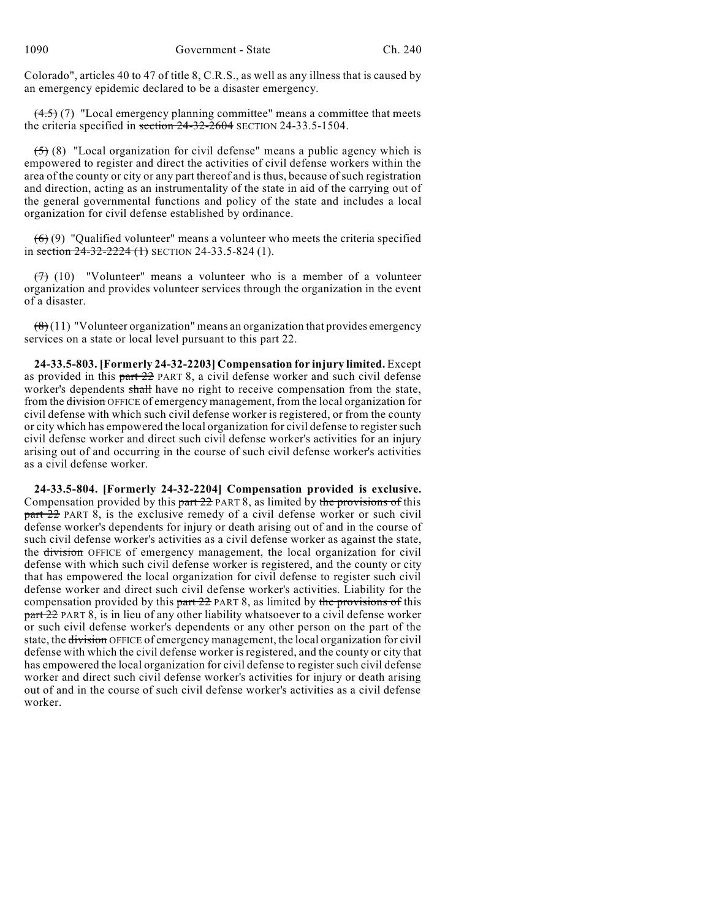Colorado", articles 40 to 47 of title 8, C.R.S., as well as any illness that is caused by an emergency epidemic declared to be a disaster emergency.

 $(4.5)$  (7) "Local emergency planning committee" means a committee that meets the criteria specified in section 24-32-2604 SECTION 24-33.5-1504.

 $(5)$  (8) "Local organization for civil defense" means a public agency which is empowered to register and direct the activities of civil defense workers within the area of the county or city or any part thereof and is thus, because of such registration and direction, acting as an instrumentality of the state in aid of the carrying out of the general governmental functions and policy of the state and includes a local organization for civil defense established by ordinance.

 $(6)$  (9) "Qualified volunteer" means a volunteer who meets the criteria specified in section  $24-32-2224$  (1) SECTION 24-33.5-824 (1).

 $(7)$  (10) "Volunteer" means a volunteer who is a member of a volunteer organization and provides volunteer services through the organization in the event of a disaster.

 $(8)(11)$  "Volunteer organization" means an organization that provides emergency services on a state or local level pursuant to this part 22.

**24-33.5-803. [Formerly 24-32-2203] Compensation for injury limited.** Except as provided in this part 22 PART 8, a civil defense worker and such civil defense worker's dependents shall have no right to receive compensation from the state, from the division OFFICE of emergency management, from the local organization for civil defense with which such civil defense worker is registered, or from the county or city which has empowered the local organization for civil defense to register such civil defense worker and direct such civil defense worker's activities for an injury arising out of and occurring in the course of such civil defense worker's activities as a civil defense worker.

**24-33.5-804. [Formerly 24-32-2204] Compensation provided is exclusive.** Compensation provided by this  $part 22$  PART 8, as limited by the provisions of this part 22 PART 8, is the exclusive remedy of a civil defense worker or such civil defense worker's dependents for injury or death arising out of and in the course of such civil defense worker's activities as a civil defense worker as against the state, the division OFFICE of emergency management, the local organization for civil defense with which such civil defense worker is registered, and the county or city that has empowered the local organization for civil defense to register such civil defense worker and direct such civil defense worker's activities. Liability for the compensation provided by this  $part 22$  PART 8, as limited by the provisions of this part 22 PART 8, is in lieu of any other liability whatsoever to a civil defense worker or such civil defense worker's dependents or any other person on the part of the state, the division OFFICE of emergency management, the local organization for civil defense with which the civil defense worker is registered, and the county or city that has empowered the local organization for civil defense to register such civil defense worker and direct such civil defense worker's activities for injury or death arising out of and in the course of such civil defense worker's activities as a civil defense worker.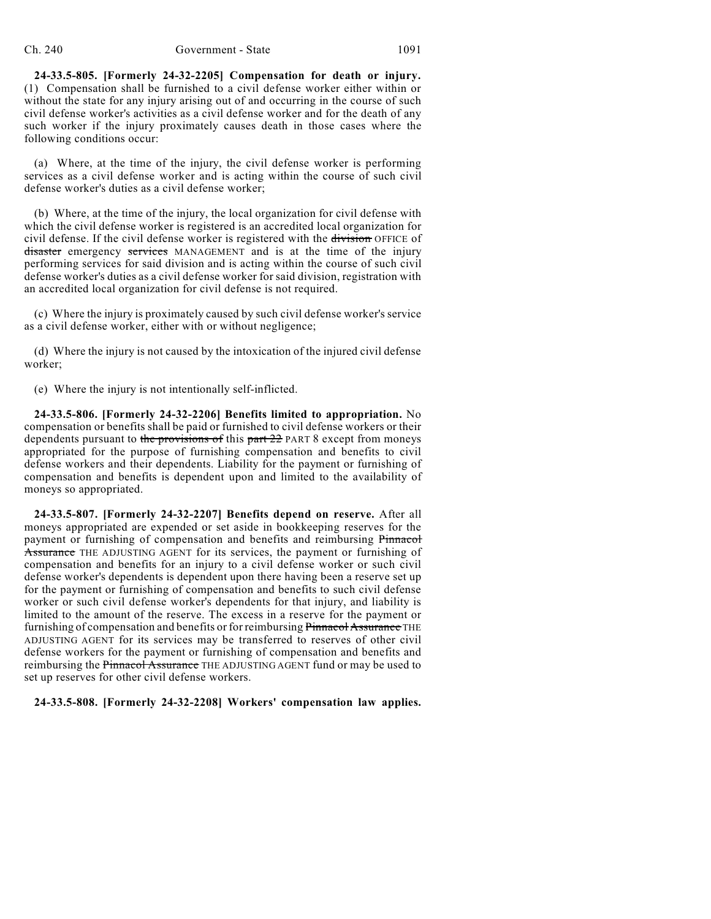**24-33.5-805. [Formerly 24-32-2205] Compensation for death or injury.** (1) Compensation shall be furnished to a civil defense worker either within or without the state for any injury arising out of and occurring in the course of such civil defense worker's activities as a civil defense worker and for the death of any such worker if the injury proximately causes death in those cases where the following conditions occur:

(a) Where, at the time of the injury, the civil defense worker is performing services as a civil defense worker and is acting within the course of such civil defense worker's duties as a civil defense worker;

(b) Where, at the time of the injury, the local organization for civil defense with which the civil defense worker is registered is an accredited local organization for civil defense. If the civil defense worker is registered with the division OFFICE of disaster emergency services MANAGEMENT and is at the time of the injury performing services for said division and is acting within the course of such civil defense worker's duties as a civil defense worker for said division, registration with an accredited local organization for civil defense is not required.

(c) Where the injury is proximately caused by such civil defense worker's service as a civil defense worker, either with or without negligence;

(d) Where the injury is not caused by the intoxication of the injured civil defense worker;

(e) Where the injury is not intentionally self-inflicted.

**24-33.5-806. [Formerly 24-32-2206] Benefits limited to appropriation.** No compensation or benefits shall be paid or furnished to civil defense workers or their dependents pursuant to the provisions of this part 22 PART 8 except from moneys appropriated for the purpose of furnishing compensation and benefits to civil defense workers and their dependents. Liability for the payment or furnishing of compensation and benefits is dependent upon and limited to the availability of moneys so appropriated.

**24-33.5-807. [Formerly 24-32-2207] Benefits depend on reserve.** After all moneys appropriated are expended or set aside in bookkeeping reserves for the payment or furnishing of compensation and benefits and reimbursing Pinnacol Assurance THE ADJUSTING AGENT for its services, the payment or furnishing of compensation and benefits for an injury to a civil defense worker or such civil defense worker's dependents is dependent upon there having been a reserve set up for the payment or furnishing of compensation and benefits to such civil defense worker or such civil defense worker's dependents for that injury, and liability is limited to the amount of the reserve. The excess in a reserve for the payment or furnishing of compensation and benefits or for reimbursing Pinnacol Assurance THE ADJUSTING AGENT for its services may be transferred to reserves of other civil defense workers for the payment or furnishing of compensation and benefits and reimbursing the Pinnacol Assurance THE ADJUSTING AGENT fund or may be used to set up reserves for other civil defense workers.

# **24-33.5-808. [Formerly 24-32-2208] Workers' compensation law applies.**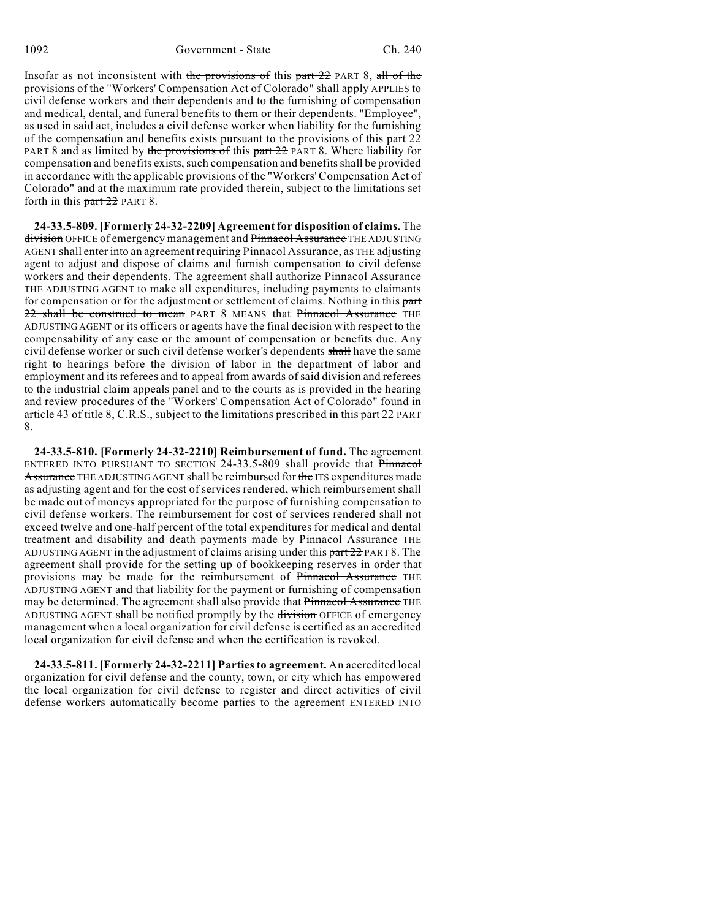Insofar as not inconsistent with the provisions of this part 22 PART 8, all of the provisions of the "Workers' Compensation Act of Colorado" shall apply APPLIES to civil defense workers and their dependents and to the furnishing of compensation and medical, dental, and funeral benefits to them or their dependents. "Employee", as used in said act, includes a civil defense worker when liability for the furnishing of the compensation and benefits exists pursuant to the provisions of this part  $22$ PART 8 and as limited by the provisions of this part 22 PART 8. Where liability for compensation and benefits exists, such compensation and benefits shall be provided in accordance with the applicable provisions of the "Workers' Compensation Act of Colorado" and at the maximum rate provided therein, subject to the limitations set forth in this part 22 PART 8.

**24-33.5-809. [Formerly 24-32-2209] Agreement for disposition of claims.** The division OFFICE of emergency management and Pinnacol Assurance THE ADJUSTING AGENT shall enter into an agreement requiring Pinnacol Assurance, as THE adjusting agent to adjust and dispose of claims and furnish compensation to civil defense workers and their dependents. The agreement shall authorize Pinnacol Assurance THE ADJUSTING AGENT to make all expenditures, including payments to claimants for compensation or for the adjustment or settlement of claims. Nothing in this part 22 shall be construed to mean PART 8 MEANS that Pinnacol Assurance THE ADJUSTING AGENT or its officers or agents have the final decision with respect to the compensability of any case or the amount of compensation or benefits due. Any civil defense worker or such civil defense worker's dependents shall have the same right to hearings before the division of labor in the department of labor and employment and its referees and to appeal from awards of said division and referees to the industrial claim appeals panel and to the courts as is provided in the hearing and review procedures of the "Workers' Compensation Act of Colorado" found in article 43 of title 8, C.R.S., subject to the limitations prescribed in this part 22 PART 8.

**24-33.5-810. [Formerly 24-32-2210] Reimbursement of fund.** The agreement ENTERED INTO PURSUANT TO SECTION 24-33.5-809 shall provide that Pinnacol Assurance THE ADJUSTING AGENT shall be reimbursed for the ITS expenditures made as adjusting agent and for the cost of services rendered, which reimbursement shall be made out of moneys appropriated for the purpose of furnishing compensation to civil defense workers. The reimbursement for cost of services rendered shall not exceed twelve and one-half percent of the total expenditures for medical and dental treatment and disability and death payments made by Pinnacol Assurance THE ADJUSTING AGENT in the adjustment of claims arising under this part 22 PART 8. The agreement shall provide for the setting up of bookkeeping reserves in order that provisions may be made for the reimbursement of Pinnacol Assurance THE ADJUSTING AGENT and that liability for the payment or furnishing of compensation may be determined. The agreement shall also provide that Pinnacol Assurance THE ADJUSTING AGENT shall be notified promptly by the division OFFICE of emergency management when a local organization for civil defense is certified as an accredited local organization for civil defense and when the certification is revoked.

**24-33.5-811. [Formerly 24-32-2211] Parties to agreement.** An accredited local organization for civil defense and the county, town, or city which has empowered the local organization for civil defense to register and direct activities of civil defense workers automatically become parties to the agreement ENTERED INTO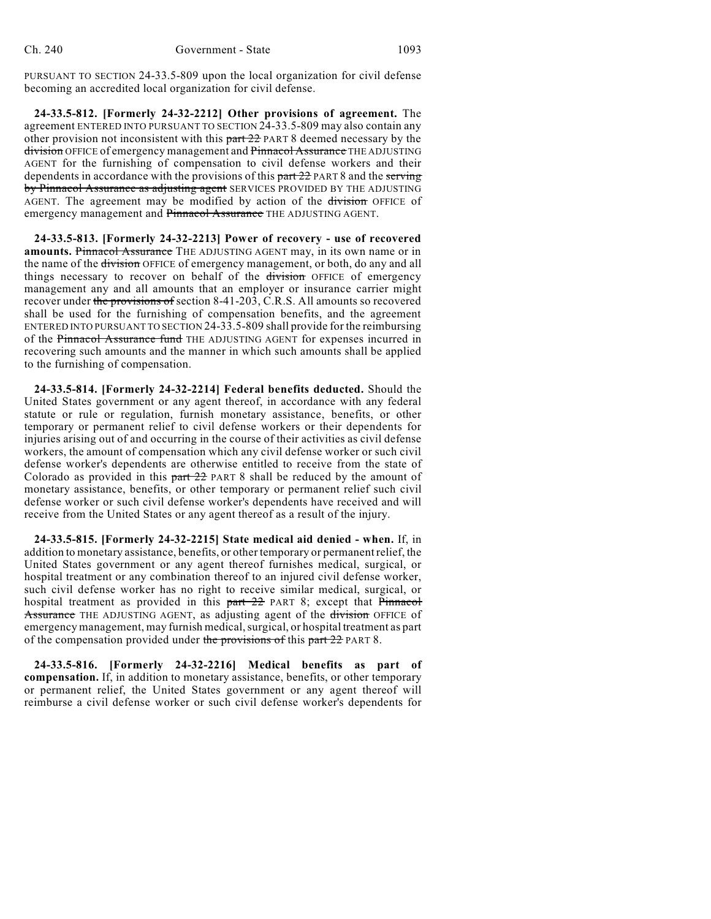PURSUANT TO SECTION 24-33.5-809 upon the local organization for civil defense becoming an accredited local organization for civil defense.

**24-33.5-812. [Formerly 24-32-2212] Other provisions of agreement.** The agreement ENTERED INTO PURSUANT TO SECTION 24-33.5-809 may also contain any other provision not inconsistent with this part 22 PART 8 deemed necessary by the division OFFICE of emergency management and Pinnacol Assurance THE ADJUSTING AGENT for the furnishing of compensation to civil defense workers and their dependents in accordance with the provisions of this  $part 22$  PART 8 and the serving by Pinnacol Assurance as adjusting agent SERVICES PROVIDED BY THE ADJUSTING AGENT. The agreement may be modified by action of the division OFFICE of emergency management and Pinnacol Assurance THE ADJUSTING AGENT.

**24-33.5-813. [Formerly 24-32-2213] Power of recovery - use of recovered amounts.** Pinnacol Assurance THE ADJUSTING AGENT may, in its own name or in the name of the division OFFICE of emergency management, or both, do any and all things necessary to recover on behalf of the division OFFICE of emergency management any and all amounts that an employer or insurance carrier might recover under the provisions of section 8-41-203, C.R.S. All amounts so recovered shall be used for the furnishing of compensation benefits, and the agreement ENTERED INTO PURSUANT TO SECTION 24-33.5-809 shall provide for the reimbursing of the Pinnacol Assurance fund THE ADJUSTING AGENT for expenses incurred in recovering such amounts and the manner in which such amounts shall be applied to the furnishing of compensation.

**24-33.5-814. [Formerly 24-32-2214] Federal benefits deducted.** Should the United States government or any agent thereof, in accordance with any federal statute or rule or regulation, furnish monetary assistance, benefits, or other temporary or permanent relief to civil defense workers or their dependents for injuries arising out of and occurring in the course of their activities as civil defense workers, the amount of compensation which any civil defense worker or such civil defense worker's dependents are otherwise entitled to receive from the state of Colorado as provided in this part 22 PART 8 shall be reduced by the amount of monetary assistance, benefits, or other temporary or permanent relief such civil defense worker or such civil defense worker's dependents have received and will receive from the United States or any agent thereof as a result of the injury.

**24-33.5-815. [Formerly 24-32-2215] State medical aid denied - when.** If, in addition to monetary assistance, benefits, or other temporary or permanent relief, the United States government or any agent thereof furnishes medical, surgical, or hospital treatment or any combination thereof to an injured civil defense worker, such civil defense worker has no right to receive similar medical, surgical, or hospital treatment as provided in this part 22 PART 8; except that Pinnacol Assurance THE ADJUSTING AGENT, as adjusting agent of the division OFFICE of emergency management, may furnish medical, surgical, or hospital treatment as part of the compensation provided under the provisions of this part  $22$  PART 8.

**24-33.5-816. [Formerly 24-32-2216] Medical benefits as part of compensation.** If, in addition to monetary assistance, benefits, or other temporary or permanent relief, the United States government or any agent thereof will reimburse a civil defense worker or such civil defense worker's dependents for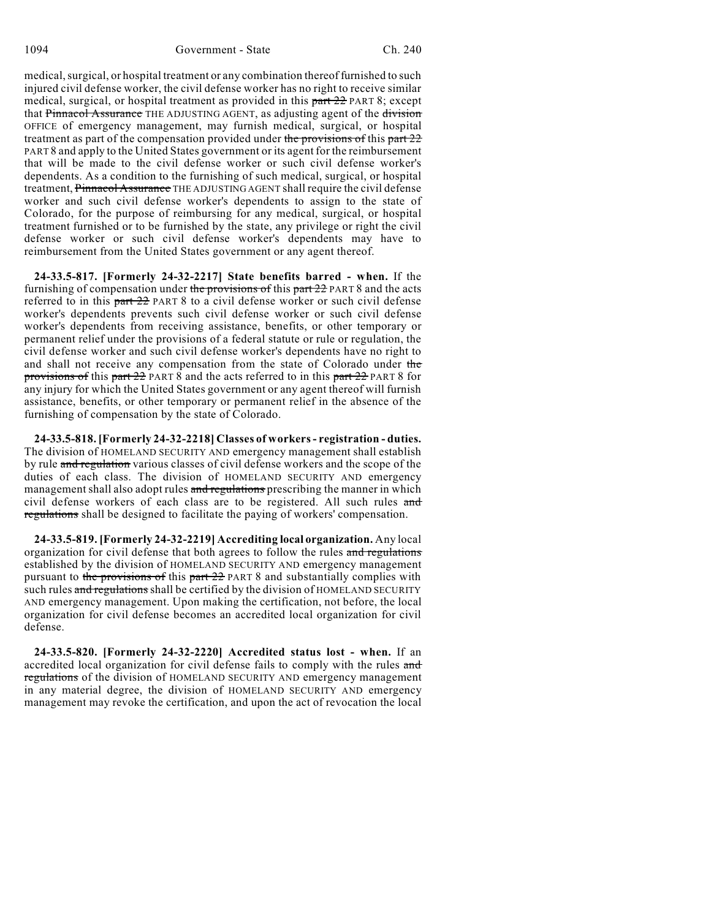1094 Government - State Ch. 240

medical, surgical, or hospital treatment or any combination thereof furnished to such injured civil defense worker, the civil defense worker has no right to receive similar medical, surgical, or hospital treatment as provided in this part 22 PART 8; except that Pinnacol Assurance THE ADJUSTING AGENT, as adjusting agent of the division OFFICE of emergency management, may furnish medical, surgical, or hospital treatment as part of the compensation provided under the provisions of this part 22 PART 8 and apply to the United States government or its agent for the reimbursement that will be made to the civil defense worker or such civil defense worker's dependents. As a condition to the furnishing of such medical, surgical, or hospital treatment, Pinnacol Assurance THE ADJUSTING AGENT shall require the civil defense worker and such civil defense worker's dependents to assign to the state of Colorado, for the purpose of reimbursing for any medical, surgical, or hospital treatment furnished or to be furnished by the state, any privilege or right the civil defense worker or such civil defense worker's dependents may have to reimbursement from the United States government or any agent thereof.

**24-33.5-817. [Formerly 24-32-2217] State benefits barred - when.** If the furnishing of compensation under the provisions of this part 22 PART 8 and the acts referred to in this part 22 PART 8 to a civil defense worker or such civil defense worker's dependents prevents such civil defense worker or such civil defense worker's dependents from receiving assistance, benefits, or other temporary or permanent relief under the provisions of a federal statute or rule or regulation, the civil defense worker and such civil defense worker's dependents have no right to and shall not receive any compensation from the state of Colorado under the provisions of this part 22 PART 8 and the acts referred to in this part 22 PART 8 for any injury for which the United States government or any agent thereof will furnish assistance, benefits, or other temporary or permanent relief in the absence of the furnishing of compensation by the state of Colorado.

**24-33.5-818.[Formerly 24-32-2218] Classes of workers- registration - duties.** The division of HOMELAND SECURITY AND emergency management shall establish by rule and regulation various classes of civil defense workers and the scope of the duties of each class. The division of HOMELAND SECURITY AND emergency management shall also adopt rules and regulations prescribing the manner in which civil defense workers of each class are to be registered. All such rules and regulations shall be designed to facilitate the paying of workers' compensation.

**24-33.5-819. [Formerly 24-32-2219] Accrediting local organization.** Any local organization for civil defense that both agrees to follow the rules and regulations established by the division of HOMELAND SECURITY AND emergency management pursuant to the provisions of this part 22 PART 8 and substantially complies with such rules and regulations shall be certified by the division of HOMELAND SECURITY AND emergency management. Upon making the certification, not before, the local organization for civil defense becomes an accredited local organization for civil defense.

**24-33.5-820. [Formerly 24-32-2220] Accredited status lost - when.** If an accredited local organization for civil defense fails to comply with the rules and regulations of the division of HOMELAND SECURITY AND emergency management in any material degree, the division of HOMELAND SECURITY AND emergency management may revoke the certification, and upon the act of revocation the local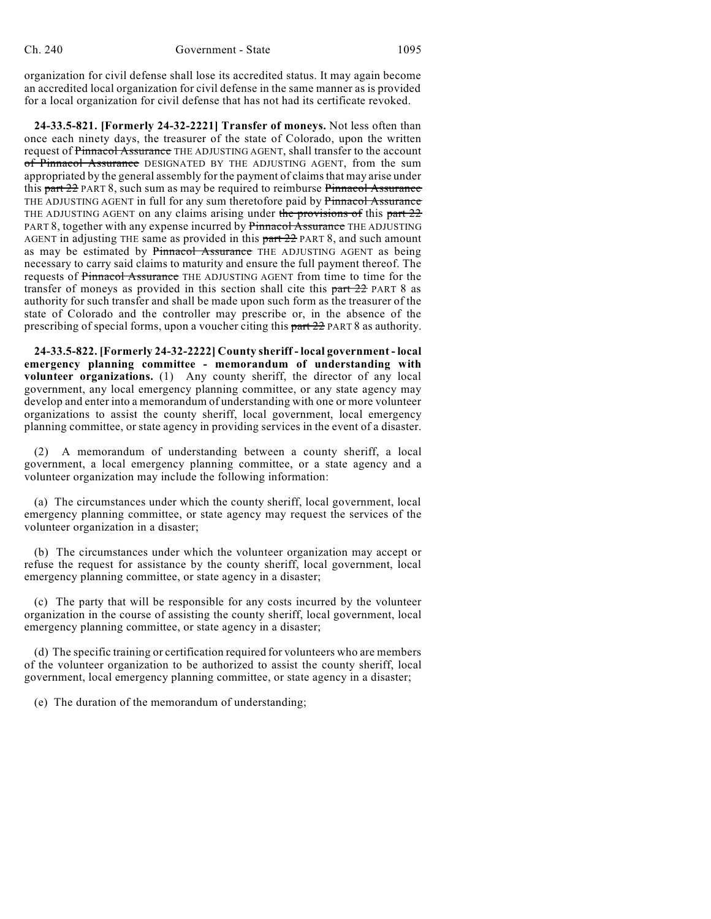organization for civil defense shall lose its accredited status. It may again become an accredited local organization for civil defense in the same manner as is provided for a local organization for civil defense that has not had its certificate revoked.

**24-33.5-821. [Formerly 24-32-2221] Transfer of moneys.** Not less often than once each ninety days, the treasurer of the state of Colorado, upon the written request of Pinnacol Assurance THE ADJUSTING AGENT, shall transfer to the account of Pinnacol Assurance DESIGNATED BY THE ADJUSTING AGENT, from the sum appropriated by the general assembly for the payment of claimsthat may arise under this part 22 PART 8, such sum as may be required to reimburse Pinnacol Assurance THE ADJUSTING AGENT in full for any sum theretofore paid by Pinnacol Assurance THE ADJUSTING AGENT on any claims arising under the provisions of this part  $22$ PART 8, together with any expense incurred by Pinnacol Assurance THE ADJUSTING AGENT in adjusting THE same as provided in this  $part 22$  PART 8, and such amount as may be estimated by Pinnacol Assurance THE ADJUSTING AGENT as being necessary to carry said claims to maturity and ensure the full payment thereof. The requests of Pinnacol Assurance THE ADJUSTING AGENT from time to time for the transfer of moneys as provided in this section shall cite this  $part 22$  PART 8 as authority for such transfer and shall be made upon such form as the treasurer of the state of Colorado and the controller may prescribe or, in the absence of the prescribing of special forms, upon a voucher citing this part 22 PART 8 as authority.

**24-33.5-822. [Formerly 24-32-2222] County sheriff - local government - local emergency planning committee - memorandum of understanding with volunteer organizations.** (1) Any county sheriff, the director of any local government, any local emergency planning committee, or any state agency may develop and enter into a memorandum of understanding with one or more volunteer organizations to assist the county sheriff, local government, local emergency planning committee, or state agency in providing services in the event of a disaster.

(2) A memorandum of understanding between a county sheriff, a local government, a local emergency planning committee, or a state agency and a volunteer organization may include the following information:

(a) The circumstances under which the county sheriff, local government, local emergency planning committee, or state agency may request the services of the volunteer organization in a disaster;

(b) The circumstances under which the volunteer organization may accept or refuse the request for assistance by the county sheriff, local government, local emergency planning committee, or state agency in a disaster;

(c) The party that will be responsible for any costs incurred by the volunteer organization in the course of assisting the county sheriff, local government, local emergency planning committee, or state agency in a disaster;

(d) The specific training or certification required for volunteers who are members of the volunteer organization to be authorized to assist the county sheriff, local government, local emergency planning committee, or state agency in a disaster;

(e) The duration of the memorandum of understanding;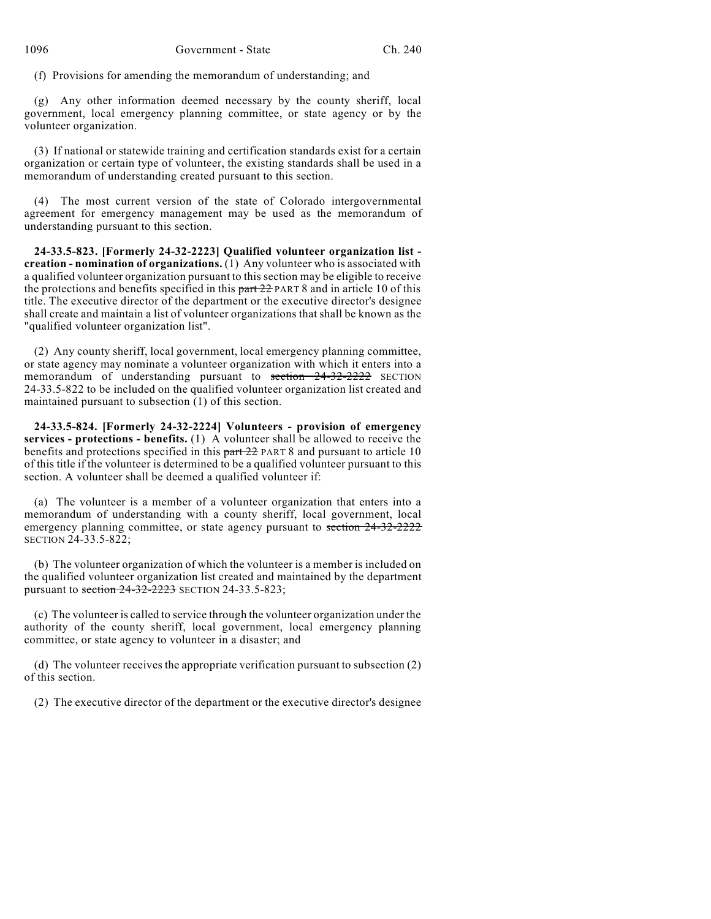(f) Provisions for amending the memorandum of understanding; and

(g) Any other information deemed necessary by the county sheriff, local government, local emergency planning committee, or state agency or by the volunteer organization.

(3) If national or statewide training and certification standards exist for a certain organization or certain type of volunteer, the existing standards shall be used in a memorandum of understanding created pursuant to this section.

(4) The most current version of the state of Colorado intergovernmental agreement for emergency management may be used as the memorandum of understanding pursuant to this section.

**24-33.5-823. [Formerly 24-32-2223] Qualified volunteer organization list creation - nomination of organizations.** (1) Any volunteer who is associated with a qualified volunteer organization pursuant to this section may be eligible to receive the protections and benefits specified in this  $part 22$  PART 8 and in article 10 of this title. The executive director of the department or the executive director's designee shall create and maintain a list of volunteer organizations that shall be known as the "qualified volunteer organization list".

(2) Any county sheriff, local government, local emergency planning committee, or state agency may nominate a volunteer organization with which it enters into a memorandum of understanding pursuant to section 24-32-2222 SECTION 24-33.5-822 to be included on the qualified volunteer organization list created and maintained pursuant to subsection  $(1)$  of this section.

**24-33.5-824. [Formerly 24-32-2224] Volunteers - provision of emergency services - protections - benefits.** (1) A volunteer shall be allowed to receive the benefits and protections specified in this part 22 PART 8 and pursuant to article 10 of this title if the volunteer is determined to be a qualified volunteer pursuant to this section. A volunteer shall be deemed a qualified volunteer if:

(a) The volunteer is a member of a volunteer organization that enters into a memorandum of understanding with a county sheriff, local government, local emergency planning committee, or state agency pursuant to section 24-32-2222 SECTION 24-33.5-822;

(b) The volunteer organization of which the volunteer is a member is included on the qualified volunteer organization list created and maintained by the department pursuant to section 24-32-2223 SECTION 24-33.5-823;

(c) The volunteer is called to service through the volunteer organization under the authority of the county sheriff, local government, local emergency planning committee, or state agency to volunteer in a disaster; and

(d) The volunteer receives the appropriate verification pursuant to subsection (2) of this section.

(2) The executive director of the department or the executive director's designee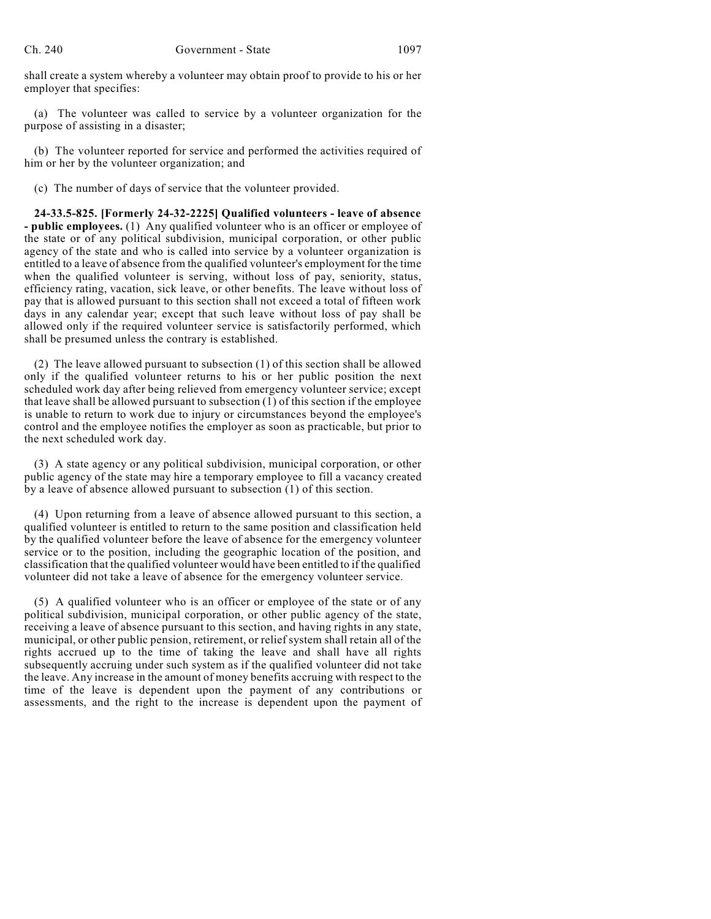shall create a system whereby a volunteer may obtain proof to provide to his or her employer that specifies:

(a) The volunteer was called to service by a volunteer organization for the purpose of assisting in a disaster;

(b) The volunteer reported for service and performed the activities required of him or her by the volunteer organization; and

(c) The number of days of service that the volunteer provided.

**24-33.5-825. [Formerly 24-32-2225] Qualified volunteers - leave of absence - public employees.** (1) Any qualified volunteer who is an officer or employee of the state or of any political subdivision, municipal corporation, or other public agency of the state and who is called into service by a volunteer organization is entitled to a leave of absence from the qualified volunteer's employment for the time when the qualified volunteer is serving, without loss of pay, seniority, status, efficiency rating, vacation, sick leave, or other benefits. The leave without loss of pay that is allowed pursuant to this section shall not exceed a total of fifteen work days in any calendar year; except that such leave without loss of pay shall be allowed only if the required volunteer service is satisfactorily performed, which shall be presumed unless the contrary is established.

(2) The leave allowed pursuant to subsection (1) of this section shall be allowed only if the qualified volunteer returns to his or her public position the next scheduled work day after being relieved from emergency volunteer service; except that leave shall be allowed pursuant to subsection (1) of this section if the employee is unable to return to work due to injury or circumstances beyond the employee's control and the employee notifies the employer as soon as practicable, but prior to the next scheduled work day.

(3) A state agency or any political subdivision, municipal corporation, or other public agency of the state may hire a temporary employee to fill a vacancy created by a leave of absence allowed pursuant to subsection (1) of this section.

(4) Upon returning from a leave of absence allowed pursuant to this section, a qualified volunteer is entitled to return to the same position and classification held by the qualified volunteer before the leave of absence for the emergency volunteer service or to the position, including the geographic location of the position, and classification that the qualified volunteer would have been entitled to if the qualified volunteer did not take a leave of absence for the emergency volunteer service.

(5) A qualified volunteer who is an officer or employee of the state or of any political subdivision, municipal corporation, or other public agency of the state, receiving a leave of absence pursuant to this section, and having rights in any state, municipal, or other public pension, retirement, or relief system shall retain all of the rights accrued up to the time of taking the leave and shall have all rights subsequently accruing under such system as if the qualified volunteer did not take the leave. Any increase in the amount of money benefits accruing with respect to the time of the leave is dependent upon the payment of any contributions or assessments, and the right to the increase is dependent upon the payment of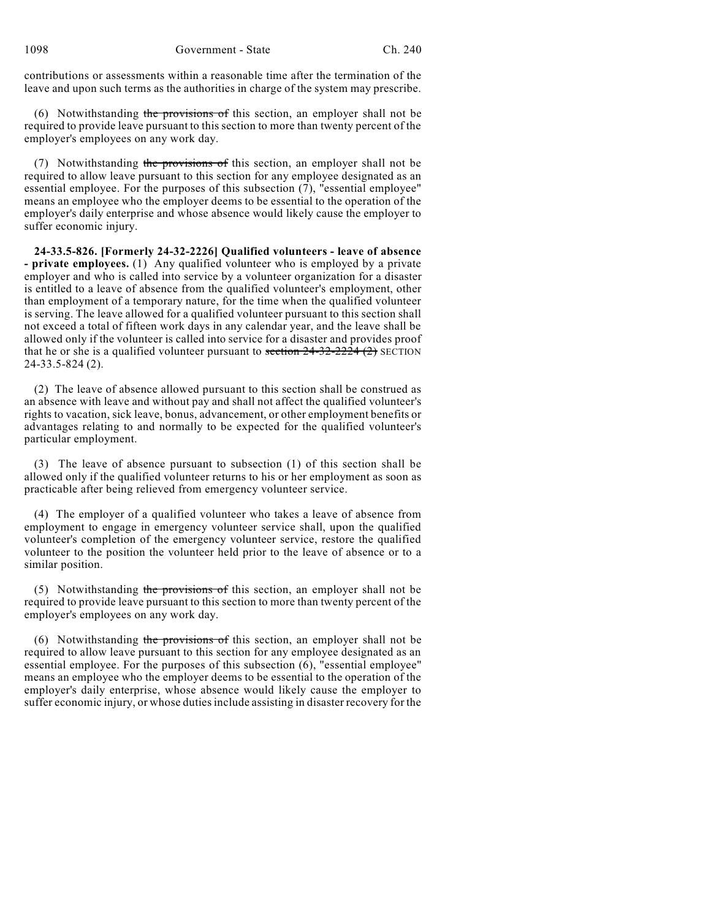contributions or assessments within a reasonable time after the termination of the leave and upon such terms as the authorities in charge of the system may prescribe.

(6) Notwithstanding the provisions of this section, an employer shall not be required to provide leave pursuant to this section to more than twenty percent of the employer's employees on any work day.

(7) Notwithstanding the provisions of this section, an employer shall not be required to allow leave pursuant to this section for any employee designated as an essential employee. For the purposes of this subsection  $(7)$ , "essential employee" means an employee who the employer deems to be essential to the operation of the employer's daily enterprise and whose absence would likely cause the employer to suffer economic injury.

**24-33.5-826. [Formerly 24-32-2226] Qualified volunteers - leave of absence - private employees.** (1) Any qualified volunteer who is employed by a private employer and who is called into service by a volunteer organization for a disaster is entitled to a leave of absence from the qualified volunteer's employment, other than employment of a temporary nature, for the time when the qualified volunteer is serving. The leave allowed for a qualified volunteer pursuant to this section shall not exceed a total of fifteen work days in any calendar year, and the leave shall be allowed only if the volunteer is called into service for a disaster and provides proof that he or she is a qualified volunteer pursuant to section  $24-32-2224$  (2) SECTION 24-33.5-824 (2).

(2) The leave of absence allowed pursuant to this section shall be construed as an absence with leave and without pay and shall not affect the qualified volunteer's rights to vacation, sick leave, bonus, advancement, or other employment benefits or advantages relating to and normally to be expected for the qualified volunteer's particular employment.

(3) The leave of absence pursuant to subsection (1) of this section shall be allowed only if the qualified volunteer returns to his or her employment as soon as practicable after being relieved from emergency volunteer service.

(4) The employer of a qualified volunteer who takes a leave of absence from employment to engage in emergency volunteer service shall, upon the qualified volunteer's completion of the emergency volunteer service, restore the qualified volunteer to the position the volunteer held prior to the leave of absence or to a similar position.

(5) Notwithstanding the provisions of this section, an employer shall not be required to provide leave pursuant to this section to more than twenty percent of the employer's employees on any work day.

(6) Notwithstanding the provisions of this section, an employer shall not be required to allow leave pursuant to this section for any employee designated as an essential employee. For the purposes of this subsection (6), "essential employee" means an employee who the employer deems to be essential to the operation of the employer's daily enterprise, whose absence would likely cause the employer to suffer economic injury, or whose duties include assisting in disaster recovery for the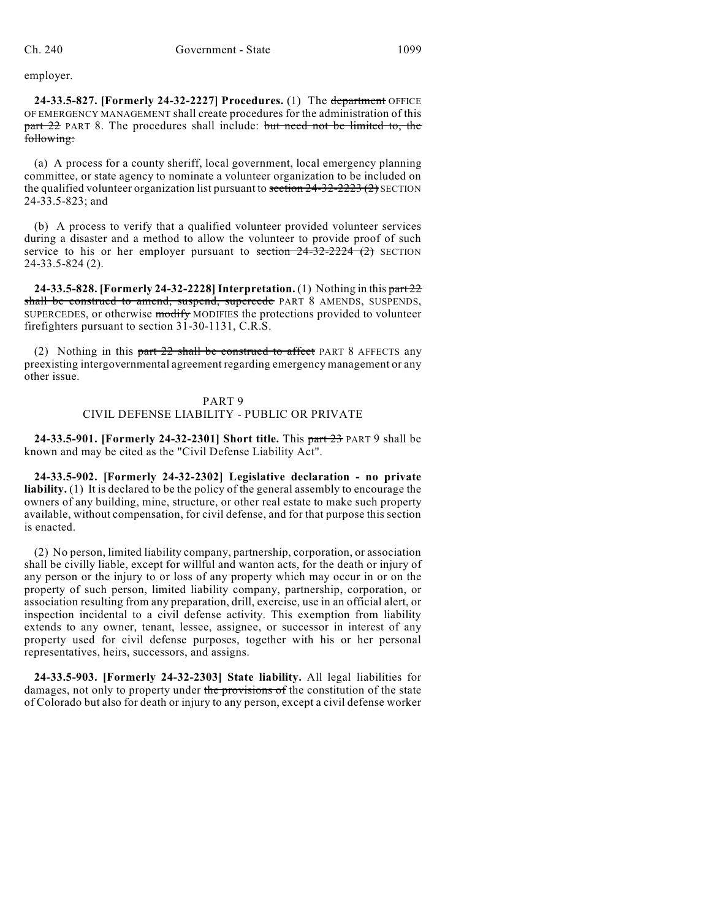employer.

**24-33.5-827. [Formerly 24-32-2227] Procedures.** (1) The department OFFICE OF EMERGENCY MANAGEMENT shall create procedures for the administration of this part 22 PART 8. The procedures shall include: but need not be limited to, the following:

(a) A process for a county sheriff, local government, local emergency planning committee, or state agency to nominate a volunteer organization to be included on the qualified volunteer organization list pursuant to section  $24-32-2223(2)$  SECTION 24-33.5-823; and

(b) A process to verify that a qualified volunteer provided volunteer services during a disaster and a method to allow the volunteer to provide proof of such service to his or her employer pursuant to section  $24-32-2224$  (2) SECTION 24-33.5-824 (2).

**24-33.5-828. [Formerly 24-32-2228]Interpretation.** (1) Nothing in this part 22 shall be construed to amend, suspend, supercede PART 8 AMENDS, SUSPENDS, SUPERCEDES, or otherwise modify MODIFIES the protections provided to volunteer firefighters pursuant to section 31-30-1131, C.R.S.

(2) Nothing in this  $part 22$  shall be construed to affect PART 8 AFFECTS any preexisting intergovernmental agreement regarding emergency management or any other issue.

#### PART 9 CIVIL DEFENSE LIABILITY - PUBLIC OR PRIVATE

**24-33.5-901. [Formerly 24-32-2301] Short title.** This part 23 PART 9 shall be known and may be cited as the "Civil Defense Liability Act".

**24-33.5-902. [Formerly 24-32-2302] Legislative declaration - no private liability.** (1) It is declared to be the policy of the general assembly to encourage the owners of any building, mine, structure, or other real estate to make such property available, without compensation, for civil defense, and for that purpose this section is enacted.

(2) No person, limited liability company, partnership, corporation, or association shall be civilly liable, except for willful and wanton acts, for the death or injury of any person or the injury to or loss of any property which may occur in or on the property of such person, limited liability company, partnership, corporation, or association resulting from any preparation, drill, exercise, use in an official alert, or inspection incidental to a civil defense activity. This exemption from liability extends to any owner, tenant, lessee, assignee, or successor in interest of any property used for civil defense purposes, together with his or her personal representatives, heirs, successors, and assigns.

**24-33.5-903. [Formerly 24-32-2303] State liability.** All legal liabilities for damages, not only to property under the provisions of the constitution of the state of Colorado but also for death or injury to any person, except a civil defense worker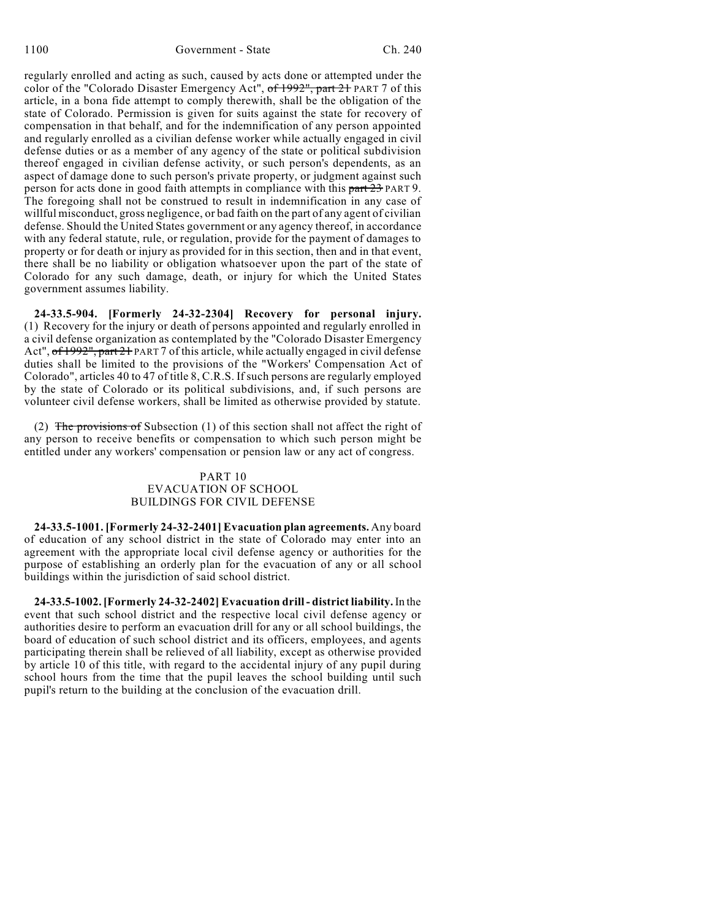regularly enrolled and acting as such, caused by acts done or attempted under the color of the "Colorado Disaster Emergency Act", of 1992", part 21 PART 7 of this article, in a bona fide attempt to comply therewith, shall be the obligation of the state of Colorado. Permission is given for suits against the state for recovery of compensation in that behalf, and for the indemnification of any person appointed and regularly enrolled as a civilian defense worker while actually engaged in civil defense duties or as a member of any agency of the state or political subdivision thereof engaged in civilian defense activity, or such person's dependents, as an aspect of damage done to such person's private property, or judgment against such person for acts done in good faith attempts in compliance with this part 23 PART 9. The foregoing shall not be construed to result in indemnification in any case of willful misconduct, gross negligence, or bad faith on the part of any agent of civilian defense. Should the United States government or any agency thereof, in accordance with any federal statute, rule, or regulation, provide for the payment of damages to property or for death or injury as provided for in this section, then and in that event, there shall be no liability or obligation whatsoever upon the part of the state of Colorado for any such damage, death, or injury for which the United States government assumes liability.

**24-33.5-904. [Formerly 24-32-2304] Recovery for personal injury.** (1) Recovery for the injury or death of persons appointed and regularly enrolled in a civil defense organization as contemplated by the "Colorado Disaster Emergency Act", of 1992", part 21 PART 7 of this article, while actually engaged in civil defense duties shall be limited to the provisions of the "Workers' Compensation Act of Colorado", articles 40 to 47 of title 8, C.R.S. If such persons are regularly employed by the state of Colorado or its political subdivisions, and, if such persons are volunteer civil defense workers, shall be limited as otherwise provided by statute.

(2) The provisions of Subsection  $(1)$  of this section shall not affect the right of any person to receive benefits or compensation to which such person might be entitled under any workers' compensation or pension law or any act of congress.

# PART 10 EVACUATION OF SCHOOL BUILDINGS FOR CIVIL DEFENSE

**24-33.5-1001. [Formerly 24-32-2401] Evacuation plan agreements.** Any board of education of any school district in the state of Colorado may enter into an agreement with the appropriate local civil defense agency or authorities for the purpose of establishing an orderly plan for the evacuation of any or all school buildings within the jurisdiction of said school district.

**24-33.5-1002. [Formerly 24-32-2402] Evacuation drill - district liability.**In the event that such school district and the respective local civil defense agency or authorities desire to perform an evacuation drill for any or all school buildings, the board of education of such school district and its officers, employees, and agents participating therein shall be relieved of all liability, except as otherwise provided by article 10 of this title, with regard to the accidental injury of any pupil during school hours from the time that the pupil leaves the school building until such pupil's return to the building at the conclusion of the evacuation drill.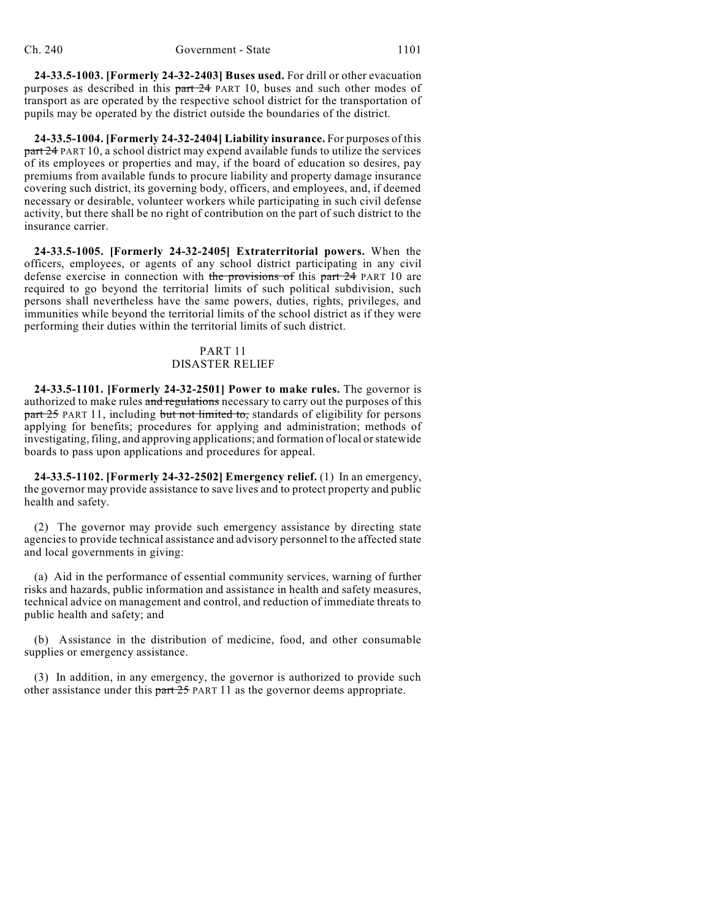**24-33.5-1003. [Formerly 24-32-2403] Buses used.** For drill or other evacuation purposes as described in this part 24 PART 10, buses and such other modes of transport as are operated by the respective school district for the transportation of pupils may be operated by the district outside the boundaries of the district.

**24-33.5-1004. [Formerly 24-32-2404] Liability insurance.** For purposes of this part 24 PART 10, a school district may expend available funds to utilize the services of its employees or properties and may, if the board of education so desires, pay premiums from available funds to procure liability and property damage insurance covering such district, its governing body, officers, and employees, and, if deemed necessary or desirable, volunteer workers while participating in such civil defense activity, but there shall be no right of contribution on the part of such district to the insurance carrier.

**24-33.5-1005. [Formerly 24-32-2405] Extraterritorial powers.** When the officers, employees, or agents of any school district participating in any civil defense exercise in connection with the provisions of this part 24 PART 10 are required to go beyond the territorial limits of such political subdivision, such persons shall nevertheless have the same powers, duties, rights, privileges, and immunities while beyond the territorial limits of the school district as if they were performing their duties within the territorial limits of such district.

## PART 11 DISASTER RELIEF

**24-33.5-1101. [Formerly 24-32-2501] Power to make rules.** The governor is authorized to make rules and regulations necessary to carry out the purposes of this part 25 PART 11, including but not limited to, standards of eligibility for persons applying for benefits; procedures for applying and administration; methods of investigating, filing, and approving applications; and formation of local orstatewide boards to pass upon applications and procedures for appeal.

**24-33.5-1102. [Formerly 24-32-2502] Emergency relief.** (1) In an emergency, the governor may provide assistance to save lives and to protect property and public health and safety.

(2) The governor may provide such emergency assistance by directing state agencies to provide technical assistance and advisory personnel to the affected state and local governments in giving:

(a) Aid in the performance of essential community services, warning of further risks and hazards, public information and assistance in health and safety measures, technical advice on management and control, and reduction of immediate threats to public health and safety; and

(b) Assistance in the distribution of medicine, food, and other consumable supplies or emergency assistance.

(3) In addition, in any emergency, the governor is authorized to provide such other assistance under this part  $25$  PART 11 as the governor deems appropriate.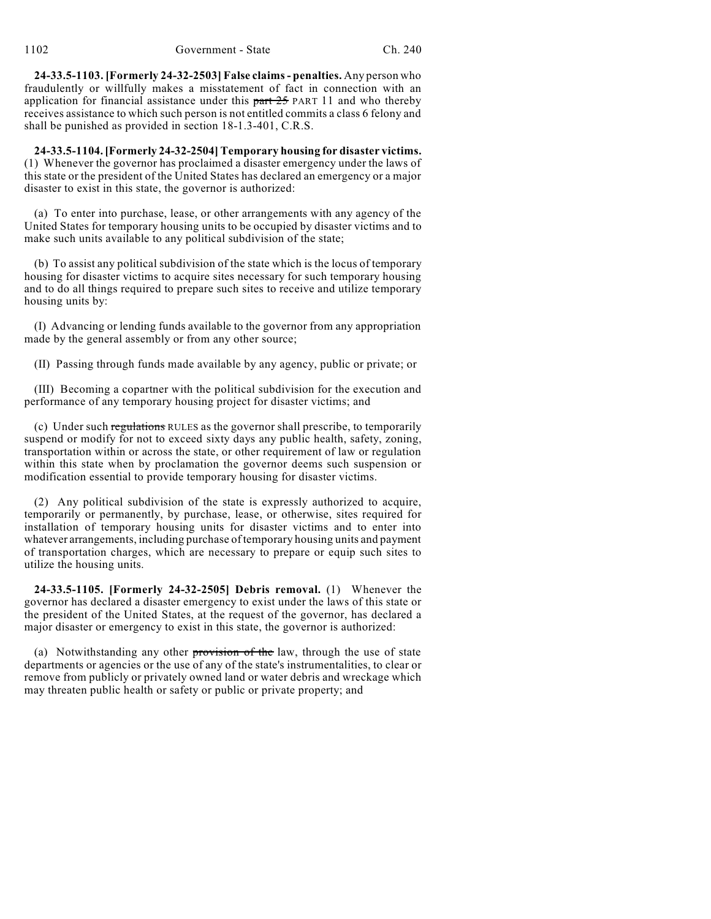**24-33.5-1103. [Formerly 24-32-2503] False claims- penalties.** Any person who fraudulently or willfully makes a misstatement of fact in connection with an application for financial assistance under this  $part 25$  PART 11 and who thereby receives assistance to which such person is not entitled commits a class 6 felony and shall be punished as provided in section 18-1.3-401, C.R.S.

**24-33.5-1104. [Formerly 24-32-2504] Temporary housing for disaster victims.** (1) Whenever the governor has proclaimed a disaster emergency under the laws of this state or the president of the United States has declared an emergency or a major disaster to exist in this state, the governor is authorized:

(a) To enter into purchase, lease, or other arrangements with any agency of the United States for temporary housing units to be occupied by disaster victims and to make such units available to any political subdivision of the state;

(b) To assist any political subdivision of the state which is the locus of temporary housing for disaster victims to acquire sites necessary for such temporary housing and to do all things required to prepare such sites to receive and utilize temporary housing units by:

(I) Advancing or lending funds available to the governor from any appropriation made by the general assembly or from any other source;

(II) Passing through funds made available by any agency, public or private; or

(III) Becoming a copartner with the political subdivision for the execution and performance of any temporary housing project for disaster victims; and

(c) Under such regulations RULES as the governor shall prescribe, to temporarily suspend or modify for not to exceed sixty days any public health, safety, zoning, transportation within or across the state, or other requirement of law or regulation within this state when by proclamation the governor deems such suspension or modification essential to provide temporary housing for disaster victims.

(2) Any political subdivision of the state is expressly authorized to acquire, temporarily or permanently, by purchase, lease, or otherwise, sites required for installation of temporary housing units for disaster victims and to enter into whatever arrangements, including purchase of temporary housing units and payment of transportation charges, which are necessary to prepare or equip such sites to utilize the housing units.

**24-33.5-1105. [Formerly 24-32-2505] Debris removal.** (1) Whenever the governor has declared a disaster emergency to exist under the laws of this state or the president of the United States, at the request of the governor, has declared a major disaster or emergency to exist in this state, the governor is authorized:

(a) Notwithstanding any other provision of the law, through the use of state departments or agencies or the use of any of the state's instrumentalities, to clear or remove from publicly or privately owned land or water debris and wreckage which may threaten public health or safety or public or private property; and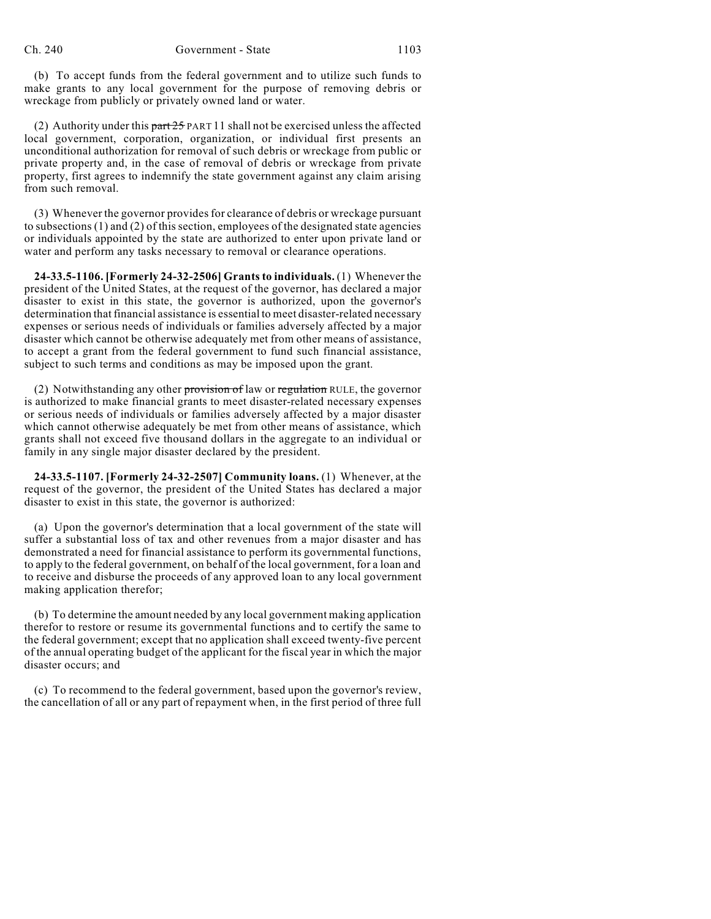(b) To accept funds from the federal government and to utilize such funds to make grants to any local government for the purpose of removing debris or wreckage from publicly or privately owned land or water.

(2) Authority under this  $part 25$  PART 11 shall not be exercised unless the affected local government, corporation, organization, or individual first presents an unconditional authorization for removal of such debris or wreckage from public or private property and, in the case of removal of debris or wreckage from private property, first agrees to indemnify the state government against any claim arising from such removal.

(3) Whenever the governor providesfor clearance of debris or wreckage pursuant to subsections  $(1)$  and  $(2)$  of this section, employees of the designated state agencies or individuals appointed by the state are authorized to enter upon private land or water and perform any tasks necessary to removal or clearance operations.

**24-33.5-1106. [Formerly 24-32-2506] Grantsto individuals.** (1) Whenever the president of the United States, at the request of the governor, has declared a major disaster to exist in this state, the governor is authorized, upon the governor's determination that financial assistance is essential to meet disaster-related necessary expenses or serious needs of individuals or families adversely affected by a major disaster which cannot be otherwise adequately met from other means of assistance, to accept a grant from the federal government to fund such financial assistance, subject to such terms and conditions as may be imposed upon the grant.

(2) Notwithstanding any other provision of law or regulation RULE, the governor is authorized to make financial grants to meet disaster-related necessary expenses or serious needs of individuals or families adversely affected by a major disaster which cannot otherwise adequately be met from other means of assistance, which grants shall not exceed five thousand dollars in the aggregate to an individual or family in any single major disaster declared by the president.

**24-33.5-1107. [Formerly 24-32-2507] Community loans.** (1) Whenever, at the request of the governor, the president of the United States has declared a major disaster to exist in this state, the governor is authorized:

(a) Upon the governor's determination that a local government of the state will suffer a substantial loss of tax and other revenues from a major disaster and has demonstrated a need for financial assistance to perform its governmental functions, to apply to the federal government, on behalf of the local government, for a loan and to receive and disburse the proceeds of any approved loan to any local government making application therefor;

(b) To determine the amount needed by any local government making application therefor to restore or resume its governmental functions and to certify the same to the federal government; except that no application shall exceed twenty-five percent of the annual operating budget of the applicant for the fiscal year in which the major disaster occurs; and

(c) To recommend to the federal government, based upon the governor's review, the cancellation of all or any part of repayment when, in the first period of three full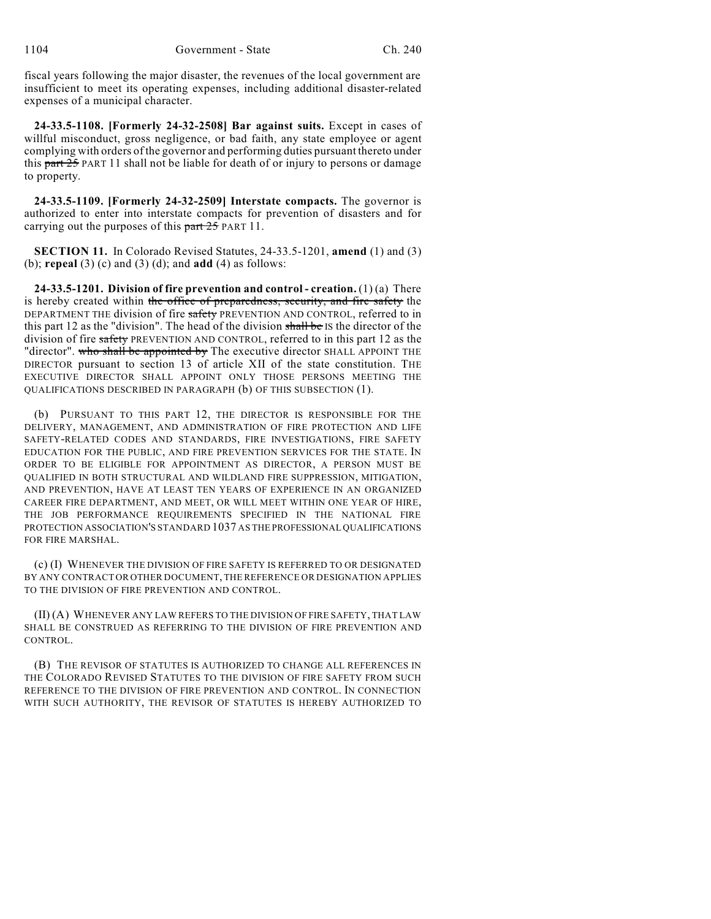fiscal years following the major disaster, the revenues of the local government are insufficient to meet its operating expenses, including additional disaster-related expenses of a municipal character.

**24-33.5-1108. [Formerly 24-32-2508] Bar against suits.** Except in cases of willful misconduct, gross negligence, or bad faith, any state employee or agent complying with orders of the governor and performing duties pursuant thereto under this part 25 PART 11 shall not be liable for death of or injury to persons or damage to property.

**24-33.5-1109. [Formerly 24-32-2509] Interstate compacts.** The governor is authorized to enter into interstate compacts for prevention of disasters and for carrying out the purposes of this  $part 25$  PART 11.

**SECTION 11.** In Colorado Revised Statutes, 24-33.5-1201, **amend** (1) and (3) (b); **repeal** (3) (c) and (3) (d); and **add** (4) as follows:

**24-33.5-1201. Division of fire prevention and control - creation.** (1) (a) There is hereby created within the office of preparedness, security, and fire safety the DEPARTMENT THE division of fire safety PREVENTION AND CONTROL, referred to in this part 12 as the "division". The head of the division shall be IS the director of the division of fire safety PREVENTION AND CONTROL, referred to in this part 12 as the "director". who shall be appointed by The executive director SHALL APPOINT THE DIRECTOR pursuant to section 13 of article XII of the state constitution. THE EXECUTIVE DIRECTOR SHALL APPOINT ONLY THOSE PERSONS MEETING THE QUALIFICATIONS DESCRIBED IN PARAGRAPH (b) OF THIS SUBSECTION (1).

(b) PURSUANT TO THIS PART 12, THE DIRECTOR IS RESPONSIBLE FOR THE DELIVERY, MANAGEMENT, AND ADMINISTRATION OF FIRE PROTECTION AND LIFE SAFETY-RELATED CODES AND STANDARDS, FIRE INVESTIGATIONS, FIRE SAFETY EDUCATION FOR THE PUBLIC, AND FIRE PREVENTION SERVICES FOR THE STATE. IN ORDER TO BE ELIGIBLE FOR APPOINTMENT AS DIRECTOR, A PERSON MUST BE QUALIFIED IN BOTH STRUCTURAL AND WILDLAND FIRE SUPPRESSION, MITIGATION, AND PREVENTION, HAVE AT LEAST TEN YEARS OF EXPERIENCE IN AN ORGANIZED CAREER FIRE DEPARTMENT, AND MEET, OR WILL MEET WITHIN ONE YEAR OF HIRE, THE JOB PERFORMANCE REQUIREMENTS SPECIFIED IN THE NATIONAL FIRE PROTECTION ASSOCIATION'S STANDARD 1037 AS THE PROFESSIONAL QUALIFICATIONS FOR FIRE MARSHAL.

(c) (I) WHENEVER THE DIVISION OF FIRE SAFETY IS REFERRED TO OR DESIGNATED BY ANY CONTRACT OR OTHER DOCUMENT, THE REFERENCE OR DESIGNATION APPLIES TO THE DIVISION OF FIRE PREVENTION AND CONTROL.

(II) (A) WHENEVER ANY LAW REFERS TO THE DIVISION OF FIRE SAFETY, THAT LAW SHALL BE CONSTRUED AS REFERRING TO THE DIVISION OF FIRE PREVENTION AND CONTROL.

(B) THE REVISOR OF STATUTES IS AUTHORIZED TO CHANGE ALL REFERENCES IN THE COLORADO REVISED STATUTES TO THE DIVISION OF FIRE SAFETY FROM SUCH REFERENCE TO THE DIVISION OF FIRE PREVENTION AND CONTROL. IN CONNECTION WITH SUCH AUTHORITY, THE REVISOR OF STATUTES IS HEREBY AUTHORIZED TO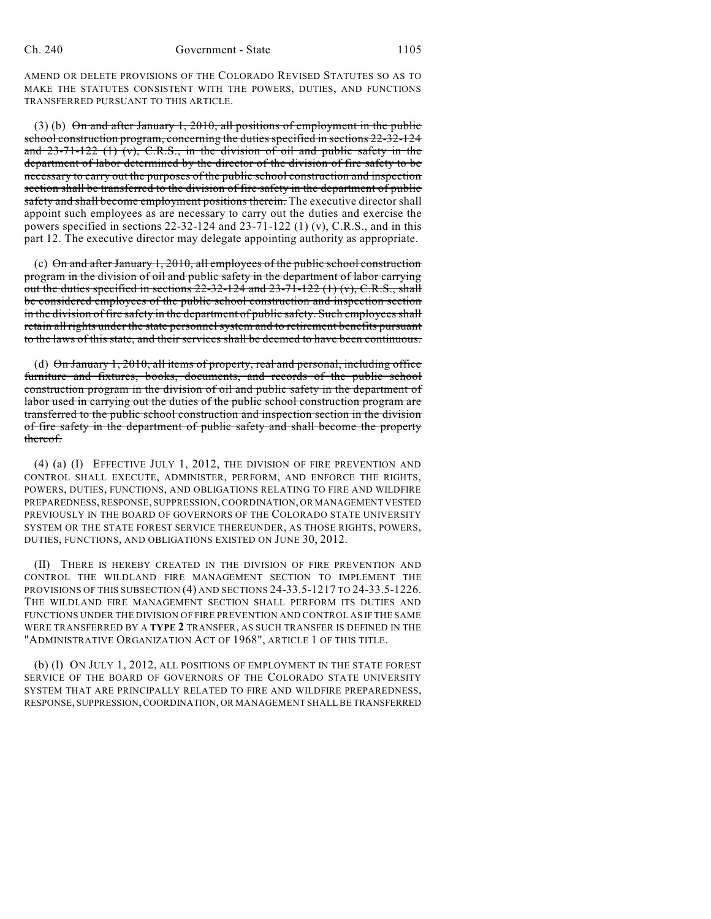AMEND OR DELETE PROVISIONS OF THE COLORADO REVISED STATUTES SO AS TO MAKE THE STATUTES CONSISTENT WITH THE POWERS, DUTIES, AND FUNCTIONS TRANSFERRED PURSUANT TO THIS ARTICLE.

(3) (b) On and after January 1, 2010, all positions of employment in the public school construction program, concerning the duties specified in sections 22-32-124 and  $23-71-122$  (1) (v), C.R.S., in the division of oil and public safety in the department of labor determined by the director of the division of fire safety to be necessary to carry out the purposes of the public school construction and inspection section shall be transferred to the division of fire safety in the department of public safety and shall become employment positions therein. The executive director shall appoint such employees as are necessary to carry out the duties and exercise the powers specified in sections  $22-32-124$  and  $23-71-122$  (1) (v), C.R.S., and in this part 12. The executive director may delegate appointing authority as appropriate.

(c)  $\Theta$ n and after January 1, 2010, all employees of the public school construction program in the division of oil and public safety in the department of labor carrying out the duties specified in sections  $22-32-124$  and  $23-71-122$  (1) (v), C.R.S., shall be considered employees of the public school construction and inspection section in the division of fire safety in the department of public safety. Such employeesshall retain all rights under the state personnel system and to retirement benefits pursuant to the laws of this state, and their services shall be deemed to have been continuous.

(d) On January 1, 2010, all items of property, real and personal, including office furniture and fixtures, books, documents, and records of the public school construction program in the division of oil and public safety in the department of labor used in carrying out the duties of the public school construction program are transferred to the public school construction and inspection section in the division of fire safety in the department of public safety and shall become the property thereof.

(4) (a) (I) EFFECTIVE JULY 1, 2012, THE DIVISION OF FIRE PREVENTION AND CONTROL SHALL EXECUTE, ADMINISTER, PERFORM, AND ENFORCE THE RIGHTS, POWERS, DUTIES, FUNCTIONS, AND OBLIGATIONS RELATING TO FIRE AND WILDFIRE PREPAREDNESS,RESPONSE, SUPPRESSION, COORDINATION, OR MANAGEMENT VESTED PREVIOUSLY IN THE BOARD OF GOVERNORS OF THE COLORADO STATE UNIVERSITY SYSTEM OR THE STATE FOREST SERVICE THEREUNDER, AS THOSE RIGHTS, POWERS, DUTIES, FUNCTIONS, AND OBLIGATIONS EXISTED ON JUNE 30, 2012.

(II) THERE IS HEREBY CREATED IN THE DIVISION OF FIRE PREVENTION AND CONTROL THE WILDLAND FIRE MANAGEMENT SECTION TO IMPLEMENT THE PROVISIONS OF THIS SUBSECTION (4) AND SECTIONS 24-33.5-1217 TO 24-33.5-1226. THE WILDLAND FIRE MANAGEMENT SECTION SHALL PERFORM ITS DUTIES AND FUNCTIONS UNDER THE DIVISION OF FIRE PREVENTION AND CONTROL AS IF THE SAME WERE TRANSFERRED BY A **TYPE 2** TRANSFER, AS SUCH TRANSFER IS DEFINED IN THE "ADMINISTRATIVE ORGANIZATION ACT OF 1968", ARTICLE 1 OF THIS TITLE.

(b) (I) ON JULY 1, 2012, ALL POSITIONS OF EMPLOYMENT IN THE STATE FOREST SERVICE OF THE BOARD OF GOVERNORS OF THE COLORADO STATE UNIVERSITY SYSTEM THAT ARE PRINCIPALLY RELATED TO FIRE AND WILDFIRE PREPAREDNESS, RESPONSE, SUPPRESSION,COORDINATION, OR MANAGEMENT SHALL BE TRANSFERRED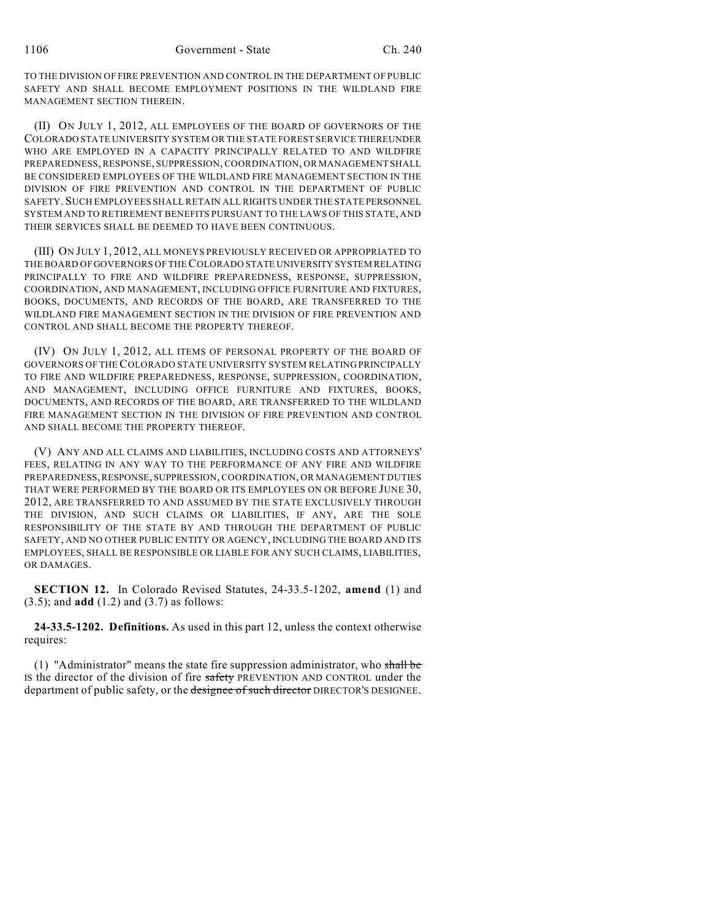TO THE DIVISION OF FIRE PREVENTION AND CONTROL IN THE DEPARTMENT OF PUBLIC SAFETY AND SHALL BECOME EMPLOYMENT POSITIONS IN THE WILDLAND FIRE MANAGEMENT SECTION THEREIN.

(II) ON JULY 1, 2012, ALL EMPLOYEES OF THE BOARD OF GOVERNORS OF THE COLORADO STATE UNIVERSITY SYSTEM OR THE STATE FOREST SERVICE THEREUNDER WHO ARE EMPLOYED IN A CAPACITY PRINCIPALLY RELATED TO AND WILDFIRE PREPAREDNESS, RESPONSE, SUPPRESSION, COORDINATION, OR MANAGEMENT SHALL BE CONSIDERED EMPLOYEES OF THE WILDLAND FIRE MANAGEMENT SECTION IN THE DIVISION OF FIRE PREVENTION AND CONTROL IN THE DEPARTMENT OF PUBLIC SAFETY.SUCH EMPLOYEES SHALLRETAIN ALL RIGHTS UNDER THE STATE PERSONNEL SYSTEM AND TO RETIREMENT BENEFITS PURSUANT TO THE LAWS OF THIS STATE, AND THEIR SERVICES SHALL BE DEEMED TO HAVE BEEN CONTINUOUS.

(III) ON JULY 1, 2012, ALL MONEYS PREVIOUSLY RECEIVED OR APPROPRIATED TO THE BOARD OF GOVERNORS OF THECOLORADO STATE UNIVERSITY SYSTEM RELATING PRINCIPALLY TO FIRE AND WILDFIRE PREPAREDNESS, RESPONSE, SUPPRESSION, COORDINATION, AND MANAGEMENT, INCLUDING OFFICE FURNITURE AND FIXTURES, BOOKS, DOCUMENTS, AND RECORDS OF THE BOARD, ARE TRANSFERRED TO THE WILDLAND FIRE MANAGEMENT SECTION IN THE DIVISION OF FIRE PREVENTION AND CONTROL AND SHALL BECOME THE PROPERTY THEREOF.

(IV) ON JULY 1, 2012, ALL ITEMS OF PERSONAL PROPERTY OF THE BOARD OF GOVERNORS OF THECOLORADO STATE UNIVERSITY SYSTEM RELATING PRINCIPALLY TO FIRE AND WILDFIRE PREPAREDNESS, RESPONSE, SUPPRESSION, COORDINATION, AND MANAGEMENT, INCLUDING OFFICE FURNITURE AND FIXTURES, BOOKS, DOCUMENTS, AND RECORDS OF THE BOARD, ARE TRANSFERRED TO THE WILDLAND FIRE MANAGEMENT SECTION IN THE DIVISION OF FIRE PREVENTION AND CONTROL AND SHALL BECOME THE PROPERTY THEREOF.

(V) ANY AND ALL CLAIMS AND LIABILITIES, INCLUDING COSTS AND ATTORNEYS' FEES, RELATING IN ANY WAY TO THE PERFORMANCE OF ANY FIRE AND WILDFIRE PREPAREDNESS,RESPONSE, SUPPRESSION,COORDINATION, OR MANAGEMENT DUTIES THAT WERE PERFORMED BY THE BOARD OR ITS EMPLOYEES ON OR BEFORE JUNE 30, 2012, ARE TRANSFERRED TO AND ASSUMED BY THE STATE EXCLUSIVELY THROUGH THE DIVISION, AND SUCH CLAIMS OR LIABILITIES, IF ANY, ARE THE SOLE RESPONSIBILITY OF THE STATE BY AND THROUGH THE DEPARTMENT OF PUBLIC SAFETY, AND NO OTHER PUBLIC ENTITY OR AGENCY, INCLUDING THE BOARD AND ITS EMPLOYEES, SHALL BE RESPONSIBLE OR LIABLE FOR ANY SUCH CLAIMS, LIABILITIES, OR DAMAGES.

**SECTION 12.** In Colorado Revised Statutes, 24-33.5-1202, **amend** (1) and (3.5); and **add** (1.2) and (3.7) as follows:

**24-33.5-1202. Definitions.** As used in this part 12, unless the context otherwise requires:

(1) "Administrator" means the state fire suppression administrator, who shall be IS the director of the division of fire safety PREVENTION AND CONTROL under the department of public safety, or the designee of such director DIRECTOR'S DESIGNEE.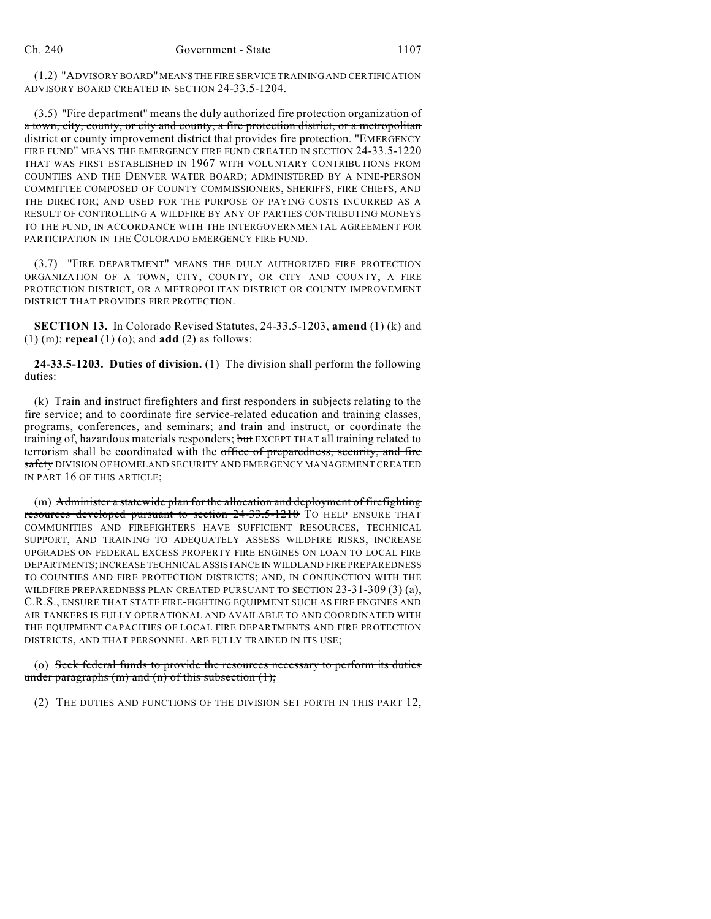(1.2) "ADVISORY BOARD"MEANS THE FIRE SERVICE TRAINING AND CERTIFICATION ADVISORY BOARD CREATED IN SECTION 24-33.5-1204.

(3.5) "Fire department" means the duly authorized fire protection organization of a town, city, county, or city and county, a fire protection district, or a metropolitan district or county improvement district that provides fire protection. "EMERGENCY FIRE FUND" MEANS THE EMERGENCY FIRE FUND CREATED IN SECTION 24-33.5-1220 THAT WAS FIRST ESTABLISHED IN 1967 WITH VOLUNTARY CONTRIBUTIONS FROM COUNTIES AND THE DENVER WATER BOARD; ADMINISTERED BY A NINE-PERSON COMMITTEE COMPOSED OF COUNTY COMMISSIONERS, SHERIFFS, FIRE CHIEFS, AND THE DIRECTOR; AND USED FOR THE PURPOSE OF PAYING COSTS INCURRED AS A RESULT OF CONTROLLING A WILDFIRE BY ANY OF PARTIES CONTRIBUTING MONEYS TO THE FUND, IN ACCORDANCE WITH THE INTERGOVERNMENTAL AGREEMENT FOR PARTICIPATION IN THE COLORADO EMERGENCY FIRE FUND.

(3.7) "FIRE DEPARTMENT" MEANS THE DULY AUTHORIZED FIRE PROTECTION ORGANIZATION OF A TOWN, CITY, COUNTY, OR CITY AND COUNTY, A FIRE PROTECTION DISTRICT, OR A METROPOLITAN DISTRICT OR COUNTY IMPROVEMENT DISTRICT THAT PROVIDES FIRE PROTECTION.

**SECTION 13.** In Colorado Revised Statutes, 24-33.5-1203, **amend** (1) (k) and (1) (m); **repeal** (1) (o); and **add** (2) as follows:

**24-33.5-1203. Duties of division.** (1) The division shall perform the following duties:

(k) Train and instruct firefighters and first responders in subjects relating to the fire service; and to coordinate fire service-related education and training classes, programs, conferences, and seminars; and train and instruct, or coordinate the training of, hazardous materials responders; but EXCEPT THAT all training related to terrorism shall be coordinated with the office of preparedness, security, and fire safety DIVISION OF HOMELAND SECURITY AND EMERGENCY MANAGEMENT CREATED IN PART 16 OF THIS ARTICLE;

(m) Administer a statewide plan for the allocation and deployment of firefighting resources developed pursuant to section 24-33.5-1210 TO HELP ENSURE THAT COMMUNITIES AND FIREFIGHTERS HAVE SUFFICIENT RESOURCES, TECHNICAL SUPPORT, AND TRAINING TO ADEQUATELY ASSESS WILDFIRE RISKS, INCREASE UPGRADES ON FEDERAL EXCESS PROPERTY FIRE ENGINES ON LOAN TO LOCAL FIRE DEPARTMENTS;INCREASE TECHNICAL ASSISTANCE IN WILDLAND FIRE PREPAREDNESS TO COUNTIES AND FIRE PROTECTION DISTRICTS; AND, IN CONJUNCTION WITH THE WILDFIRE PREPAREDNESS PLAN CREATED PURSUANT TO SECTION 23-31-309 (3) (a), C.R.S., ENSURE THAT STATE FIRE-FIGHTING EQUIPMENT SUCH AS FIRE ENGINES AND AIR TANKERS IS FULLY OPERATIONAL AND AVAILABLE TO AND COORDINATED WITH THE EQUIPMENT CAPACITIES OF LOCAL FIRE DEPARTMENTS AND FIRE PROTECTION DISTRICTS, AND THAT PERSONNEL ARE FULLY TRAINED IN ITS USE;

### (o) Seek federal funds to provide the resources necessary to perform its duties under paragraphs  $(m)$  and  $(n)$  of this subsection  $(1)$ ;

(2) THE DUTIES AND FUNCTIONS OF THE DIVISION SET FORTH IN THIS PART 12,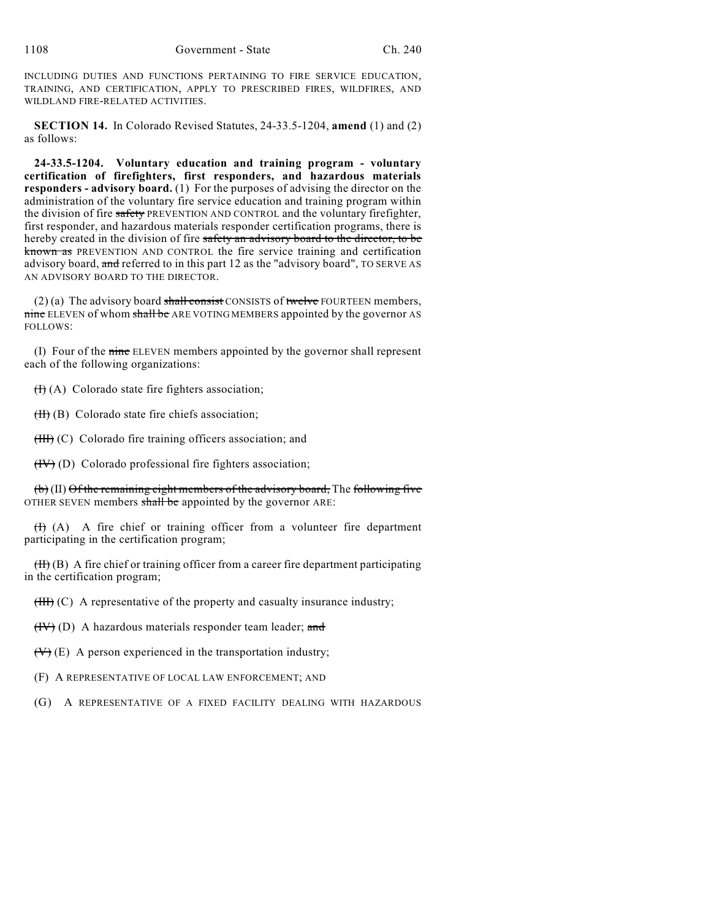INCLUDING DUTIES AND FUNCTIONS PERTAINING TO FIRE SERVICE EDUCATION, TRAINING, AND CERTIFICATION, APPLY TO PRESCRIBED FIRES, WILDFIRES, AND WILDLAND FIRE-RELATED ACTIVITIES.

**SECTION 14.** In Colorado Revised Statutes, 24-33.5-1204, **amend** (1) and (2) as follows:

**24-33.5-1204. Voluntary education and training program - voluntary certification of firefighters, first responders, and hazardous materials responders - advisory board.** (1) For the purposes of advising the director on the administration of the voluntary fire service education and training program within the division of fire safety PREVENTION AND CONTROL and the voluntary firefighter, first responder, and hazardous materials responder certification programs, there is hereby created in the division of fire safety an advisory board to the director, to be known as PREVENTION AND CONTROL the fire service training and certification advisory board, and referred to in this part 12 as the "advisory board", TO SERVE AS AN ADVISORY BOARD TO THE DIRECTOR.

 $(2)$  (a) The advisory board shall consist CONSISTS of twelve FOURTEEN members, nine ELEVEN of whom shall be ARE VOTING MEMBERS appointed by the governor AS FOLLOWS:

(I) Four of the nine ELEVEN members appointed by the governor shall represent each of the following organizations:

 $(H)$  (A) Colorado state fire fighters association;

 $(H)$  (B) Colorado state fire chiefs association;

(III) (C) Colorado fire training officers association; and

(IV) (D) Colorado professional fire fighters association;

(b) (II) Of the remaining eight members of the advisory board, The following five OTHER SEVEN members shall be appointed by the governor ARE:

 $(H)$  (A) A fire chief or training officer from a volunteer fire department participating in the certification program;

 $(H)$  (B) A fire chief or training officer from a career fire department participating in the certification program;

 $(HH)$  (C) A representative of the property and casualty insurance industry;

 $(HV)$  (D) A hazardous materials responder team leader; and

 $(\forall)$  (E) A person experienced in the transportation industry;

(F) A REPRESENTATIVE OF LOCAL LAW ENFORCEMENT; AND

(G) A REPRESENTATIVE OF A FIXED FACILITY DEALING WITH HAZARDOUS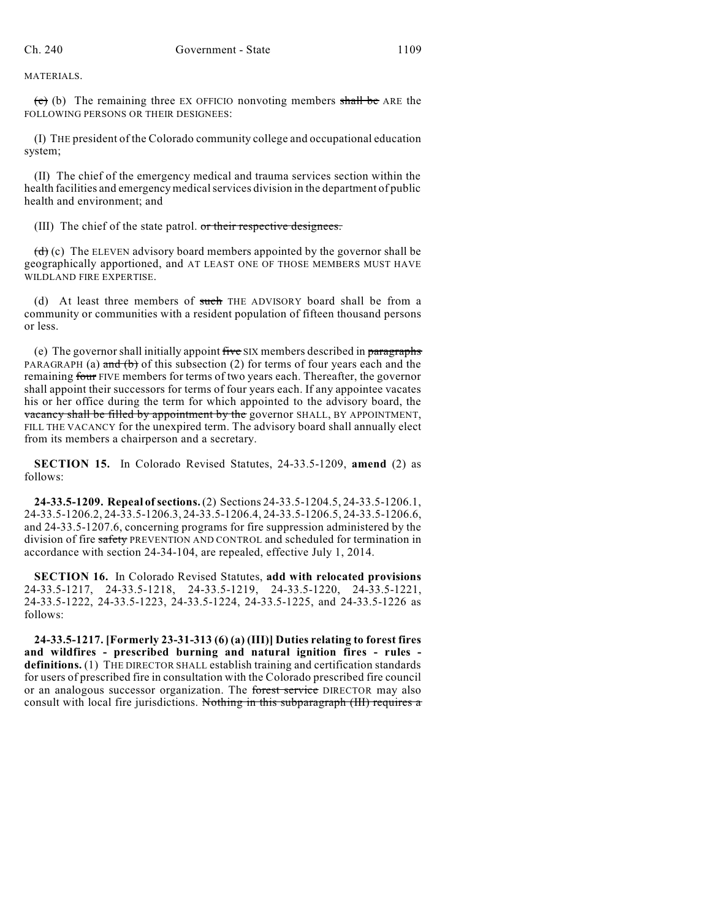MATERIALS.

 $\overline{(e)}$  (b) The remaining three EX OFFICIO nonvoting members shall be ARE the FOLLOWING PERSONS OR THEIR DESIGNEES:

(I) THE president of the Colorado community college and occupational education system;

(II) The chief of the emergency medical and trauma services section within the health facilities and emergency medicalservices division in the department of public health and environment; and

(III) The chief of the state patrol. or their respective designees.

 $(d)$  (c) The ELEVEN advisory board members appointed by the governor shall be geographically apportioned, and AT LEAST ONE OF THOSE MEMBERS MUST HAVE WILDLAND FIRE EXPERTISE.

(d) At least three members of such THE ADVISORY board shall be from a community or communities with a resident population of fifteen thousand persons or less.

(e) The governor shall initially appoint five SIX members described in paragraphs PARAGRAPH (a) and (b) of this subsection (2) for terms of four years each and the remaining four FIVE members for terms of two years each. Thereafter, the governor shall appoint their successors for terms of four years each. If any appointee vacates his or her office during the term for which appointed to the advisory board, the vacancy shall be filled by appointment by the governor SHALL, BY APPOINTMENT, FILL THE VACANCY for the unexpired term. The advisory board shall annually elect from its members a chairperson and a secretary.

**SECTION 15.** In Colorado Revised Statutes, 24-33.5-1209, **amend** (2) as follows:

**24-33.5-1209. Repeal ofsections.** (2) Sections 24-33.5-1204.5, 24-33.5-1206.1, 24-33.5-1206.2, 24-33.5-1206.3, 24-33.5-1206.4, 24-33.5-1206.5, 24-33.5-1206.6, and 24-33.5-1207.6, concerning programs for fire suppression administered by the division of fire safety PREVENTION AND CONTROL and scheduled for termination in accordance with section 24-34-104, are repealed, effective July 1, 2014.

**SECTION 16.** In Colorado Revised Statutes, **add with relocated provisions** 24-33.5-1217, 24-33.5-1218, 24-33.5-1219, 24-33.5-1220, 24-33.5-1221, 24-33.5-1222, 24-33.5-1223, 24-33.5-1224, 24-33.5-1225, and 24-33.5-1226 as follows:

**24-33.5-1217. [Formerly 23-31-313 (6) (a) (III)] Duties relating to forest fires and wildfires - prescribed burning and natural ignition fires - rules definitions.** (1) THE DIRECTOR SHALL establish training and certification standards for users of prescribed fire in consultation with the Colorado prescribed fire council or an analogous successor organization. The forest service DIRECTOR may also consult with local fire jurisdictions. Nothing in this subparagraph (III) requires a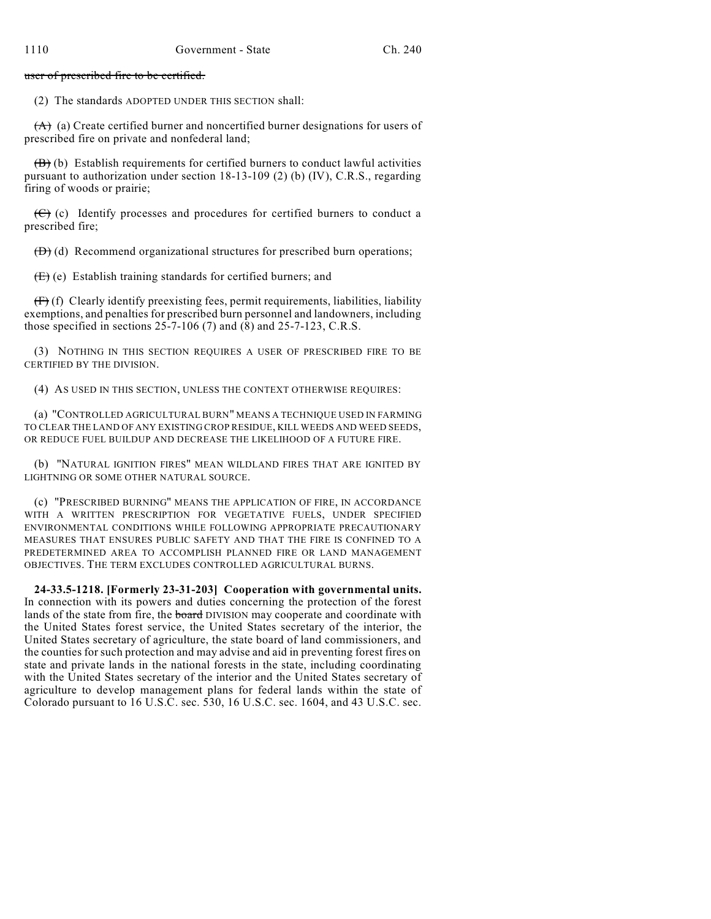user of prescribed fire to be certified.

(2) The standards ADOPTED UNDER THIS SECTION shall:

 $(A)$  (a) Create certified burner and noncertified burner designations for users of prescribed fire on private and nonfederal land;

 $(\overline{B})$  (b) Establish requirements for certified burners to conduct lawful activities pursuant to authorization under section 18-13-109 (2) (b) (IV), C.R.S., regarding firing of woods or prairie;

 $(\mathcal{C})$  (c) Identify processes and procedures for certified burners to conduct a prescribed fire;

 $(D)$  (d) Recommend organizational structures for prescribed burn operations;

 $(E)$  (e) Establish training standards for certified burners; and

 $(f\rightarrow f)$  Clearly identify preexisting fees, permit requirements, liabilities, liability exemptions, and penalties for prescribed burn personnel and landowners, including those specified in sections  $25-7-106$  (7) and (8) and  $25-7-123$ , C.R.S.

(3) NOTHING IN THIS SECTION REQUIRES A USER OF PRESCRIBED FIRE TO BE CERTIFIED BY THE DIVISION.

(4) AS USED IN THIS SECTION, UNLESS THE CONTEXT OTHERWISE REQUIRES:

(a) "CONTROLLED AGRICULTURAL BURN" MEANS A TECHNIQUE USED IN FARMING TO CLEAR THE LAND OF ANY EXISTING CROP RESIDUE, KILL WEEDS AND WEED SEEDS, OR REDUCE FUEL BUILDUP AND DECREASE THE LIKELIHOOD OF A FUTURE FIRE.

(b) "NATURAL IGNITION FIRES" MEAN WILDLAND FIRES THAT ARE IGNITED BY LIGHTNING OR SOME OTHER NATURAL SOURCE.

(c) "PRESCRIBED BURNING" MEANS THE APPLICATION OF FIRE, IN ACCORDANCE WITH A WRITTEN PRESCRIPTION FOR VEGETATIVE FUELS, UNDER SPECIFIED ENVIRONMENTAL CONDITIONS WHILE FOLLOWING APPROPRIATE PRECAUTIONARY MEASURES THAT ENSURES PUBLIC SAFETY AND THAT THE FIRE IS CONFINED TO A PREDETERMINED AREA TO ACCOMPLISH PLANNED FIRE OR LAND MANAGEMENT OBJECTIVES. THE TERM EXCLUDES CONTROLLED AGRICULTURAL BURNS.

**24-33.5-1218. [Formerly 23-31-203] Cooperation with governmental units.** In connection with its powers and duties concerning the protection of the forest lands of the state from fire, the **board** DIVISION may cooperate and coordinate with the United States forest service, the United States secretary of the interior, the United States secretary of agriculture, the state board of land commissioners, and the counties for such protection and may advise and aid in preventing forest fires on state and private lands in the national forests in the state, including coordinating with the United States secretary of the interior and the United States secretary of agriculture to develop management plans for federal lands within the state of Colorado pursuant to 16 U.S.C. sec. 530, 16 U.S.C. sec. 1604, and 43 U.S.C. sec.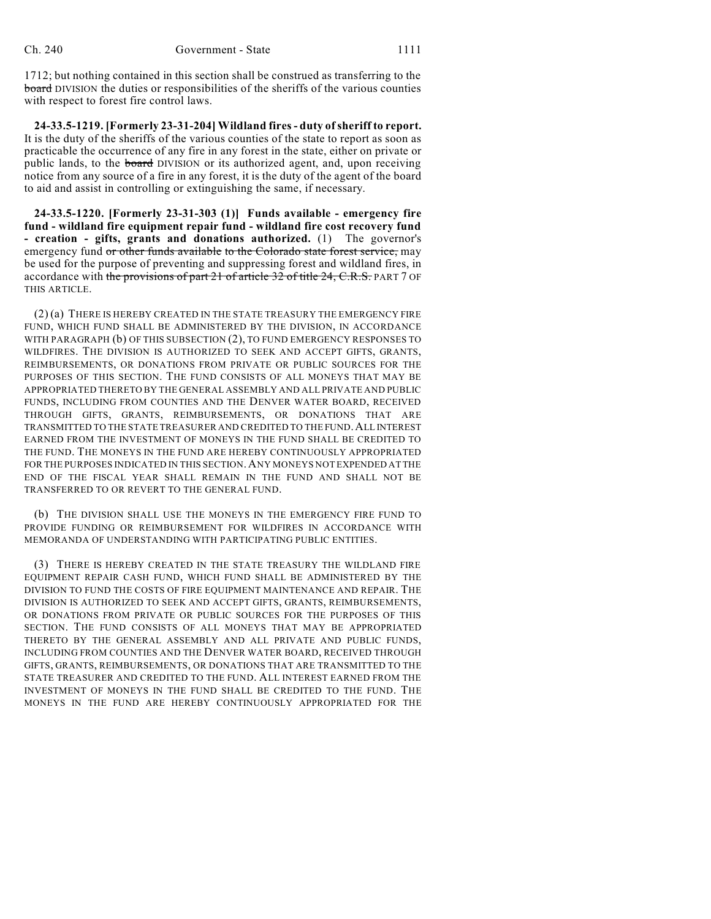1712; but nothing contained in this section shall be construed as transferring to the board DIVISION the duties or responsibilities of the sheriffs of the various counties with respect to forest fire control laws.

**24-33.5-1219. [Formerly 23-31-204] Wildland fires- duty ofsheriff to report.** It is the duty of the sheriffs of the various counties of the state to report as soon as practicable the occurrence of any fire in any forest in the state, either on private or public lands, to the board DIVISION or its authorized agent, and, upon receiving notice from any source of a fire in any forest, it is the duty of the agent of the board to aid and assist in controlling or extinguishing the same, if necessary.

**24-33.5-1220. [Formerly 23-31-303 (1)] Funds available - emergency fire fund - wildland fire equipment repair fund - wildland fire cost recovery fund - creation - gifts, grants and donations authorized.** (1) The governor's emergency fund or other funds available to the Colorado state forest service, may be used for the purpose of preventing and suppressing forest and wildland fires, in accordance with the provisions of part 21 of article 32 of title 24, C.R.S. PART 7 OF THIS ARTICLE.

(2) (a) THERE IS HEREBY CREATED IN THE STATE TREASURY THE EMERGENCY FIRE FUND, WHICH FUND SHALL BE ADMINISTERED BY THE DIVISION, IN ACCORDANCE WITH PARAGRAPH (b) OF THIS SUBSECTION (2), TO FUND EMERGENCY RESPONSES TO WILDFIRES. THE DIVISION IS AUTHORIZED TO SEEK AND ACCEPT GIFTS, GRANTS, REIMBURSEMENTS, OR DONATIONS FROM PRIVATE OR PUBLIC SOURCES FOR THE PURPOSES OF THIS SECTION. THE FUND CONSISTS OF ALL MONEYS THAT MAY BE APPROPRIATED THERETO BY THE GENERAL ASSEMBLY AND ALL PRIVATE AND PUBLIC FUNDS, INCLUDING FROM COUNTIES AND THE DENVER WATER BOARD, RECEIVED THROUGH GIFTS, GRANTS, REIMBURSEMENTS, OR DONATIONS THAT ARE TRANSMITTED TO THE STATE TREASURER AND CREDITED TO THE FUND.ALL INTEREST EARNED FROM THE INVESTMENT OF MONEYS IN THE FUND SHALL BE CREDITED TO THE FUND. THE MONEYS IN THE FUND ARE HEREBY CONTINUOUSLY APPROPRIATED FOR THE PURPOSES INDICATED IN THIS SECTION.ANY MONEYS NOT EXPENDED AT THE END OF THE FISCAL YEAR SHALL REMAIN IN THE FUND AND SHALL NOT BE TRANSFERRED TO OR REVERT TO THE GENERAL FUND.

(b) THE DIVISION SHALL USE THE MONEYS IN THE EMERGENCY FIRE FUND TO PROVIDE FUNDING OR REIMBURSEMENT FOR WILDFIRES IN ACCORDANCE WITH MEMORANDA OF UNDERSTANDING WITH PARTICIPATING PUBLIC ENTITIES.

(3) THERE IS HEREBY CREATED IN THE STATE TREASURY THE WILDLAND FIRE EQUIPMENT REPAIR CASH FUND, WHICH FUND SHALL BE ADMINISTERED BY THE DIVISION TO FUND THE COSTS OF FIRE EQUIPMENT MAINTENANCE AND REPAIR. THE DIVISION IS AUTHORIZED TO SEEK AND ACCEPT GIFTS, GRANTS, REIMBURSEMENTS, OR DONATIONS FROM PRIVATE OR PUBLIC SOURCES FOR THE PURPOSES OF THIS SECTION. THE FUND CONSISTS OF ALL MONEYS THAT MAY BE APPROPRIATED THERETO BY THE GENERAL ASSEMBLY AND ALL PRIVATE AND PUBLIC FUNDS, INCLUDING FROM COUNTIES AND THE DENVER WATER BOARD, RECEIVED THROUGH GIFTS, GRANTS, REIMBURSEMENTS, OR DONATIONS THAT ARE TRANSMITTED TO THE STATE TREASURER AND CREDITED TO THE FUND. ALL INTEREST EARNED FROM THE INVESTMENT OF MONEYS IN THE FUND SHALL BE CREDITED TO THE FUND. THE MONEYS IN THE FUND ARE HEREBY CONTINUOUSLY APPROPRIATED FOR THE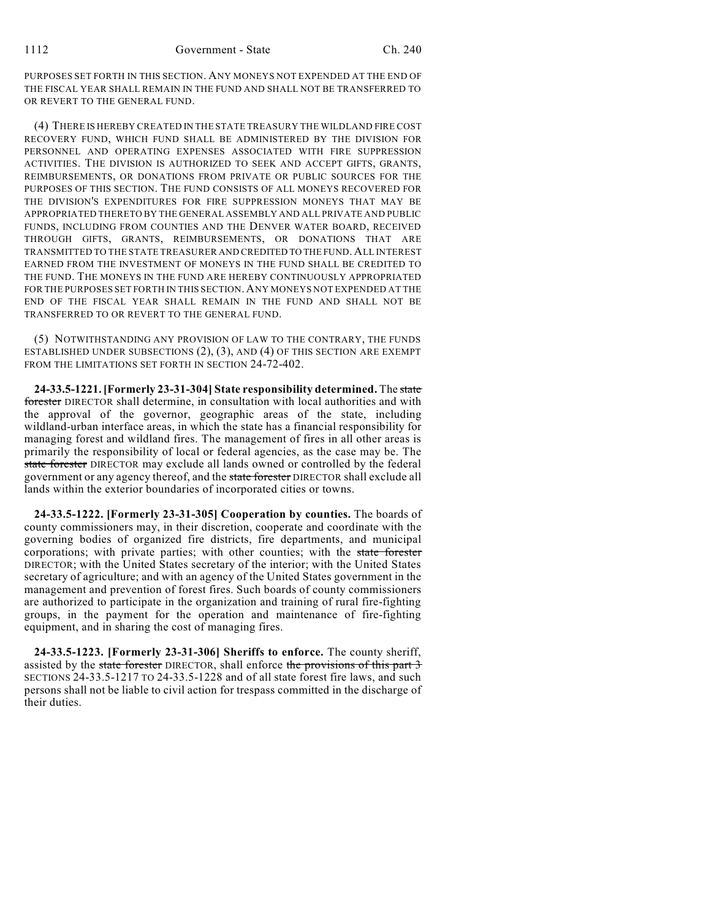PURPOSES SET FORTH IN THIS SECTION. ANY MONEYS NOT EXPENDED AT THE END OF THE FISCAL YEAR SHALL REMAIN IN THE FUND AND SHALL NOT BE TRANSFERRED TO OR REVERT TO THE GENERAL FUND.

(4) THERE IS HEREBY CREATED IN THE STATE TREASURY THE WILDLAND FIRE COST RECOVERY FUND, WHICH FUND SHALL BE ADMINISTERED BY THE DIVISION FOR PERSONNEL AND OPERATING EXPENSES ASSOCIATED WITH FIRE SUPPRESSION ACTIVITIES. THE DIVISION IS AUTHORIZED TO SEEK AND ACCEPT GIFTS, GRANTS, REIMBURSEMENTS, OR DONATIONS FROM PRIVATE OR PUBLIC SOURCES FOR THE PURPOSES OF THIS SECTION. THE FUND CONSISTS OF ALL MONEYS RECOVERED FOR THE DIVISION'S EXPENDITURES FOR FIRE SUPPRESSION MONEYS THAT MAY BE APPROPRIATED THERETO BY THE GENERAL ASSEMBLY AND ALL PRIVATE AND PUBLIC FUNDS, INCLUDING FROM COUNTIES AND THE DENVER WATER BOARD, RECEIVED THROUGH GIFTS, GRANTS, REIMBURSEMENTS, OR DONATIONS THAT ARE TRANSMITTED TO THE STATE TREASURER AND CREDITED TO THE FUND.ALL INTEREST EARNED FROM THE INVESTMENT OF MONEYS IN THE FUND SHALL BE CREDITED TO THE FUND. THE MONEYS IN THE FUND ARE HEREBY CONTINUOUSLY APPROPRIATED FOR THE PURPOSES SET FORTH IN THIS SECTION.ANY MONEYS NOT EXPENDED AT THE END OF THE FISCAL YEAR SHALL REMAIN IN THE FUND AND SHALL NOT BE TRANSFERRED TO OR REVERT TO THE GENERAL FUND.

(5) NOTWITHSTANDING ANY PROVISION OF LAW TO THE CONTRARY, THE FUNDS ESTABLISHED UNDER SUBSECTIONS (2), (3), AND (4) OF THIS SECTION ARE EXEMPT FROM THE LIMITATIONS SET FORTH IN SECTION 24-72-402.

**24-33.5-1221. [Formerly 23-31-304] State responsibility determined.** The state forester DIRECTOR shall determine, in consultation with local authorities and with the approval of the governor, geographic areas of the state, including wildland-urban interface areas, in which the state has a financial responsibility for managing forest and wildland fires. The management of fires in all other areas is primarily the responsibility of local or federal agencies, as the case may be. The state forester DIRECTOR may exclude all lands owned or controlled by the federal government or any agency thereof, and the state forester DIRECTOR shall exclude all lands within the exterior boundaries of incorporated cities or towns.

**24-33.5-1222. [Formerly 23-31-305] Cooperation by counties.** The boards of county commissioners may, in their discretion, cooperate and coordinate with the governing bodies of organized fire districts, fire departments, and municipal corporations; with private parties; with other counties; with the state forester DIRECTOR; with the United States secretary of the interior; with the United States secretary of agriculture; and with an agency of the United States government in the management and prevention of forest fires. Such boards of county commissioners are authorized to participate in the organization and training of rural fire-fighting groups, in the payment for the operation and maintenance of fire-fighting equipment, and in sharing the cost of managing fires.

**24-33.5-1223. [Formerly 23-31-306] Sheriffs to enforce.** The county sheriff, assisted by the state forester DIRECTOR, shall enforce the provisions of this part 3 SECTIONS 24-33.5-1217 TO 24-33.5-1228 and of all state forest fire laws, and such persons shall not be liable to civil action for trespass committed in the discharge of their duties.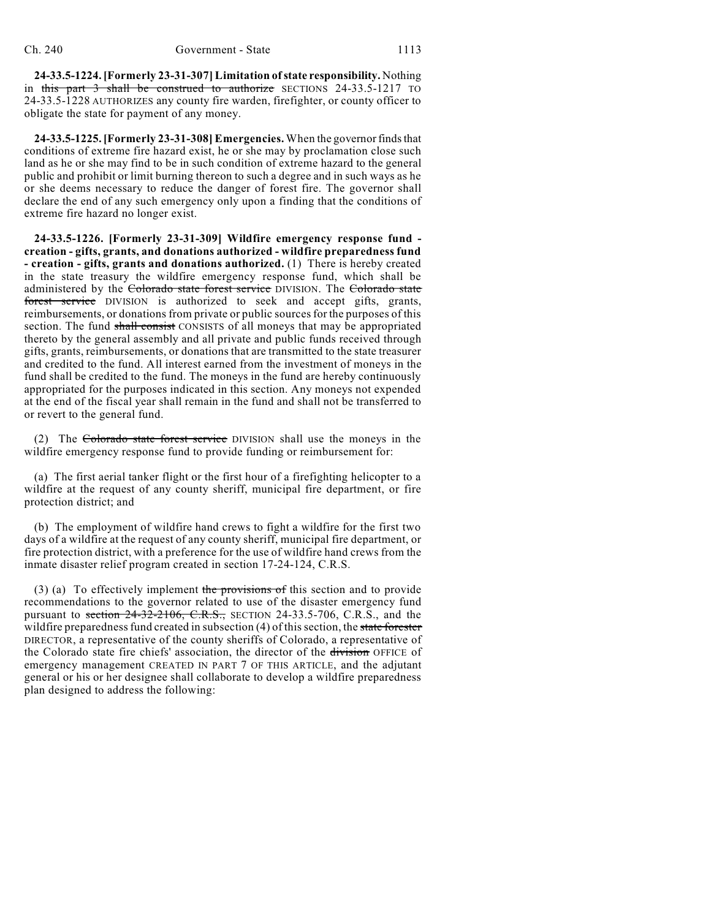**24-33.5-1224. [Formerly 23-31-307] Limitation ofstate responsibility.** Nothing in this part 3 shall be construed to authorize SECTIONS 24-33.5-1217 TO 24-33.5-1228 AUTHORIZES any county fire warden, firefighter, or county officer to obligate the state for payment of any money.

**24-33.5-1225. [Formerly 23-31-308] Emergencies.** When the governor finds that conditions of extreme fire hazard exist, he or she may by proclamation close such land as he or she may find to be in such condition of extreme hazard to the general public and prohibit or limit burning thereon to such a degree and in such ways as he or she deems necessary to reduce the danger of forest fire. The governor shall declare the end of any such emergency only upon a finding that the conditions of extreme fire hazard no longer exist.

**24-33.5-1226. [Formerly 23-31-309] Wildfire emergency response fund creation - gifts, grants, and donations authorized - wildfire preparedness fund - creation - gifts, grants and donations authorized.** (1) There is hereby created in the state treasury the wildfire emergency response fund, which shall be administered by the Colorado state forest service DIVISION. The Colorado state forest service DIVISION is authorized to seek and accept gifts, grants, reimbursements, or donations from private or public sources for the purposes of this section. The fund shall consist CONSISTS of all moneys that may be appropriated thereto by the general assembly and all private and public funds received through gifts, grants, reimbursements, or donations that are transmitted to the state treasurer and credited to the fund. All interest earned from the investment of moneys in the fund shall be credited to the fund. The moneys in the fund are hereby continuously appropriated for the purposes indicated in this section. Any moneys not expended at the end of the fiscal year shall remain in the fund and shall not be transferred to or revert to the general fund.

(2) The Colorado state forest service DIVISION shall use the moneys in the wildfire emergency response fund to provide funding or reimbursement for:

(a) The first aerial tanker flight or the first hour of a firefighting helicopter to a wildfire at the request of any county sheriff, municipal fire department, or fire protection district; and

(b) The employment of wildfire hand crews to fight a wildfire for the first two days of a wildfire at the request of any county sheriff, municipal fire department, or fire protection district, with a preference for the use of wildfire hand crews from the inmate disaster relief program created in section 17-24-124, C.R.S.

(3) (a) To effectively implement the provisions of this section and to provide recommendations to the governor related to use of the disaster emergency fund pursuant to section  $24-32-2106$ , C.R.S., SECTION 24-33.5-706, C.R.S., and the wildfire preparedness fund created in subsection  $(4)$  of this section, the state forester DIRECTOR, a representative of the county sheriffs of Colorado, a representative of the Colorado state fire chiefs' association, the director of the division OFFICE of emergency management CREATED IN PART 7 OF THIS ARTICLE, and the adjutant general or his or her designee shall collaborate to develop a wildfire preparedness plan designed to address the following: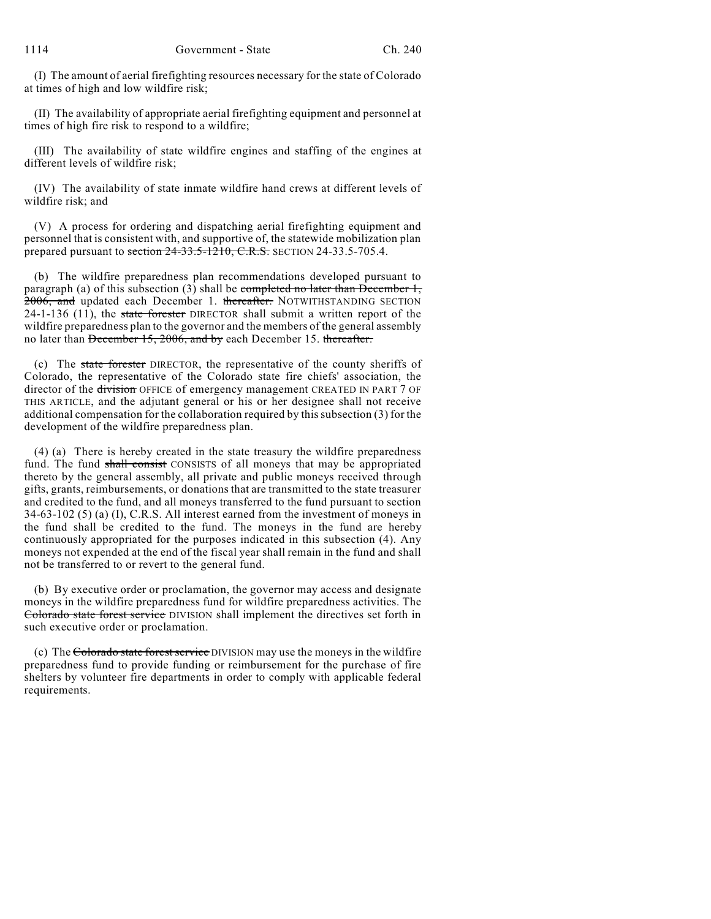(I) The amount of aerial firefighting resources necessary for the state of Colorado at times of high and low wildfire risk;

(II) The availability of appropriate aerial firefighting equipment and personnel at times of high fire risk to respond to a wildfire;

(III) The availability of state wildfire engines and staffing of the engines at different levels of wildfire risk;

(IV) The availability of state inmate wildfire hand crews at different levels of wildfire risk; and

(V) A process for ordering and dispatching aerial firefighting equipment and personnel that is consistent with, and supportive of, the statewide mobilization plan prepared pursuant to section  $24-33.5-1210$ , C.R.S. SECTION 24-33.5-705.4.

(b) The wildfire preparedness plan recommendations developed pursuant to paragraph (a) of this subsection (3) shall be completed no later than December 1, 2006, and updated each December 1. thereafter. NOTWITHSTANDING SECTION 24-1-136  $(11)$ , the state forester DIRECTOR shall submit a written report of the wildfire preparedness plan to the governor and the members of the general assembly no later than December 15, 2006, and by each December 15. thereafter.

(c) The state forester DIRECTOR, the representative of the county sheriffs of Colorado, the representative of the Colorado state fire chiefs' association, the director of the division OFFICE of emergency management CREATED IN PART 7 OF THIS ARTICLE, and the adjutant general or his or her designee shall not receive additional compensation for the collaboration required by this subsection (3) for the development of the wildfire preparedness plan.

(4) (a) There is hereby created in the state treasury the wildfire preparedness fund. The fund shall consist CONSISTS of all moneys that may be appropriated thereto by the general assembly, all private and public moneys received through gifts, grants, reimbursements, or donations that are transmitted to the state treasurer and credited to the fund, and all moneys transferred to the fund pursuant to section 34-63-102 (5) (a) (I), C.R.S. All interest earned from the investment of moneys in the fund shall be credited to the fund. The moneys in the fund are hereby continuously appropriated for the purposes indicated in this subsection (4). Any moneys not expended at the end of the fiscal year shall remain in the fund and shall not be transferred to or revert to the general fund.

(b) By executive order or proclamation, the governor may access and designate moneys in the wildfire preparedness fund for wildfire preparedness activities. The Colorado state forest service DIVISION shall implement the directives set forth in such executive order or proclamation.

(c) The Colorado state forest service DIVISION may use the moneys in the wildfire preparedness fund to provide funding or reimbursement for the purchase of fire shelters by volunteer fire departments in order to comply with applicable federal requirements.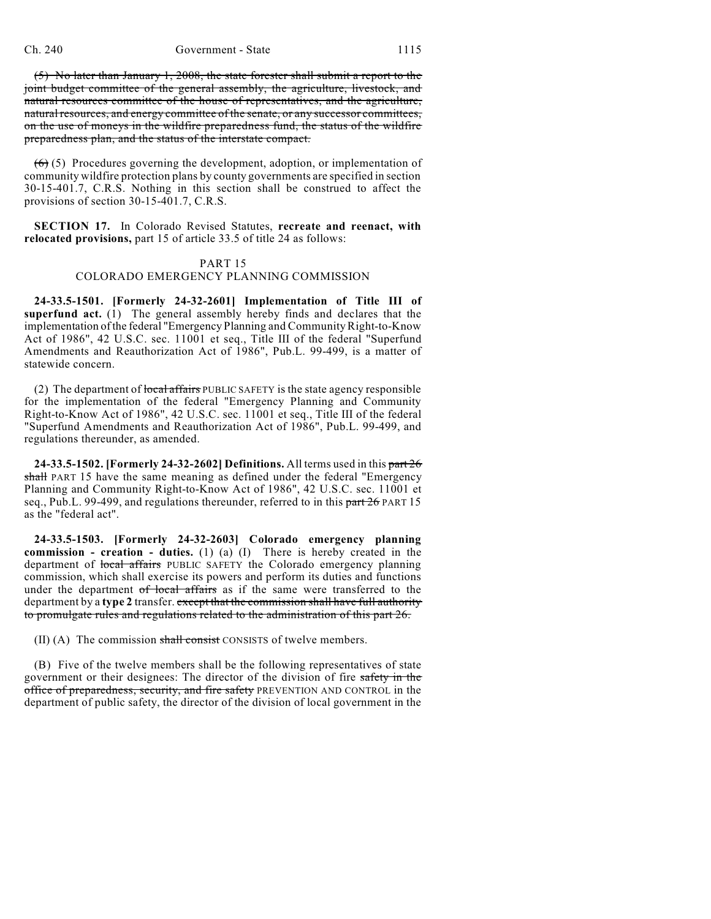(5) No later than January 1, 2008, the state forester shall submit a report to the joint budget committee of the general assembly, the agriculture, livestock, and natural resources committee of the house of representatives, and the agriculture, natural resources, and energy committee of the senate, or any successor committees, on the use of moneys in the wildfire preparedness fund, the status of the wildfire preparedness plan, and the status of the interstate compact.

 $(6)$  (5) Procedures governing the development, adoption, or implementation of community wildfire protection plans by county governments are specified in section 30-15-401.7, C.R.S. Nothing in this section shall be construed to affect the provisions of section 30-15-401.7, C.R.S.

**SECTION 17.** In Colorado Revised Statutes, **recreate and reenact, with relocated provisions,** part 15 of article 33.5 of title 24 as follows:

#### PART 15

### COLORADO EMERGENCY PLANNING COMMISSION

**24-33.5-1501. [Formerly 24-32-2601] Implementation of Title III of superfund act.** (1) The general assembly hereby finds and declares that the implementation of the federal "Emergency Planning and Community Right-to-Know Act of 1986", 42 U.S.C. sec. 11001 et seq., Title III of the federal "Superfund Amendments and Reauthorization Act of 1986", Pub.L. 99-499, is a matter of statewide concern.

(2) The department of local affairs PUBLIC SAFETY is the state agency responsible for the implementation of the federal "Emergency Planning and Community Right-to-Know Act of 1986", 42 U.S.C. sec. 11001 et seq., Title III of the federal "Superfund Amendments and Reauthorization Act of 1986", Pub.L. 99-499, and regulations thereunder, as amended.

**24-33.5-1502. [Formerly 24-32-2602] Definitions.** All terms used in this part 26 shall PART 15 have the same meaning as defined under the federal "Emergency Planning and Community Right-to-Know Act of 1986", 42 U.S.C. sec. 11001 et seq., Pub.L. 99-499, and regulations thereunder, referred to in this  $part 26$  PART 15 as the "federal act".

**24-33.5-1503. [Formerly 24-32-2603] Colorado emergency planning commission - creation - duties.** (1) (a) (I) There is hereby created in the department of local affairs PUBLIC SAFETY the Colorado emergency planning commission, which shall exercise its powers and perform its duties and functions under the department of local affairs as if the same were transferred to the department by a **type 2** transfer. except that the commission shall have full authority to promulgate rules and regulations related to the administration of this part 26.

(II) (A) The commission shall consist CONSISTS of twelve members.

(B) Five of the twelve members shall be the following representatives of state government or their designees: The director of the division of fire safety in the office of preparedness, security, and fire safety PREVENTION AND CONTROL in the department of public safety, the director of the division of local government in the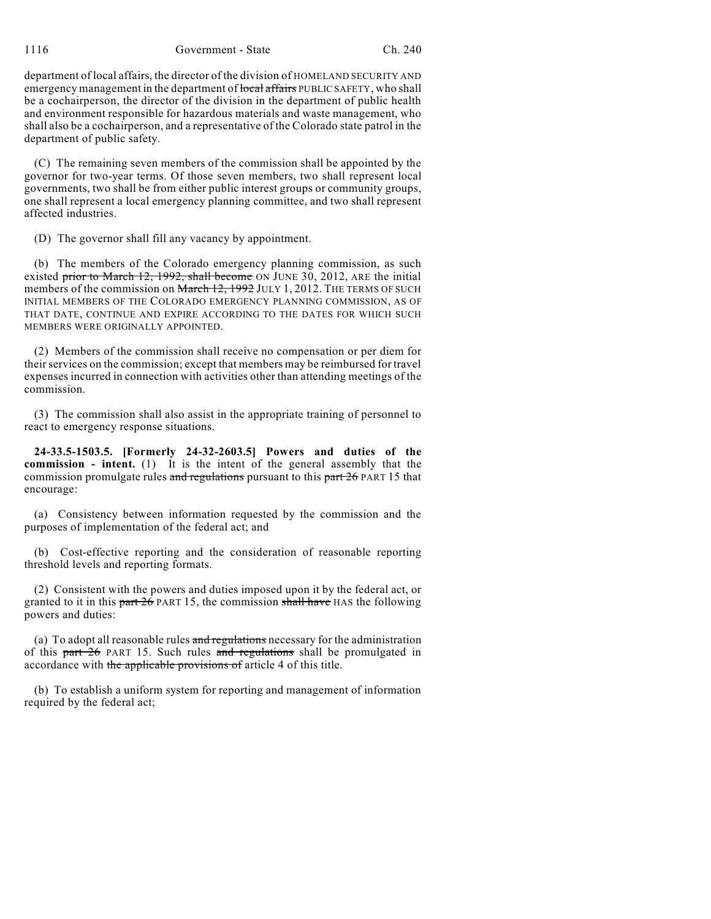1116 Government - State Ch. 240

department of local affairs, the director of the division of HOMELAND SECURITY AND emergency management in the department of local affairs PUBLIC SAFETY, who shall be a cochairperson, the director of the division in the department of public health and environment responsible for hazardous materials and waste management, who shall also be a cochairperson, and a representative of the Colorado state patrol in the department of public safety.

(C) The remaining seven members of the commission shall be appointed by the governor for two-year terms. Of those seven members, two shall represent local governments, two shall be from either public interest groups or community groups, one shall represent a local emergency planning committee, and two shall represent affected industries.

(D) The governor shall fill any vacancy by appointment.

(b) The members of the Colorado emergency planning commission, as such existed prior to March 12, 1992, shall become ON JUNE 30, 2012, ARE the initial members of the commission on March 12, 1992 JULY 1, 2012. THE TERMS OF SUCH INITIAL MEMBERS OF THE COLORADO EMERGENCY PLANNING COMMISSION, AS OF THAT DATE, CONTINUE AND EXPIRE ACCORDING TO THE DATES FOR WHICH SUCH MEMBERS WERE ORIGINALLY APPOINTED.

(2) Members of the commission shall receive no compensation or per diem for their services on the commission; except that members may be reimbursed for travel expenses incurred in connection with activities other than attending meetings of the commission.

(3) The commission shall also assist in the appropriate training of personnel to react to emergency response situations.

**24-33.5-1503.5. [Formerly 24-32-2603.5] Powers and duties of the commission - intent.** (1) It is the intent of the general assembly that the commission promulgate rules and regulations pursuant to this part 26 PART 15 that encourage:

(a) Consistency between information requested by the commission and the purposes of implementation of the federal act; and

(b) Cost-effective reporting and the consideration of reasonable reporting threshold levels and reporting formats.

(2) Consistent with the powers and duties imposed upon it by the federal act, or granted to it in this part  $26$  PART 15, the commission shall have HAS the following powers and duties:

(a) To adopt all reasonable rules and regulations necessary for the administration of this part  $26$  PART 15. Such rules and regulations shall be promulgated in accordance with the applicable provisions of article 4 of this title.

(b) To establish a uniform system for reporting and management of information required by the federal act;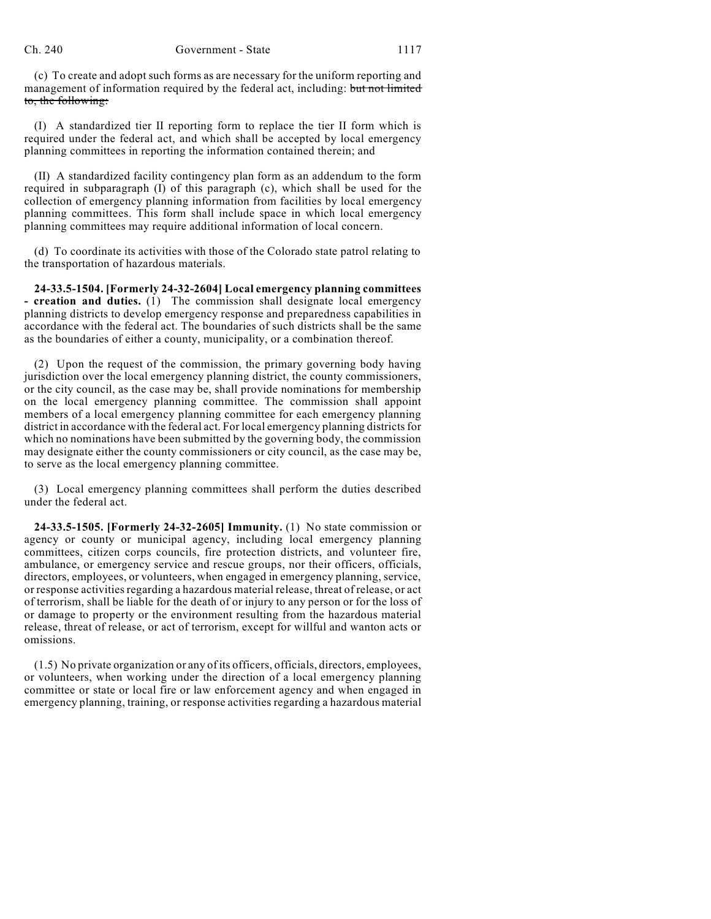(c) To create and adopt such forms as are necessary for the uniform reporting and management of information required by the federal act, including: but not limited to, the following:

(I) A standardized tier II reporting form to replace the tier II form which is required under the federal act, and which shall be accepted by local emergency planning committees in reporting the information contained therein; and

(II) A standardized facility contingency plan form as an addendum to the form required in subparagraph (I) of this paragraph (c), which shall be used for the collection of emergency planning information from facilities by local emergency planning committees. This form shall include space in which local emergency planning committees may require additional information of local concern.

(d) To coordinate its activities with those of the Colorado state patrol relating to the transportation of hazardous materials.

**24-33.5-1504. [Formerly 24-32-2604] Local emergency planning committees - creation and duties.** (1) The commission shall designate local emergency planning districts to develop emergency response and preparedness capabilities in accordance with the federal act. The boundaries of such districts shall be the same as the boundaries of either a county, municipality, or a combination thereof.

(2) Upon the request of the commission, the primary governing body having jurisdiction over the local emergency planning district, the county commissioners, or the city council, as the case may be, shall provide nominations for membership on the local emergency planning committee. The commission shall appoint members of a local emergency planning committee for each emergency planning district in accordance with the federal act. For local emergency planning districts for which no nominations have been submitted by the governing body, the commission may designate either the county commissioners or city council, as the case may be, to serve as the local emergency planning committee.

(3) Local emergency planning committees shall perform the duties described under the federal act.

**24-33.5-1505. [Formerly 24-32-2605] Immunity.** (1) No state commission or agency or county or municipal agency, including local emergency planning committees, citizen corps councils, fire protection districts, and volunteer fire, ambulance, or emergency service and rescue groups, nor their officers, officials, directors, employees, or volunteers, when engaged in emergency planning, service, or response activities regarding a hazardous material release, threat of release, or act of terrorism, shall be liable for the death of or injury to any person or for the loss of or damage to property or the environment resulting from the hazardous material release, threat of release, or act of terrorism, except for willful and wanton acts or omissions.

(1.5) No private organization or any of its officers, officials, directors, employees, or volunteers, when working under the direction of a local emergency planning committee or state or local fire or law enforcement agency and when engaged in emergency planning, training, or response activities regarding a hazardous material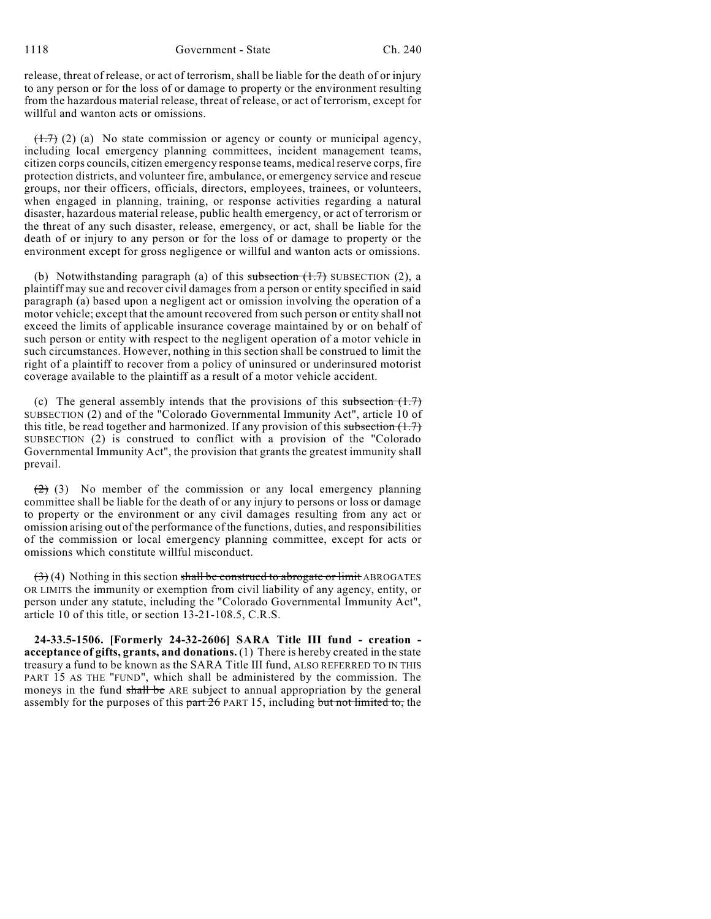release, threat of release, or act of terrorism, shall be liable for the death of or injury to any person or for the loss of or damage to property or the environment resulting from the hazardous material release, threat of release, or act of terrorism, except for willful and wanton acts or omissions.

 $(1.7)$  (2) (a) No state commission or agency or county or municipal agency, including local emergency planning committees, incident management teams, citizen corps councils, citizen emergency response teams, medical reserve corps, fire protection districts, and volunteer fire, ambulance, or emergency service and rescue groups, nor their officers, officials, directors, employees, trainees, or volunteers, when engaged in planning, training, or response activities regarding a natural disaster, hazardous material release, public health emergency, or act of terrorism or the threat of any such disaster, release, emergency, or act, shall be liable for the death of or injury to any person or for the loss of or damage to property or the environment except for gross negligence or willful and wanton acts or omissions.

(b) Notwithstanding paragraph (a) of this subsection  $(1.7)$  SUBSECTION (2), a plaintiff may sue and recover civil damages from a person or entity specified in said paragraph (a) based upon a negligent act or omission involving the operation of a motor vehicle; except that the amount recovered from such person or entity shall not exceed the limits of applicable insurance coverage maintained by or on behalf of such person or entity with respect to the negligent operation of a motor vehicle in such circumstances. However, nothing in this section shall be construed to limit the right of a plaintiff to recover from a policy of uninsured or underinsured motorist coverage available to the plaintiff as a result of a motor vehicle accident.

(c) The general assembly intends that the provisions of this subsection  $(1.7)$ SUBSECTION (2) and of the "Colorado Governmental Immunity Act", article 10 of this title, be read together and harmonized. If any provision of this subsection  $(1.7)$ SUBSECTION (2) is construed to conflict with a provision of the "Colorado Governmental Immunity Act", the provision that grants the greatest immunity shall prevail.

 $(2)$  (3) No member of the commission or any local emergency planning committee shall be liable for the death of or any injury to persons or loss or damage to property or the environment or any civil damages resulting from any act or omission arising out of the performance of the functions, duties, and responsibilities of the commission or local emergency planning committee, except for acts or omissions which constitute willful misconduct.

 $(3)$  (4) Nothing in this section shall be construed to abrogate or limit ABROGATES OR LIMITS the immunity or exemption from civil liability of any agency, entity, or person under any statute, including the "Colorado Governmental Immunity Act", article 10 of this title, or section 13-21-108.5, C.R.S.

**24-33.5-1506. [Formerly 24-32-2606] SARA Title III fund - creation acceptance of gifts, grants, and donations.** (1) There is hereby created in the state treasury a fund to be known as the SARA Title III fund, ALSO REFERRED TO IN THIS PART 15 AS THE "FUND", which shall be administered by the commission. The moneys in the fund shall be ARE subject to annual appropriation by the general assembly for the purposes of this part 26 PART 15, including but not limited to, the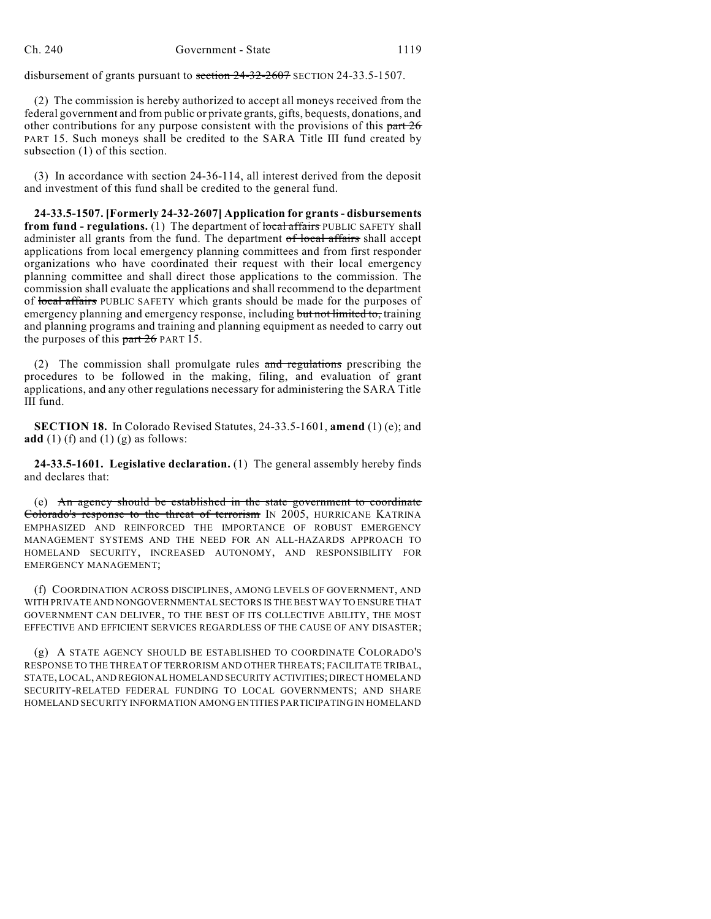disbursement of grants pursuant to section 24-32-2607 SECTION 24-33.5-1507.

(2) The commission is hereby authorized to accept all moneys received from the federal government and from public or private grants, gifts, bequests, donations, and other contributions for any purpose consistent with the provisions of this  $part\,26$ PART 15. Such moneys shall be credited to the SARA Title III fund created by subsection (1) of this section.

(3) In accordance with section 24-36-114, all interest derived from the deposit and investment of this fund shall be credited to the general fund.

**24-33.5-1507. [Formerly 24-32-2607] Application for grants - disbursements from fund - regulations.** (1) The department of local affairs PUBLIC SAFETY shall administer all grants from the fund. The department of local affairs shall accept applications from local emergency planning committees and from first responder organizations who have coordinated their request with their local emergency planning committee and shall direct those applications to the commission. The commission shall evaluate the applications and shall recommend to the department of local affairs PUBLIC SAFETY which grants should be made for the purposes of emergency planning and emergency response, including but not limited to, training and planning programs and training and planning equipment as needed to carry out the purposes of this  $part 26$  PART 15.

(2) The commission shall promulgate rules  $\alpha$  and regulations prescribing the procedures to be followed in the making, filing, and evaluation of grant applications, and any other regulations necessary for administering the SARA Title III fund.

**SECTION 18.** In Colorado Revised Statutes, 24-33.5-1601, **amend** (1) (e); and **add** (1) (f) and (1) (g) as follows:

**24-33.5-1601. Legislative declaration.** (1) The general assembly hereby finds and declares that:

(e) An agency should be established in the state government to coordinate Colorado's response to the threat of terrorism IN 2005, HURRICANE KATRINA EMPHASIZED AND REINFORCED THE IMPORTANCE OF ROBUST EMERGENCY MANAGEMENT SYSTEMS AND THE NEED FOR AN ALL-HAZARDS APPROACH TO HOMELAND SECURITY, INCREASED AUTONOMY, AND RESPONSIBILITY FOR EMERGENCY MANAGEMENT;

(f) COORDINATION ACROSS DISCIPLINES, AMONG LEVELS OF GOVERNMENT, AND WITH PRIVATE AND NONGOVERNMENTAL SECTORS IS THE BEST WAY TO ENSURE THAT GOVERNMENT CAN DELIVER, TO THE BEST OF ITS COLLECTIVE ABILITY, THE MOST EFFECTIVE AND EFFICIENT SERVICES REGARDLESS OF THE CAUSE OF ANY DISASTER;

(g) A STATE AGENCY SHOULD BE ESTABLISHED TO COORDINATE COLORADO'S RESPONSE TO THE THREAT OF TERRORISM AND OTHER THREATS; FACILITATE TRIBAL, STATE, LOCAL, AND REGIONAL HOMELAND SECURITY ACTIVITIES; DIRECT HOMELAND SECURITY-RELATED FEDERAL FUNDING TO LOCAL GOVERNMENTS; AND SHARE HOMELAND SECURITY INFORMATION AMONG ENTITIES PARTICIPATING IN HOMELAND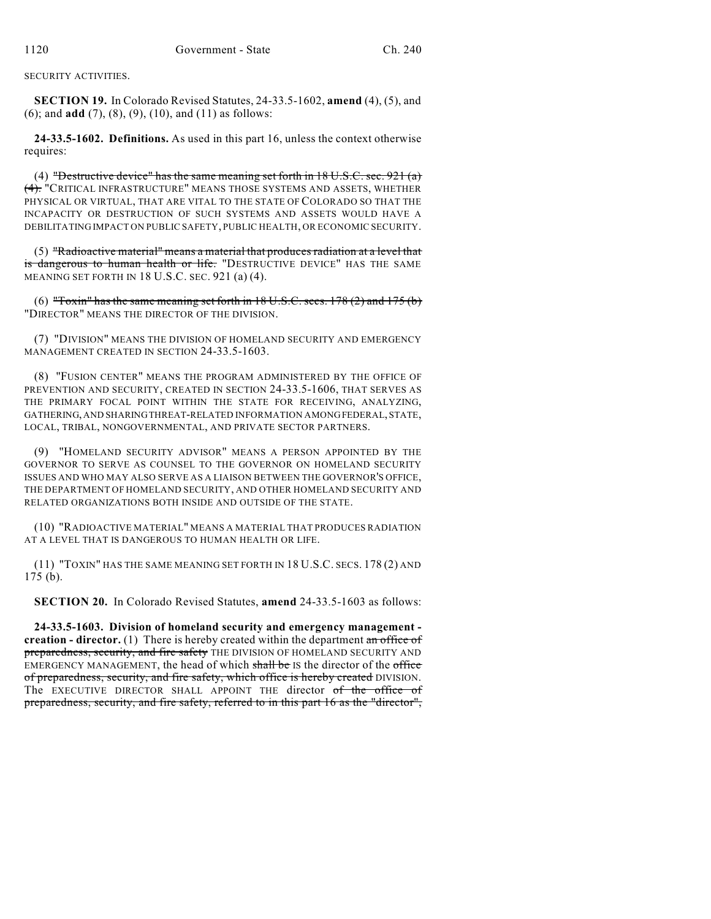SECURITY ACTIVITIES.

**SECTION 19.** In Colorado Revised Statutes, 24-33.5-1602, **amend** (4), (5), and (6); and **add** (7), (8), (9), (10), and (11) as follows:

**24-33.5-1602. Definitions.** As used in this part 16, unless the context otherwise requires:

(4) "Destructive device" has the same meaning set forth in  $18 \text{ U.S.C. sec. } 921 \text{ (a)}$ (4). "CRITICAL INFRASTRUCTURE" MEANS THOSE SYSTEMS AND ASSETS, WHETHER PHYSICAL OR VIRTUAL, THAT ARE VITAL TO THE STATE OF COLORADO SO THAT THE INCAPACITY OR DESTRUCTION OF SUCH SYSTEMS AND ASSETS WOULD HAVE A DEBILITATING IMPACT ON PUBLIC SAFETY, PUBLIC HEALTH, OR ECONOMIC SECURITY.

(5) "Radioactive material" means a material that produces radiation at a level that is dangerous to human health or life. "DESTRUCTIVE DEVICE" HAS THE SAME MEANING SET FORTH IN 18 U.S.C. SEC. 921 (a) (4).

(6) "Toxin" has the same meaning set forth in 18 U.S.C. secs. 178 (2) and 175 (b) "DIRECTOR" MEANS THE DIRECTOR OF THE DIVISION.

(7) "DIVISION" MEANS THE DIVISION OF HOMELAND SECURITY AND EMERGENCY MANAGEMENT CREATED IN SECTION 24-33.5-1603.

(8) "FUSION CENTER" MEANS THE PROGRAM ADMINISTERED BY THE OFFICE OF PREVENTION AND SECURITY, CREATED IN SECTION 24-33.5-1606, THAT SERVES AS THE PRIMARY FOCAL POINT WITHIN THE STATE FOR RECEIVING, ANALYZING, GATHERING, AND SHARINGTHREAT-RELATED INFORMATION AMONGFEDERAL, STATE, LOCAL, TRIBAL, NONGOVERNMENTAL, AND PRIVATE SECTOR PARTNERS.

(9) "HOMELAND SECURITY ADVISOR" MEANS A PERSON APPOINTED BY THE GOVERNOR TO SERVE AS COUNSEL TO THE GOVERNOR ON HOMELAND SECURITY ISSUES AND WHO MAY ALSO SERVE AS A LIAISON BETWEEN THE GOVERNOR'S OFFICE, THE DEPARTMENT OF HOMELAND SECURITY, AND OTHER HOMELAND SECURITY AND RELATED ORGANIZATIONS BOTH INSIDE AND OUTSIDE OF THE STATE.

(10) "RADIOACTIVE MATERIAL" MEANS A MATERIAL THAT PRODUCES RADIATION AT A LEVEL THAT IS DANGEROUS TO HUMAN HEALTH OR LIFE.

(11) "TOXIN" HAS THE SAME MEANING SET FORTH IN 18 U.S.C. SECS. 178 (2) AND 175 (b).

**SECTION 20.** In Colorado Revised Statutes, **amend** 24-33.5-1603 as follows:

**24-33.5-1603. Division of homeland security and emergency management creation - director.** (1) There is hereby created within the department an office of preparedness, security, and fire safety THE DIVISION OF HOMELAND SECURITY AND EMERGENCY MANAGEMENT, the head of which shall be IS the director of the office of preparedness, security, and fire safety, which office is hereby created DIVISION. The EXECUTIVE DIRECTOR SHALL APPOINT THE director of the office of preparedness, security, and fire safety, referred to in this part 16 as the "director",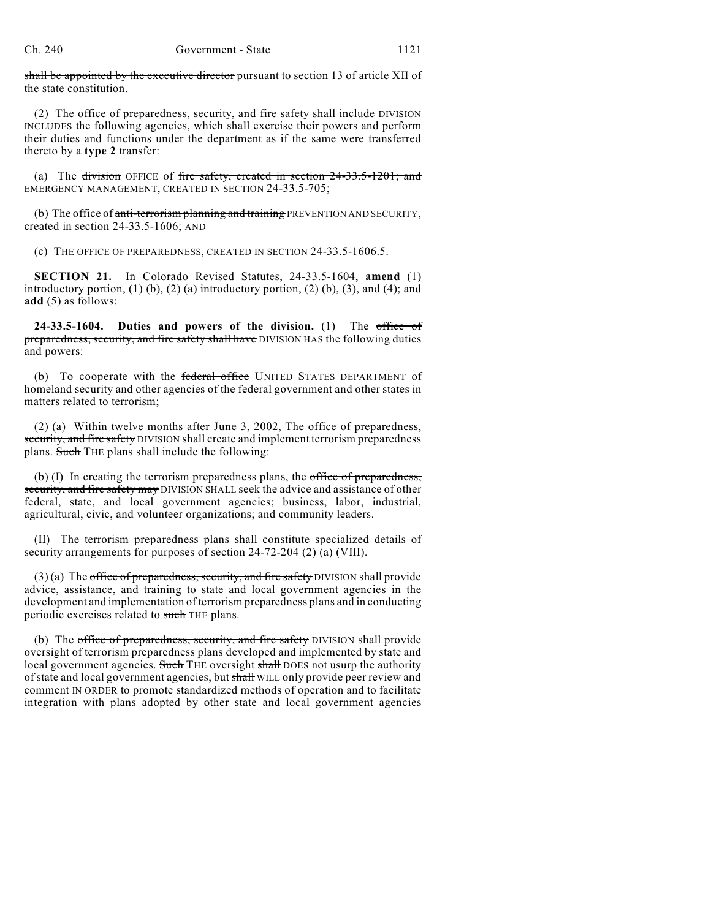shall be appointed by the executive director pursuant to section 13 of article XII of the state constitution.

(2) The office of preparedness, security, and fire safety shall include DIVISION INCLUDES the following agencies, which shall exercise their powers and perform their duties and functions under the department as if the same were transferred thereto by a **type 2** transfer:

(a) The division OFFICE of fire safety, created in section 24-33.5-1201; and EMERGENCY MANAGEMENT, CREATED IN SECTION 24-33.5-705;

(b) The office of anti-terrorism planning and training PREVENTION AND SECURITY, created in section 24-33.5-1606; AND

(c) THE OFFICE OF PREPAREDNESS, CREATED IN SECTION 24-33.5-1606.5.

**SECTION 21.** In Colorado Revised Statutes, 24-33.5-1604, **amend** (1) introductory portion,  $(1)$   $(b)$ ,  $(2)$   $(a)$  introductory portion,  $(2)$   $(b)$ ,  $(3)$ , and  $(4)$ ; and **add** (5) as follows:

**24-33.5-1604. Duties and powers of the division.** (1) The office of preparedness, security, and fire safety shall have DIVISION HAS the following duties and powers:

(b) To cooperate with the federal office UNITED STATES DEPARTMENT of homeland security and other agencies of the federal government and other states in matters related to terrorism;

(2) (a) Within twelve months after June  $3, 2002$ , The office of preparedness, security, and fire safety DIVISION shall create and implement terrorism preparedness plans. Such THE plans shall include the following:

(b) (I) In creating the terrorism preparedness plans, the office of preparedness, security, and fire safety may DIVISION SHALL seek the advice and assistance of other federal, state, and local government agencies; business, labor, industrial, agricultural, civic, and volunteer organizations; and community leaders.

(II) The terrorism preparedness plans shall constitute specialized details of security arrangements for purposes of section 24-72-204 (2) (a) (VIII).

 $(3)$  (a) The office of preparedness, security, and fire safety DIVISION shall provide advice, assistance, and training to state and local government agencies in the development and implementation of terrorism preparedness plans and in conducting periodic exercises related to such THE plans.

(b) The office of preparedness, security, and fire safety DIVISION shall provide oversight of terrorism preparedness plans developed and implemented by state and local government agencies. Such THE oversight shall DOES not usurp the authority of state and local government agencies, but shall WILL only provide peer review and comment IN ORDER to promote standardized methods of operation and to facilitate integration with plans adopted by other state and local government agencies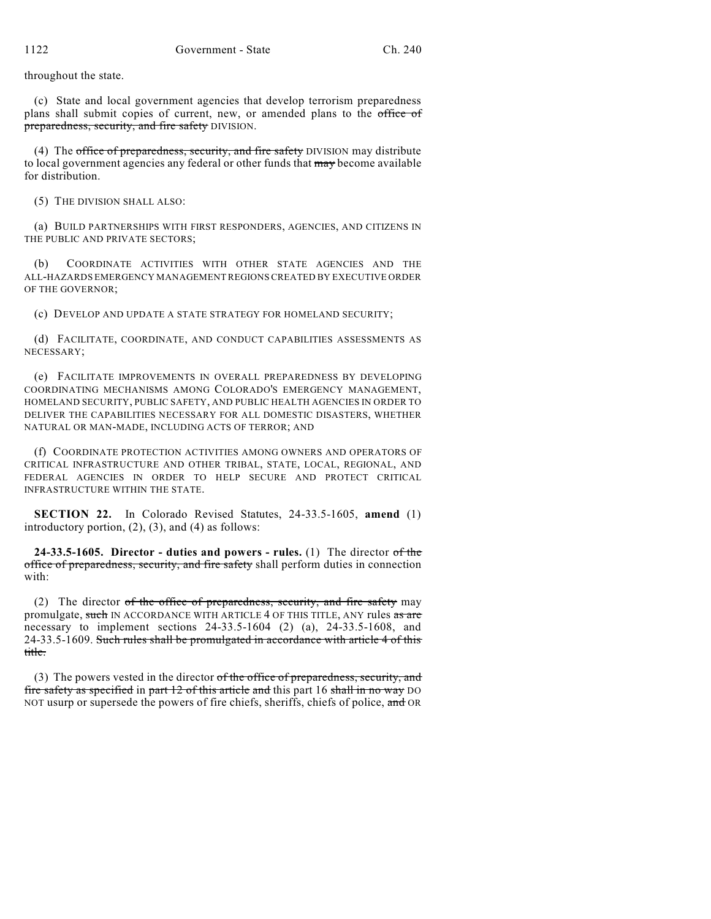throughout the state.

(c) State and local government agencies that develop terrorism preparedness plans shall submit copies of current, new, or amended plans to the office of preparedness, security, and fire safety DIVISION.

(4) The office of preparedness, security, and fire safety DIVISION may distribute to local government agencies any federal or other funds that may become available for distribution.

(5) THE DIVISION SHALL ALSO:

(a) BUILD PARTNERSHIPS WITH FIRST RESPONDERS, AGENCIES, AND CITIZENS IN THE PUBLIC AND PRIVATE SECTORS;

(b) COORDINATE ACTIVITIES WITH OTHER STATE AGENCIES AND THE ALL-HAZARDS EMERGENCY MANAGEMENT REGIONS CREATED BY EXECUTIVE ORDER OF THE GOVERNOR;

(c) DEVELOP AND UPDATE A STATE STRATEGY FOR HOMELAND SECURITY;

(d) FACILITATE, COORDINATE, AND CONDUCT CAPABILITIES ASSESSMENTS AS NECESSARY;

(e) FACILITATE IMPROVEMENTS IN OVERALL PREPAREDNESS BY DEVELOPING COORDINATING MECHANISMS AMONG COLORADO'S EMERGENCY MANAGEMENT, HOMELAND SECURITY, PUBLIC SAFETY, AND PUBLIC HEALTH AGENCIES IN ORDER TO DELIVER THE CAPABILITIES NECESSARY FOR ALL DOMESTIC DISASTERS, WHETHER NATURAL OR MAN-MADE, INCLUDING ACTS OF TERROR; AND

(f) COORDINATE PROTECTION ACTIVITIES AMONG OWNERS AND OPERATORS OF CRITICAL INFRASTRUCTURE AND OTHER TRIBAL, STATE, LOCAL, REGIONAL, AND FEDERAL AGENCIES IN ORDER TO HELP SECURE AND PROTECT CRITICAL INFRASTRUCTURE WITHIN THE STATE.

**SECTION 22.** In Colorado Revised Statutes, 24-33.5-1605, **amend** (1) introductory portion,  $(2)$ ,  $(3)$ , and  $(4)$  as follows:

**24-33.5-1605. Director - duties and powers - rules.** (1) The director of the office of preparedness, security, and fire safety shall perform duties in connection with:

(2) The director of the office of preparedness, security, and fire safety may promulgate, such IN ACCORDANCE WITH ARTICLE 4 OF THIS TITLE, ANY rules as are necessary to implement sections  $24-33.5-1604$  (2) (a),  $24-33.5-1608$ , and 24-33.5-1609. Such rules shall be promulgated in accordance with article 4 of this title.

(3) The powers vested in the director  $of$  the office of preparedness, security, and fire safety as specified in part 12 of this article and this part 16 shall in no way DO NOT usurp or supersede the powers of fire chiefs, sheriffs, chiefs of police, and OR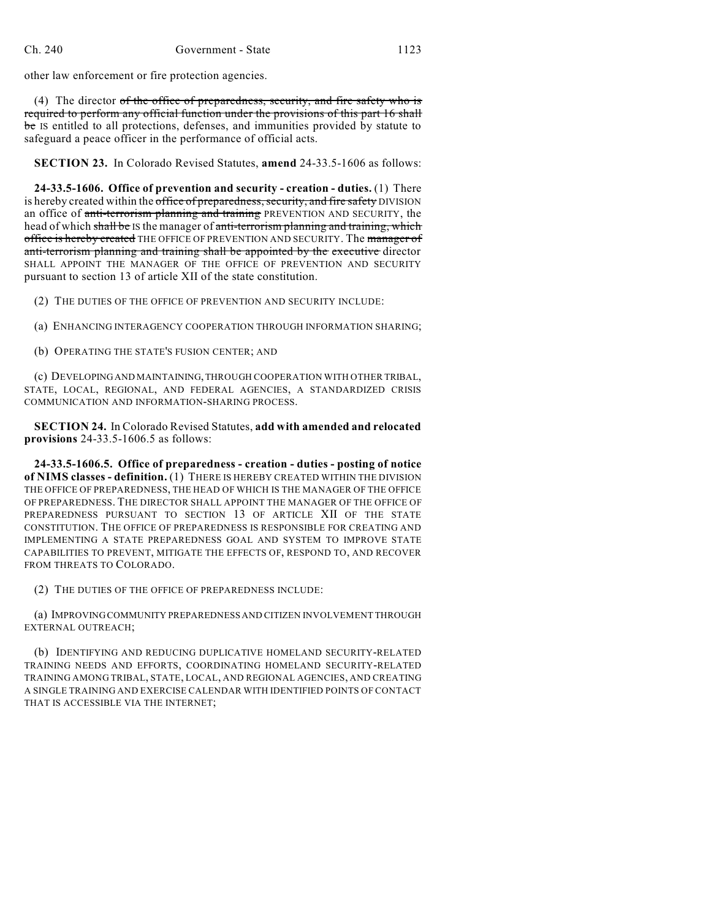other law enforcement or fire protection agencies.

(4) The director of the office of preparedness, security, and fire safety who is required to perform any official function under the provisions of this part 16 shall be IS entitled to all protections, defenses, and immunities provided by statute to safeguard a peace officer in the performance of official acts.

**SECTION 23.** In Colorado Revised Statutes, **amend** 24-33.5-1606 as follows:

**24-33.5-1606. Office of prevention and security - creation - duties.** (1) There is hereby created within the office of preparedness, security, and fire safety DIVISION an office of anti-terrorism planning and training PREVENTION AND SECURITY, the head of which shall be IS the manager of anti-terrorism planning and training, which office is hereby created THE OFFICE OF PREVENTION AND SECURITY. The manager of anti-terrorism planning and training shall be appointed by the executive director SHALL APPOINT THE MANAGER OF THE OFFICE OF PREVENTION AND SECURITY pursuant to section 13 of article XII of the state constitution.

(2) THE DUTIES OF THE OFFICE OF PREVENTION AND SECURITY INCLUDE:

(a) ENHANCING INTERAGENCY COOPERATION THROUGH INFORMATION SHARING;

(b) OPERATING THE STATE'S FUSION CENTER; AND

(c) DEVELOPINGAND MAINTAINING,THROUGH COOPERATION WITH OTHER TRIBAL, STATE, LOCAL, REGIONAL, AND FEDERAL AGENCIES, A STANDARDIZED CRISIS COMMUNICATION AND INFORMATION-SHARING PROCESS.

**SECTION 24.** In Colorado Revised Statutes, **add with amended and relocated provisions** 24-33.5-1606.5 as follows:

**24-33.5-1606.5. Office of preparedness - creation - duties - posting of notice of NIMS classes - definition.** (1) THERE IS HEREBY CREATED WITHIN THE DIVISION THE OFFICE OF PREPAREDNESS, THE HEAD OF WHICH IS THE MANAGER OF THE OFFICE OF PREPAREDNESS. THE DIRECTOR SHALL APPOINT THE MANAGER OF THE OFFICE OF PREPAREDNESS PURSUANT TO SECTION 13 OF ARTICLE XII OF THE STATE CONSTITUTION. THE OFFICE OF PREPAREDNESS IS RESPONSIBLE FOR CREATING AND IMPLEMENTING A STATE PREPAREDNESS GOAL AND SYSTEM TO IMPROVE STATE CAPABILITIES TO PREVENT, MITIGATE THE EFFECTS OF, RESPOND TO, AND RECOVER FROM THREATS TO COLORADO.

(2) THE DUTIES OF THE OFFICE OF PREPAREDNESS INCLUDE:

(a) IMPROVINGCOMMUNITY PREPAREDNESS AND CITIZEN INVOLVEMENT THROUGH EXTERNAL OUTREACH;

(b) IDENTIFYING AND REDUCING DUPLICATIVE HOMELAND SECURITY-RELATED TRAINING NEEDS AND EFFORTS, COORDINATING HOMELAND SECURITY-RELATED TRAINING AMONG TRIBAL, STATE, LOCAL, AND REGIONAL AGENCIES, AND CREATING A SINGLE TRAINING AND EXERCISE CALENDAR WITH IDENTIFIED POINTS OF CONTACT THAT IS ACCESSIBLE VIA THE INTERNET;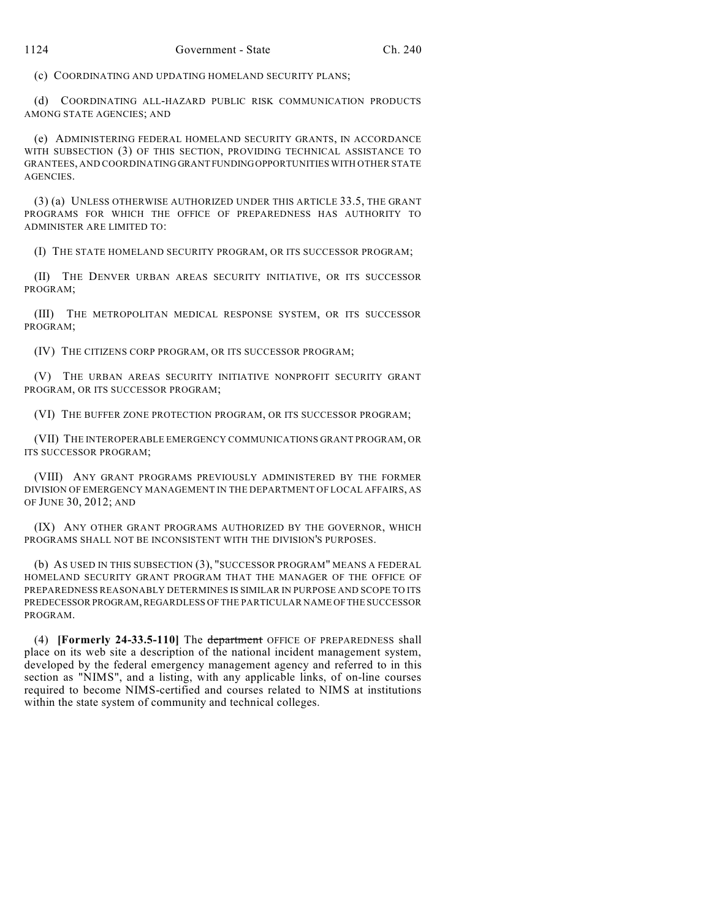(c) COORDINATING AND UPDATING HOMELAND SECURITY PLANS;

(d) COORDINATING ALL-HAZARD PUBLIC RISK COMMUNICATION PRODUCTS AMONG STATE AGENCIES; AND

(e) ADMINISTERING FEDERAL HOMELAND SECURITY GRANTS, IN ACCORDANCE WITH SUBSECTION (3) OF THIS SECTION, PROVIDING TECHNICAL ASSISTANCE TO GRANTEES, AND COORDINATING GRANT FUNDINGOPPORTUNITIES WITH OTHER STATE AGENCIES.

(3) (a) UNLESS OTHERWISE AUTHORIZED UNDER THIS ARTICLE 33.5, THE GRANT PROGRAMS FOR WHICH THE OFFICE OF PREPAREDNESS HAS AUTHORITY TO ADMINISTER ARE LIMITED TO:

(I) THE STATE HOMELAND SECURITY PROGRAM, OR ITS SUCCESSOR PROGRAM;

(II) THE DENVER URBAN AREAS SECURITY INITIATIVE, OR ITS SUCCESSOR PROGRAM;

(III) THE METROPOLITAN MEDICAL RESPONSE SYSTEM, OR ITS SUCCESSOR PROGRAM;

(IV) THE CITIZENS CORP PROGRAM, OR ITS SUCCESSOR PROGRAM;

(V) THE URBAN AREAS SECURITY INITIATIVE NONPROFIT SECURITY GRANT PROGRAM, OR ITS SUCCESSOR PROGRAM;

(VI) THE BUFFER ZONE PROTECTION PROGRAM, OR ITS SUCCESSOR PROGRAM;

(VII) THE INTEROPERABLE EMERGENCY COMMUNICATIONS GRANT PROGRAM, OR ITS SUCCESSOR PROGRAM;

(VIII) ANY GRANT PROGRAMS PREVIOUSLY ADMINISTERED BY THE FORMER DIVISION OF EMERGENCY MANAGEMENT IN THE DEPARTMENT OF LOCAL AFFAIRS, AS OF JUNE 30, 2012; AND

(IX) ANY OTHER GRANT PROGRAMS AUTHORIZED BY THE GOVERNOR, WHICH PROGRAMS SHALL NOT BE INCONSISTENT WITH THE DIVISION'S PURPOSES.

(b) AS USED IN THIS SUBSECTION (3), "SUCCESSOR PROGRAM" MEANS A FEDERAL HOMELAND SECURITY GRANT PROGRAM THAT THE MANAGER OF THE OFFICE OF PREPAREDNESS REASONABLY DETERMINES IS SIMILAR IN PURPOSE AND SCOPE TO ITS PREDECESSOR PROGRAM, REGARDLESS OF THE PARTICULAR NAME OF THE SUCCESSOR PROGRAM.

(4) **[Formerly 24-33.5-110]** The department OFFICE OF PREPAREDNESS shall place on its web site a description of the national incident management system, developed by the federal emergency management agency and referred to in this section as "NIMS", and a listing, with any applicable links, of on-line courses required to become NIMS-certified and courses related to NIMS at institutions within the state system of community and technical colleges.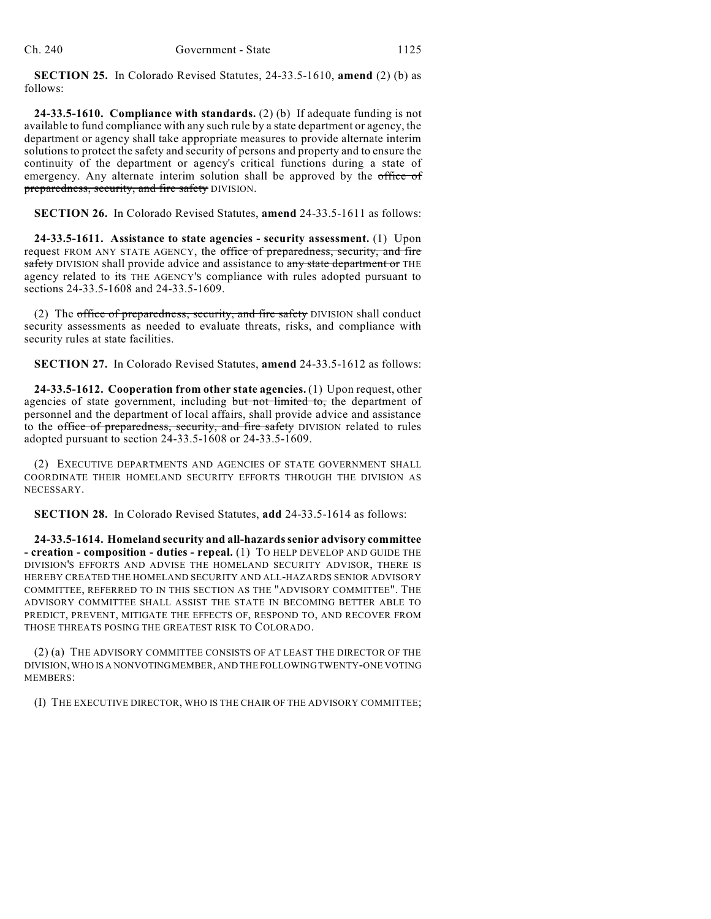**SECTION 25.** In Colorado Revised Statutes, 24-33.5-1610, **amend** (2) (b) as follows:

**24-33.5-1610. Compliance with standards.** (2) (b) If adequate funding is not available to fund compliance with any such rule by a state department or agency, the department or agency shall take appropriate measures to provide alternate interim solutions to protect the safety and security of persons and property and to ensure the continuity of the department or agency's critical functions during a state of emergency. Any alternate interim solution shall be approved by the office of preparedness, security, and fire safety DIVISION.

**SECTION 26.** In Colorado Revised Statutes, **amend** 24-33.5-1611 as follows:

**24-33.5-1611. Assistance to state agencies - security assessment.** (1) Upon request FROM ANY STATE AGENCY, the office of preparedness, security, and fire safety DIVISION shall provide advice and assistance to any state department or THE agency related to its THE AGENCY'S compliance with rules adopted pursuant to sections 24-33.5-1608 and 24-33.5-1609.

(2) The office of preparedness, security, and fire safety DIVISION shall conduct security assessments as needed to evaluate threats, risks, and compliance with security rules at state facilities.

**SECTION 27.** In Colorado Revised Statutes, **amend** 24-33.5-1612 as follows:

**24-33.5-1612. Cooperation from other state agencies.** (1) Upon request, other agencies of state government, including but not limited to, the department of personnel and the department of local affairs, shall provide advice and assistance to the office of preparedness, security, and fire safety DIVISION related to rules adopted pursuant to section 24-33.5-1608 or 24-33.5-1609.

(2) EXECUTIVE DEPARTMENTS AND AGENCIES OF STATE GOVERNMENT SHALL COORDINATE THEIR HOMELAND SECURITY EFFORTS THROUGH THE DIVISION AS NECESSARY.

**SECTION 28.** In Colorado Revised Statutes, **add** 24-33.5-1614 as follows:

**24-33.5-1614. Homeland security and all-hazardssenior advisory committee - creation - composition - duties - repeal.** (1) TO HELP DEVELOP AND GUIDE THE DIVISION'S EFFORTS AND ADVISE THE HOMELAND SECURITY ADVISOR, THERE IS HEREBY CREATED THE HOMELAND SECURITY AND ALL-HAZARDS SENIOR ADVISORY COMMITTEE, REFERRED TO IN THIS SECTION AS THE "ADVISORY COMMITTEE". THE ADVISORY COMMITTEE SHALL ASSIST THE STATE IN BECOMING BETTER ABLE TO PREDICT, PREVENT, MITIGATE THE EFFECTS OF, RESPOND TO, AND RECOVER FROM THOSE THREATS POSING THE GREATEST RISK TO COLORADO.

(2) (a) THE ADVISORY COMMITTEE CONSISTS OF AT LEAST THE DIRECTOR OF THE DIVISION,WHO IS A NONVOTINGMEMBER, AND THE FOLLOWING TWENTY-ONE VOTING MEMBERS:

(I) THE EXECUTIVE DIRECTOR, WHO IS THE CHAIR OF THE ADVISORY COMMITTEE;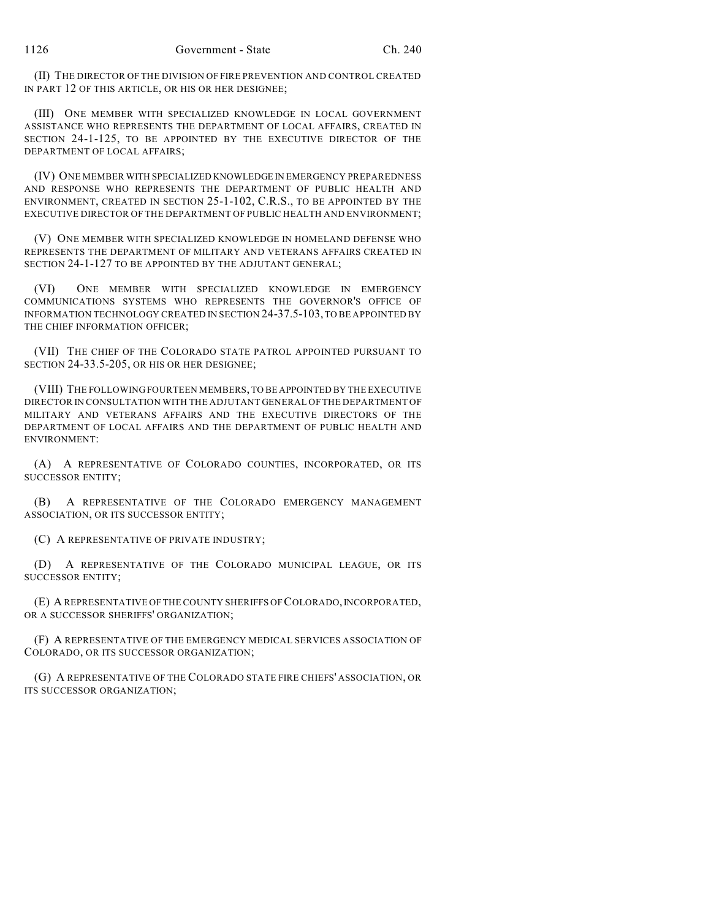(II) THE DIRECTOR OF THE DIVISION OF FIRE PREVENTION AND CONTROL CREATED IN PART 12 OF THIS ARTICLE, OR HIS OR HER DESIGNEE;

(III) ONE MEMBER WITH SPECIALIZED KNOWLEDGE IN LOCAL GOVERNMENT ASSISTANCE WHO REPRESENTS THE DEPARTMENT OF LOCAL AFFAIRS, CREATED IN SECTION 24-1-125, TO BE APPOINTED BY THE EXECUTIVE DIRECTOR OF THE DEPARTMENT OF LOCAL AFFAIRS;

(IV) ONE MEMBER WITH SPECIALIZED KNOWLEDGE IN EMERGENCY PREPAREDNESS AND RESPONSE WHO REPRESENTS THE DEPARTMENT OF PUBLIC HEALTH AND ENVIRONMENT, CREATED IN SECTION 25-1-102, C.R.S., TO BE APPOINTED BY THE EXECUTIVE DIRECTOR OF THE DEPARTMENT OF PUBLIC HEALTH AND ENVIRONMENT;

(V) ONE MEMBER WITH SPECIALIZED KNOWLEDGE IN HOMELAND DEFENSE WHO REPRESENTS THE DEPARTMENT OF MILITARY AND VETERANS AFFAIRS CREATED IN SECTION 24-1-127 TO BE APPOINTED BY THE ADJUTANT GENERAL:

(VI) ONE MEMBER WITH SPECIALIZED KNOWLEDGE IN EMERGENCY COMMUNICATIONS SYSTEMS WHO REPRESENTS THE GOVERNOR'S OFFICE OF INFORMATION TECHNOLOGY CREATED IN SECTION 24-37.5-103, TO BE APPOINTED BY THE CHIEF INFORMATION OFFICER;

(VII) THE CHIEF OF THE COLORADO STATE PATROL APPOINTED PURSUANT TO SECTION 24-33.5-205, OR HIS OR HER DESIGNEE;

(VIII) THE FOLLOWING FOURTEEN MEMBERS, TO BE APPOINTED BY THE EXECUTIVE DIRECTOR IN CONSULTATION WITH THE ADJUTANT GENERAL OF THE DEPARTMENT OF MILITARY AND VETERANS AFFAIRS AND THE EXECUTIVE DIRECTORS OF THE DEPARTMENT OF LOCAL AFFAIRS AND THE DEPARTMENT OF PUBLIC HEALTH AND ENVIRONMENT:

(A) A REPRESENTATIVE OF COLORADO COUNTIES, INCORPORATED, OR ITS SUCCESSOR ENTITY;

(B) A REPRESENTATIVE OF THE COLORADO EMERGENCY MANAGEMENT ASSOCIATION, OR ITS SUCCESSOR ENTITY;

(C) A REPRESENTATIVE OF PRIVATE INDUSTRY;

(D) A REPRESENTATIVE OF THE COLORADO MUNICIPAL LEAGUE, OR ITS SUCCESSOR ENTITY;

(E) A REPRESENTATIVE OF THE COUNTY SHERIFFS OF COLORADO, INCORPORATED, OR A SUCCESSOR SHERIFFS' ORGANIZATION;

(F) A REPRESENTATIVE OF THE EMERGENCY MEDICAL SERVICES ASSOCIATION OF COLORADO, OR ITS SUCCESSOR ORGANIZATION;

(G) A REPRESENTATIVE OF THE COLORADO STATE FIRE CHIEFS' ASSOCIATION, OR ITS SUCCESSOR ORGANIZATION;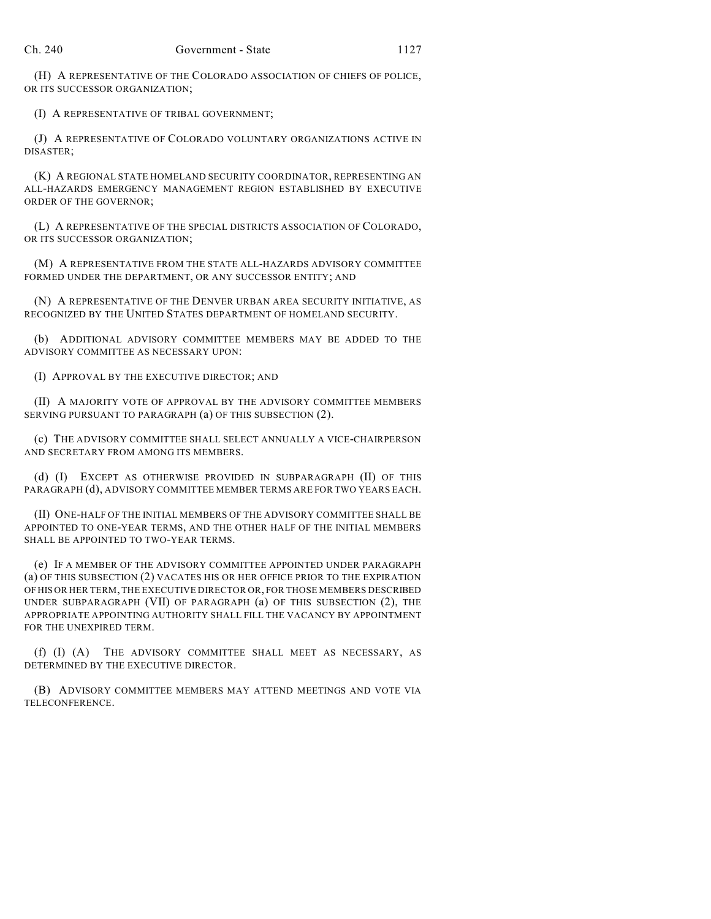(H) A REPRESENTATIVE OF THE COLORADO ASSOCIATION OF CHIEFS OF POLICE, OR ITS SUCCESSOR ORGANIZATION;

(I) A REPRESENTATIVE OF TRIBAL GOVERNMENT;

(J) A REPRESENTATIVE OF COLORADO VOLUNTARY ORGANIZATIONS ACTIVE IN DISASTER;

(K) A REGIONAL STATE HOMELAND SECURITY COORDINATOR, REPRESENTING AN ALL-HAZARDS EMERGENCY MANAGEMENT REGION ESTABLISHED BY EXECUTIVE ORDER OF THE GOVERNOR;

(L) A REPRESENTATIVE OF THE SPECIAL DISTRICTS ASSOCIATION OF COLORADO, OR ITS SUCCESSOR ORGANIZATION;

(M) A REPRESENTATIVE FROM THE STATE ALL-HAZARDS ADVISORY COMMITTEE FORMED UNDER THE DEPARTMENT, OR ANY SUCCESSOR ENTITY; AND

(N) A REPRESENTATIVE OF THE DENVER URBAN AREA SECURITY INITIATIVE, AS RECOGNIZED BY THE UNITED STATES DEPARTMENT OF HOMELAND SECURITY.

(b) ADDITIONAL ADVISORY COMMITTEE MEMBERS MAY BE ADDED TO THE ADVISORY COMMITTEE AS NECESSARY UPON:

(I) APPROVAL BY THE EXECUTIVE DIRECTOR; AND

(II) A MAJORITY VOTE OF APPROVAL BY THE ADVISORY COMMITTEE MEMBERS SERVING PURSUANT TO PARAGRAPH (a) OF THIS SUBSECTION (2).

(c) THE ADVISORY COMMITTEE SHALL SELECT ANNUALLY A VICE-CHAIRPERSON AND SECRETARY FROM AMONG ITS MEMBERS.

(d) (I) EXCEPT AS OTHERWISE PROVIDED IN SUBPARAGRAPH (II) OF THIS PARAGRAPH (d), ADVISORY COMMITTEE MEMBER TERMS ARE FOR TWO YEARS EACH.

(II) ONE-HALF OF THE INITIAL MEMBERS OF THE ADVISORY COMMITTEE SHALL BE APPOINTED TO ONE-YEAR TERMS, AND THE OTHER HALF OF THE INITIAL MEMBERS SHALL BE APPOINTED TO TWO-YEAR TERMS.

(e) IF A MEMBER OF THE ADVISORY COMMITTEE APPOINTED UNDER PARAGRAPH (a) OF THIS SUBSECTION (2) VACATES HIS OR HER OFFICE PRIOR TO THE EXPIRATION OFHIS OR HER TERM, THE EXECUTIVE DIRECTOR OR, FOR THOSE MEMBERS DESCRIBED UNDER SUBPARAGRAPH (VII) OF PARAGRAPH (a) OF THIS SUBSECTION (2), THE APPROPRIATE APPOINTING AUTHORITY SHALL FILL THE VACANCY BY APPOINTMENT FOR THE UNEXPIRED TERM.

(f) (I) (A) THE ADVISORY COMMITTEE SHALL MEET AS NECESSARY, AS DETERMINED BY THE EXECUTIVE DIRECTOR.

(B) ADVISORY COMMITTEE MEMBERS MAY ATTEND MEETINGS AND VOTE VIA TELECONFERENCE.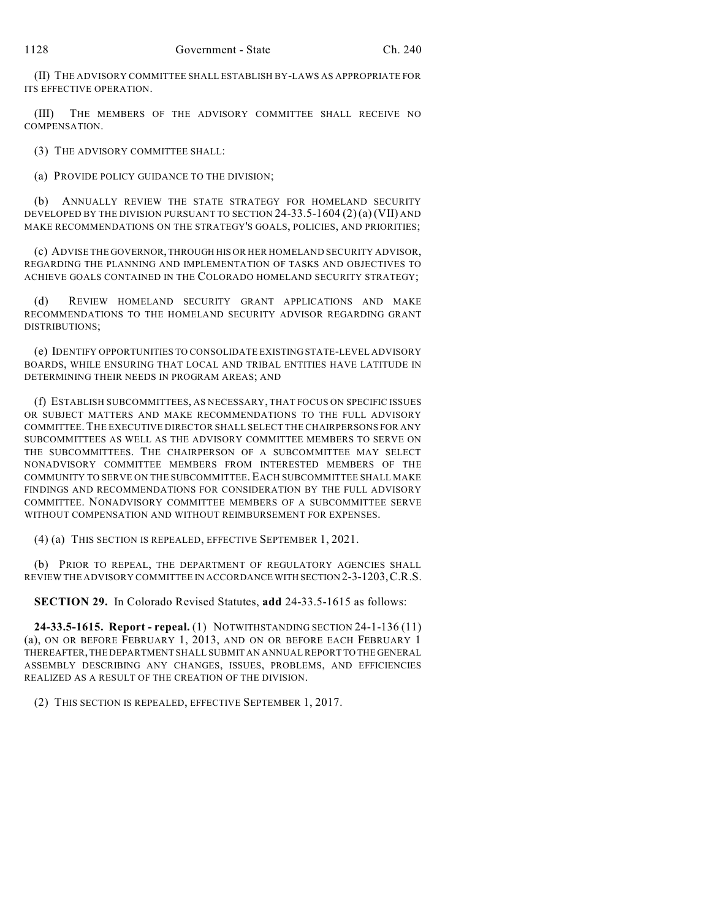(II) THE ADVISORY COMMITTEE SHALL ESTABLISH BY-LAWS AS APPROPRIATE FOR ITS EFFECTIVE OPERATION.

(III) THE MEMBERS OF THE ADVISORY COMMITTEE SHALL RECEIVE NO COMPENSATION.

(3) THE ADVISORY COMMITTEE SHALL:

(a) PROVIDE POLICY GUIDANCE TO THE DIVISION;

(b) ANNUALLY REVIEW THE STATE STRATEGY FOR HOMELAND SECURITY DEVELOPED BY THE DIVISION PURSUANT TO SECTION 24-33.5-1604 (2)(a)(VII) AND MAKE RECOMMENDATIONS ON THE STRATEGY'S GOALS, POLICIES, AND PRIORITIES;

(c) ADVISE THE GOVERNOR, THROUGH HIS OR HER HOMELAND SECURITY ADVISOR, REGARDING THE PLANNING AND IMPLEMENTATION OF TASKS AND OBJECTIVES TO ACHIEVE GOALS CONTAINED IN THE COLORADO HOMELAND SECURITY STRATEGY;

(d) REVIEW HOMELAND SECURITY GRANT APPLICATIONS AND MAKE RECOMMENDATIONS TO THE HOMELAND SECURITY ADVISOR REGARDING GRANT DISTRIBUTIONS;

(e) IDENTIFY OPPORTUNITIES TO CONSOLIDATE EXISTING STATE-LEVEL ADVISORY BOARDS, WHILE ENSURING THAT LOCAL AND TRIBAL ENTITIES HAVE LATITUDE IN DETERMINING THEIR NEEDS IN PROGRAM AREAS; AND

(f) ESTABLISH SUBCOMMITTEES, AS NECESSARY, THAT FOCUS ON SPECIFIC ISSUES OR SUBJECT MATTERS AND MAKE RECOMMENDATIONS TO THE FULL ADVISORY COMMITTEE.THE EXECUTIVE DIRECTOR SHALL SELECT THE CHAIRPERSONS FOR ANY SUBCOMMITTEES AS WELL AS THE ADVISORY COMMITTEE MEMBERS TO SERVE ON THE SUBCOMMITTEES. THE CHAIRPERSON OF A SUBCOMMITTEE MAY SELECT NONADVISORY COMMITTEE MEMBERS FROM INTERESTED MEMBERS OF THE COMMUNITY TO SERVE ON THE SUBCOMMITTEE. EACH SUBCOMMITTEE SHALL MAKE FINDINGS AND RECOMMENDATIONS FOR CONSIDERATION BY THE FULL ADVISORY COMMITTEE. NONADVISORY COMMITTEE MEMBERS OF A SUBCOMMITTEE SERVE WITHOUT COMPENSATION AND WITHOUT REIMBURSEMENT FOR EXPENSES.

(4) (a) THIS SECTION IS REPEALED, EFFECTIVE SEPTEMBER 1, 2021.

(b) PRIOR TO REPEAL, THE DEPARTMENT OF REGULATORY AGENCIES SHALL REVIEW THE ADVISORY COMMITTEE IN ACCORDANCE WITH SECTION 2-3-1203,C.R.S.

**SECTION 29.** In Colorado Revised Statutes, **add** 24-33.5-1615 as follows:

**24-33.5-1615. Report - repeal.** (1) NOTWITHSTANDING SECTION 24-1-136 (11) (a), ON OR BEFORE FEBRUARY 1, 2013, AND ON OR BEFORE EACH FEBRUARY 1 THEREAFTER, THE DEPARTMENT SHALL SUBMIT AN ANNUAL REPORT TO THE GENERAL ASSEMBLY DESCRIBING ANY CHANGES, ISSUES, PROBLEMS, AND EFFICIENCIES REALIZED AS A RESULT OF THE CREATION OF THE DIVISION.

(2) THIS SECTION IS REPEALED, EFFECTIVE SEPTEMBER 1, 2017.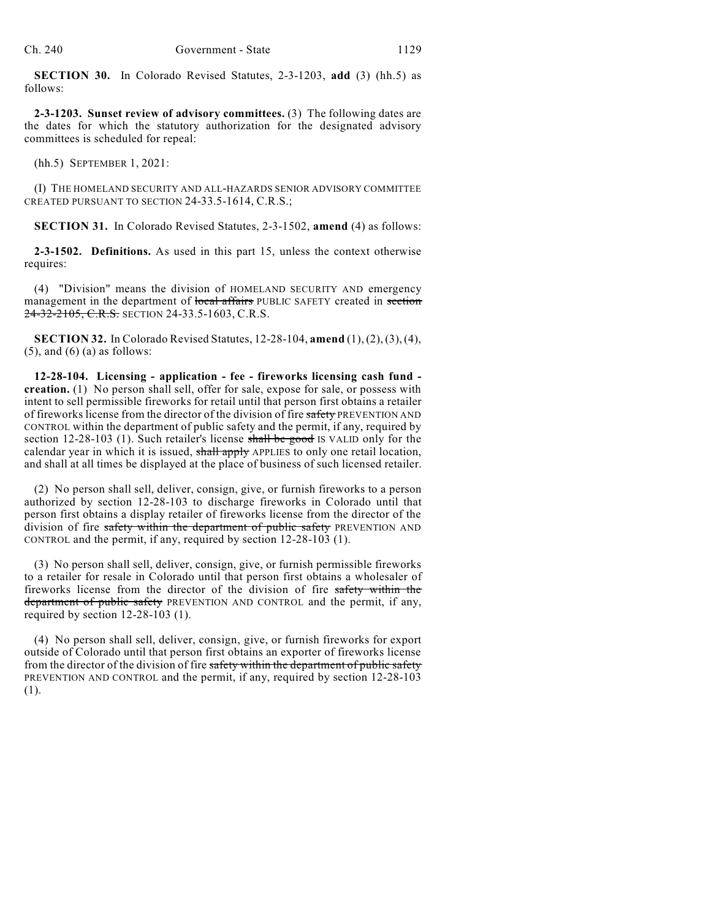**SECTION 30.** In Colorado Revised Statutes, 2-3-1203, **add** (3) (hh.5) as follows:

**2-3-1203. Sunset review of advisory committees.** (3) The following dates are the dates for which the statutory authorization for the designated advisory committees is scheduled for repeal:

(hh.5) SEPTEMBER 1, 2021:

(I) THE HOMELAND SECURITY AND ALL-HAZARDS SENIOR ADVISORY COMMITTEE CREATED PURSUANT TO SECTION 24-33.5-1614, C.R.S.;

**SECTION 31.** In Colorado Revised Statutes, 2-3-1502, **amend** (4) as follows:

**2-3-1502. Definitions.** As used in this part 15, unless the context otherwise requires:

(4) "Division" means the division of HOMELAND SECURITY AND emergency management in the department of local affairs PUBLIC SAFETY created in section 24-32-2105, C.R.S. SECTION 24-33.5-1603, C.R.S.

**SECTION 32.** In Colorado Revised Statutes, 12-28-104, **amend** (1), (2), (3),(4),  $(5)$ , and  $(6)$  (a) as follows:

**12-28-104. Licensing - application - fee - fireworks licensing cash fund creation.** (1) No person shall sell, offer for sale, expose for sale, or possess with intent to sell permissible fireworks for retail until that person first obtains a retailer of fireworks license from the director of the division of fire safety PREVENTION AND CONTROL within the department of public safety and the permit, if any, required by section 12-28-103 (1). Such retailer's license shall be good IS VALID only for the calendar year in which it is issued, shall apply APPLIES to only one retail location, and shall at all times be displayed at the place of business of such licensed retailer.

(2) No person shall sell, deliver, consign, give, or furnish fireworks to a person authorized by section 12-28-103 to discharge fireworks in Colorado until that person first obtains a display retailer of fireworks license from the director of the division of fire safety within the department of public safety PREVENTION AND CONTROL and the permit, if any, required by section 12-28-103 (1).

(3) No person shall sell, deliver, consign, give, or furnish permissible fireworks to a retailer for resale in Colorado until that person first obtains a wholesaler of fireworks license from the director of the division of fire safety within the department of public safety PREVENTION AND CONTROL and the permit, if any, required by section 12-28-103 (1).

(4) No person shall sell, deliver, consign, give, or furnish fireworks for export outside of Colorado until that person first obtains an exporter of fireworks license from the director of the division of fire safety within the department of public safety PREVENTION AND CONTROL and the permit, if any, required by section 12-28-103 (1).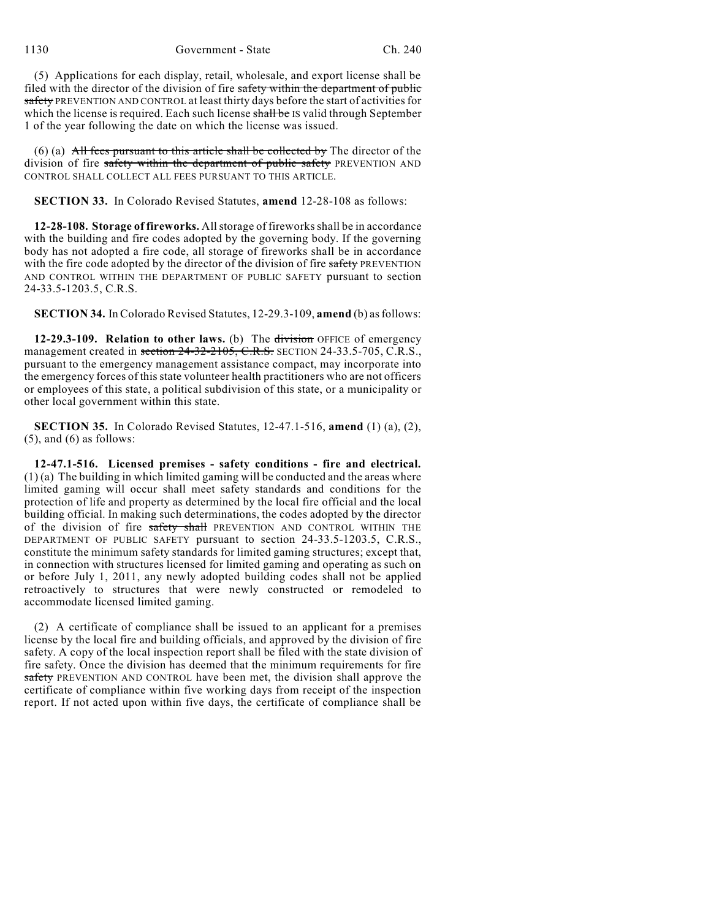1130 Government - State Ch. 240

(5) Applications for each display, retail, wholesale, and export license shall be filed with the director of the division of fire safety within the department of public safety PREVENTION AND CONTROL at least thirty days before the start of activities for which the license is required. Each such license shall be IS valid through September 1 of the year following the date on which the license was issued.

(6) (a)  $\overrightarrow{All}$  fees pursuant to this article shall be collected by The director of the division of fire safety within the department of public safety PREVENTION AND CONTROL SHALL COLLECT ALL FEES PURSUANT TO THIS ARTICLE.

**SECTION 33.** In Colorado Revised Statutes, **amend** 12-28-108 as follows:

**12-28-108. Storage of fireworks.** Allstorage of fireworksshall be in accordance with the building and fire codes adopted by the governing body. If the governing body has not adopted a fire code, all storage of fireworks shall be in accordance with the fire code adopted by the director of the division of fire safety PREVENTION AND CONTROL WITHIN THE DEPARTMENT OF PUBLIC SAFETY pursuant to section 24-33.5-1203.5, C.R.S.

**SECTION 34.** In Colorado Revised Statutes, 12-29.3-109, **amend** (b) as follows:

**12-29.3-109. Relation to other laws.** (b) The division OFFICE of emergency management created in section 24-32-2105, C.R.S. SECTION 24-33.5-705, C.R.S., pursuant to the emergency management assistance compact, may incorporate into the emergency forces of this state volunteer health practitioners who are not officers or employees of this state, a political subdivision of this state, or a municipality or other local government within this state.

**SECTION 35.** In Colorado Revised Statutes, 12-47.1-516, **amend** (1) (a), (2),  $(5)$ , and  $(6)$  as follows:

**12-47.1-516. Licensed premises - safety conditions - fire and electrical.** (1) (a) The building in which limited gaming will be conducted and the areas where limited gaming will occur shall meet safety standards and conditions for the protection of life and property as determined by the local fire official and the local building official. In making such determinations, the codes adopted by the director of the division of fire safety shall PREVENTION AND CONTROL WITHIN THE DEPARTMENT OF PUBLIC SAFETY pursuant to section 24-33.5-1203.5, C.R.S., constitute the minimum safety standards for limited gaming structures; except that, in connection with structures licensed for limited gaming and operating as such on or before July 1, 2011, any newly adopted building codes shall not be applied retroactively to structures that were newly constructed or remodeled to accommodate licensed limited gaming.

(2) A certificate of compliance shall be issued to an applicant for a premises license by the local fire and building officials, and approved by the division of fire safety. A copy of the local inspection report shall be filed with the state division of fire safety. Once the division has deemed that the minimum requirements for fire safety PREVENTION AND CONTROL have been met, the division shall approve the certificate of compliance within five working days from receipt of the inspection report. If not acted upon within five days, the certificate of compliance shall be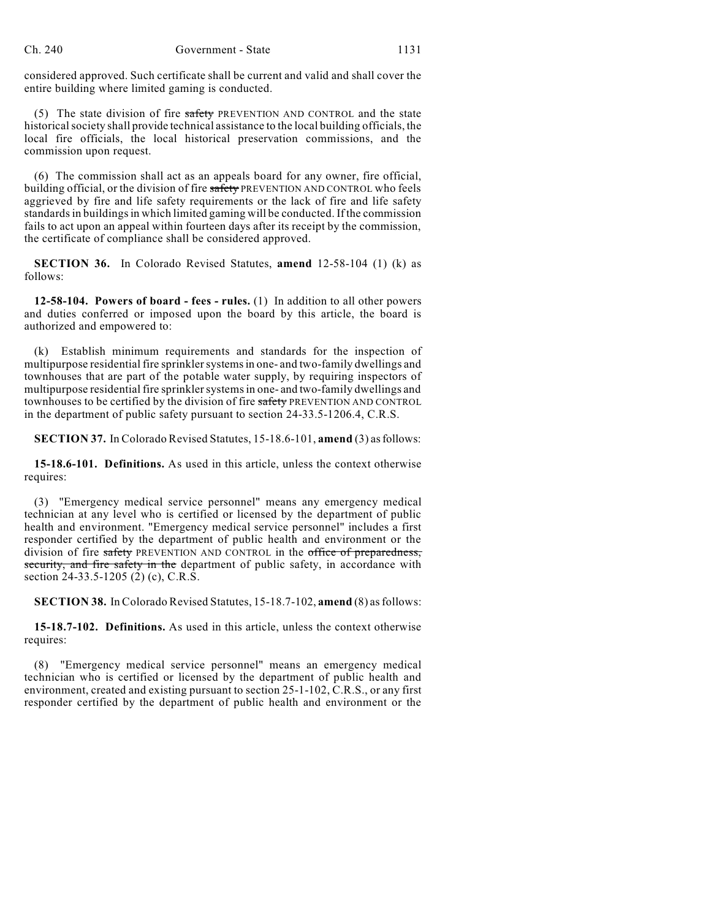considered approved. Such certificate shall be current and valid and shall cover the entire building where limited gaming is conducted.

(5) The state division of fire safety PREVENTION AND CONTROL and the state historical society shall provide technical assistance to the local building officials, the local fire officials, the local historical preservation commissions, and the commission upon request.

(6) The commission shall act as an appeals board for any owner, fire official, building official, or the division of fire safety PREVENTION AND CONTROL who feels aggrieved by fire and life safety requirements or the lack of fire and life safety standardsin buildingsin which limited gaming will be conducted. If the commission fails to act upon an appeal within fourteen days after its receipt by the commission, the certificate of compliance shall be considered approved.

**SECTION 36.** In Colorado Revised Statutes, **amend** 12-58-104 (1) (k) as follows:

**12-58-104. Powers of board - fees - rules.** (1) In addition to all other powers and duties conferred or imposed upon the board by this article, the board is authorized and empowered to:

(k) Establish minimum requirements and standards for the inspection of multipurpose residential fire sprinkler systems in one- and two-family dwellings and townhouses that are part of the potable water supply, by requiring inspectors of multipurpose residential fire sprinkler systems in one- and two-family dwellings and townhouses to be certified by the division of fire safety PREVENTION AND CONTROL in the department of public safety pursuant to section 24-33.5-1206.4, C.R.S.

**SECTION 37.** In Colorado Revised Statutes, 15-18.6-101, **amend** (3) as follows:

**15-18.6-101. Definitions.** As used in this article, unless the context otherwise requires:

(3) "Emergency medical service personnel" means any emergency medical technician at any level who is certified or licensed by the department of public health and environment. "Emergency medical service personnel" includes a first responder certified by the department of public health and environment or the division of fire safety PREVENTION AND CONTROL in the office of preparedness, security, and fire safety in the department of public safety, in accordance with section 24-33.5-1205 (2) (c), C.R.S.

**SECTION 38.** In Colorado Revised Statutes, 15-18.7-102, **amend** (8) asfollows:

**15-18.7-102. Definitions.** As used in this article, unless the context otherwise requires:

(8) "Emergency medical service personnel" means an emergency medical technician who is certified or licensed by the department of public health and environment, created and existing pursuant to section 25-1-102, C.R.S., or any first responder certified by the department of public health and environment or the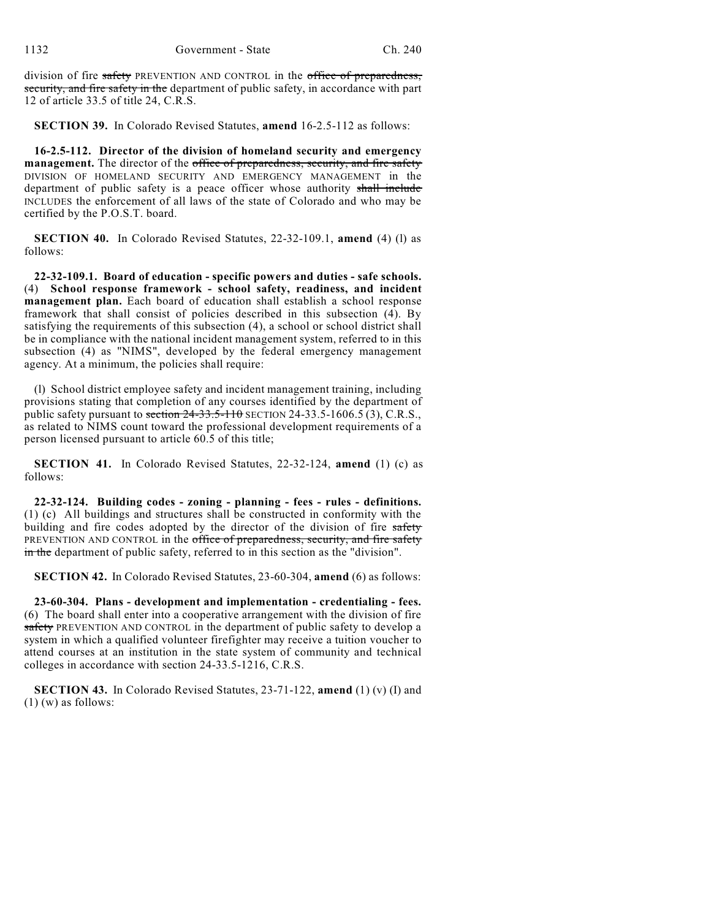division of fire safety PREVENTION AND CONTROL in the office of preparedness, security, and fire safety in the department of public safety, in accordance with part 12 of article 33.5 of title 24, C.R.S.

**SECTION 39.** In Colorado Revised Statutes, **amend** 16-2.5-112 as follows:

**16-2.5-112. Director of the division of homeland security and emergency management.** The director of the office of preparedness, security, and fire safety DIVISION OF HOMELAND SECURITY AND EMERGENCY MANAGEMENT in the department of public safety is a peace officer whose authority shall include INCLUDES the enforcement of all laws of the state of Colorado and who may be certified by the P.O.S.T. board.

**SECTION 40.** In Colorado Revised Statutes, 22-32-109.1, **amend** (4) (l) as follows:

**22-32-109.1. Board of education - specific powers and duties - safe schools.** (4) **School response framework - school safety, readiness, and incident management plan.** Each board of education shall establish a school response framework that shall consist of policies described in this subsection (4). By satisfying the requirements of this subsection (4), a school or school district shall be in compliance with the national incident management system, referred to in this subsection (4) as "NIMS", developed by the federal emergency management agency. At a minimum, the policies shall require:

(l) School district employee safety and incident management training, including provisions stating that completion of any courses identified by the department of public safety pursuant to section  $24-33.5-110$  SECTION 24-33.5-1606.5 (3), C.R.S., as related to NIMS count toward the professional development requirements of a person licensed pursuant to article 60.5 of this title;

**SECTION 41.** In Colorado Revised Statutes, 22-32-124, **amend** (1) (c) as follows:

**22-32-124. Building codes - zoning - planning - fees - rules - definitions.** (1) (c) All buildings and structures shall be constructed in conformity with the building and fire codes adopted by the director of the division of fire safety PREVENTION AND CONTROL in the office of preparedness, security, and fire safety in the department of public safety, referred to in this section as the "division".

**SECTION 42.** In Colorado Revised Statutes, 23-60-304, **amend** (6) as follows:

**23-60-304. Plans - development and implementation - credentialing - fees.** (6) The board shall enter into a cooperative arrangement with the division of fire safety PREVENTION AND CONTROL in the department of public safety to develop a system in which a qualified volunteer firefighter may receive a tuition voucher to attend courses at an institution in the state system of community and technical colleges in accordance with section 24-33.5-1216, C.R.S.

**SECTION 43.** In Colorado Revised Statutes, 23-71-122, **amend** (1) (v) (I) and (1) (w) as follows: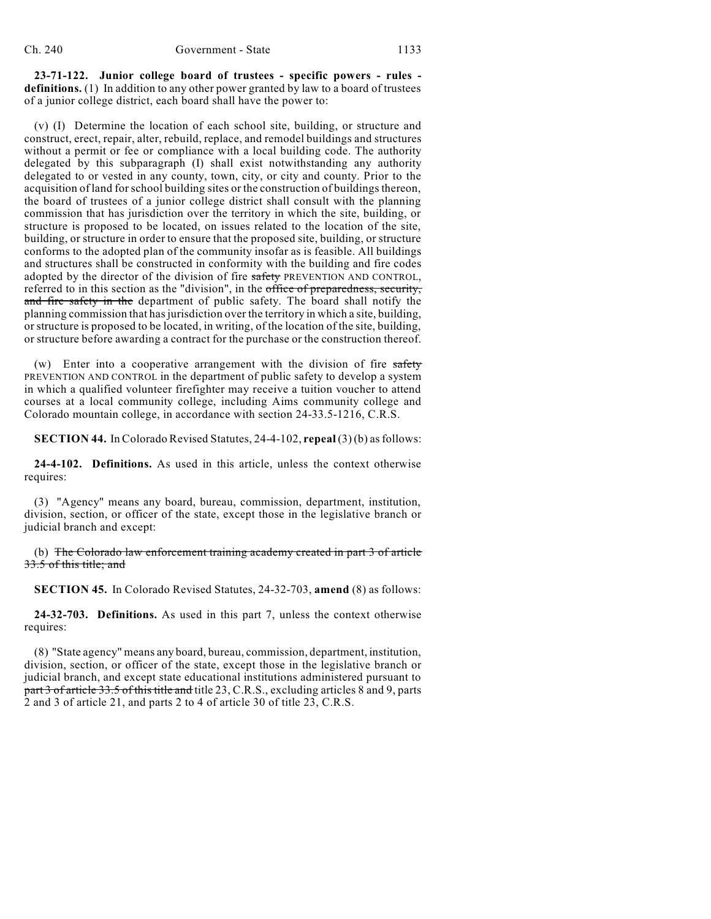**23-71-122. Junior college board of trustees - specific powers - rules definitions.** (1) In addition to any other power granted by law to a board of trustees of a junior college district, each board shall have the power to:

(v) (I) Determine the location of each school site, building, or structure and construct, erect, repair, alter, rebuild, replace, and remodel buildings and structures without a permit or fee or compliance with a local building code. The authority delegated by this subparagraph (I) shall exist notwithstanding any authority delegated to or vested in any county, town, city, or city and county. Prior to the acquisition of land for school building sites or the construction of buildings thereon, the board of trustees of a junior college district shall consult with the planning commission that has jurisdiction over the territory in which the site, building, or structure is proposed to be located, on issues related to the location of the site, building, or structure in order to ensure that the proposed site, building, or structure conforms to the adopted plan of the community insofar as is feasible. All buildings and structures shall be constructed in conformity with the building and fire codes adopted by the director of the division of fire safety PREVENTION AND CONTROL, referred to in this section as the "division", in the office of preparedness, security, and fire safety in the department of public safety. The board shall notify the planning commission that hasjurisdiction over the territory in which a site, building, or structure is proposed to be located, in writing, of the location of the site, building, or structure before awarding a contract for the purchase or the construction thereof.

(w) Enter into a cooperative arrangement with the division of fire  $s$ PREVENTION AND CONTROL in the department of public safety to develop a system in which a qualified volunteer firefighter may receive a tuition voucher to attend courses at a local community college, including Aims community college and Colorado mountain college, in accordance with section 24-33.5-1216, C.R.S.

**SECTION 44.** In Colorado Revised Statutes, 24-4-102, **repeal** (3) (b) asfollows:

**24-4-102. Definitions.** As used in this article, unless the context otherwise requires:

(3) "Agency" means any board, bureau, commission, department, institution, division, section, or officer of the state, except those in the legislative branch or judicial branch and except:

(b) The Colorado law enforcement training academy created in part 3 of article 33.5 of this title; and

**SECTION 45.** In Colorado Revised Statutes, 24-32-703, **amend** (8) as follows:

**24-32-703. Definitions.** As used in this part 7, unless the context otherwise requires:

(8) "State agency" means any board, bureau, commission, department, institution, division, section, or officer of the state, except those in the legislative branch or judicial branch, and except state educational institutions administered pursuant to part 3 of article 33.5 of this title and title 23, C.R.S., excluding articles 8 and 9, parts 2 and 3 of article 21, and parts 2 to 4 of article 30 of title 23, C.R.S.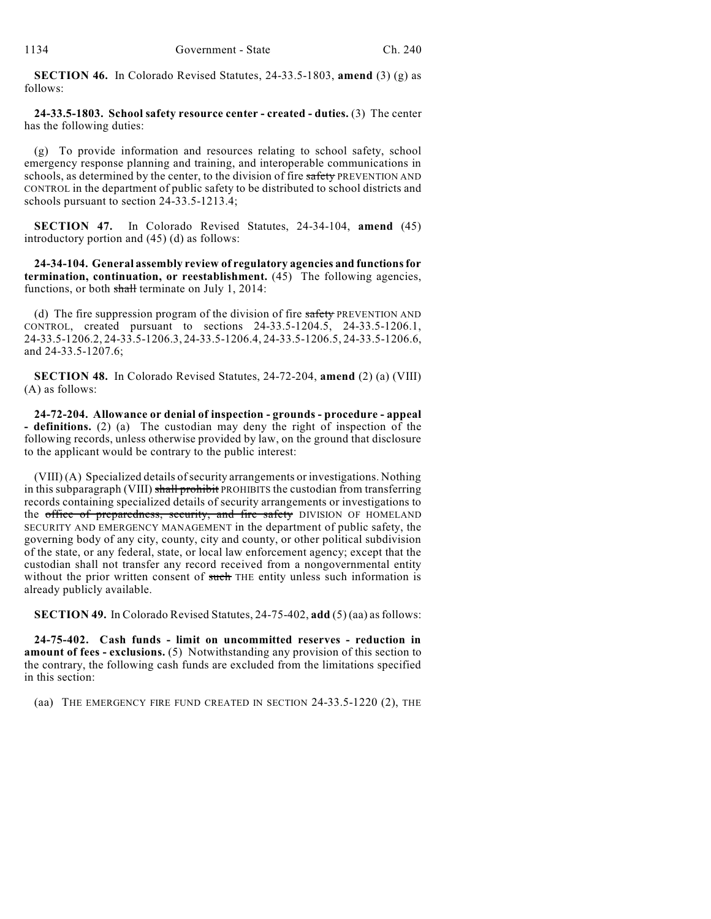**SECTION 46.** In Colorado Revised Statutes, 24-33.5-1803, **amend** (3) (g) as follows:

**24-33.5-1803. School safety resource center - created - duties.** (3) The center has the following duties:

(g) To provide information and resources relating to school safety, school emergency response planning and training, and interoperable communications in schools, as determined by the center, to the division of fire safety PREVENTION AND CONTROL in the department of public safety to be distributed to school districts and schools pursuant to section 24-33.5-1213.4;

**SECTION 47.** In Colorado Revised Statutes, 24-34-104, **amend** (45) introductory portion and (45) (d) as follows:

**24-34-104. General assembly review of regulatory agencies and functionsfor termination, continuation, or reestablishment.** (45) The following agencies, functions, or both shall terminate on July 1, 2014:

(d) The fire suppression program of the division of fire safety PREVENTION AND CONTROL, created pursuant to sections 24-33.5-1204.5, 24-33.5-1206.1, 24-33.5-1206.2, 24-33.5-1206.3, 24-33.5-1206.4, 24-33.5-1206.5, 24-33.5-1206.6, and 24-33.5-1207.6;

**SECTION 48.** In Colorado Revised Statutes, 24-72-204, **amend** (2) (a) (VIII) (A) as follows:

**24-72-204. Allowance or denial of inspection - grounds - procedure - appeal - definitions.** (2) (a) The custodian may deny the right of inspection of the following records, unless otherwise provided by law, on the ground that disclosure to the applicant would be contrary to the public interest:

(VIII) (A) Specialized details ofsecurity arrangements or investigations. Nothing in this subparagraph (VIII) shall prohibit PROHIBITS the custodian from transferring records containing specialized details of security arrangements or investigations to the office of preparedness, security, and fire safety DIVISION OF HOMELAND SECURITY AND EMERGENCY MANAGEMENT in the department of public safety, the governing body of any city, county, city and county, or other political subdivision of the state, or any federal, state, or local law enforcement agency; except that the custodian shall not transfer any record received from a nongovernmental entity without the prior written consent of such THE entity unless such information is already publicly available.

**SECTION 49.** In Colorado Revised Statutes, 24-75-402, **add** (5) (aa) asfollows:

**24-75-402. Cash funds - limit on uncommitted reserves - reduction in amount of fees - exclusions.** (5) Notwithstanding any provision of this section to the contrary, the following cash funds are excluded from the limitations specified in this section:

(aa) THE EMERGENCY FIRE FUND CREATED IN SECTION 24-33.5-1220 (2), THE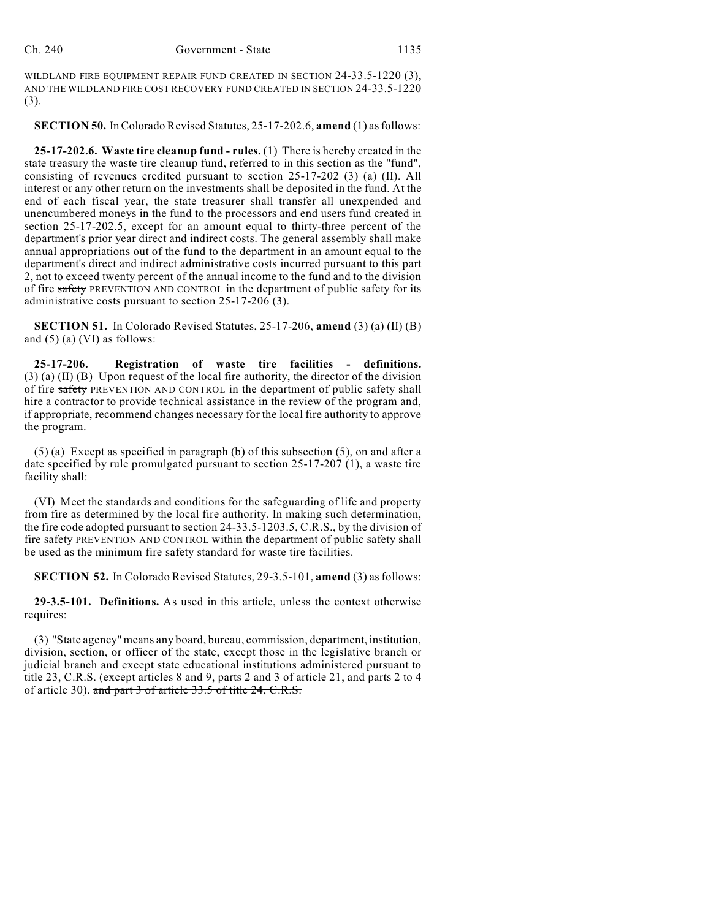WILDLAND FIRE EQUIPMENT REPAIR FUND CREATED IN SECTION 24-33.5-1220 (3), AND THE WILDLAND FIRE COST RECOVERY FUND CREATED IN SECTION 24-33.5-1220 (3).

**SECTION 50.** InColorado Revised Statutes, 25-17-202.6, **amend** (1) asfollows:

**25-17-202.6. Waste tire cleanup fund - rules.** (1) There is hereby created in the state treasury the waste tire cleanup fund, referred to in this section as the "fund", consisting of revenues credited pursuant to section 25-17-202 (3) (a) (II). All interest or any other return on the investments shall be deposited in the fund. At the end of each fiscal year, the state treasurer shall transfer all unexpended and unencumbered moneys in the fund to the processors and end users fund created in section 25-17-202.5, except for an amount equal to thirty-three percent of the department's prior year direct and indirect costs. The general assembly shall make annual appropriations out of the fund to the department in an amount equal to the department's direct and indirect administrative costs incurred pursuant to this part 2, not to exceed twenty percent of the annual income to the fund and to the division of fire safety PREVENTION AND CONTROL in the department of public safety for its administrative costs pursuant to section 25-17-206 (3).

**SECTION 51.** In Colorado Revised Statutes, 25-17-206, **amend** (3) (a) (II) (B) and (5) (a) (VI) as follows:

**25-17-206. Registration of waste tire facilities - definitions.** (3) (a) (II) (B) Upon request of the local fire authority, the director of the division of fire safety PREVENTION AND CONTROL in the department of public safety shall hire a contractor to provide technical assistance in the review of the program and, if appropriate, recommend changes necessary for the local fire authority to approve the program.

(5) (a) Except as specified in paragraph (b) of this subsection (5), on and after a date specified by rule promulgated pursuant to section 25-17-207 (1), a waste tire facility shall:

(VI) Meet the standards and conditions for the safeguarding of life and property from fire as determined by the local fire authority. In making such determination, the fire code adopted pursuant to section 24-33.5-1203.5, C.R.S., by the division of fire safety PREVENTION AND CONTROL within the department of public safety shall be used as the minimum fire safety standard for waste tire facilities.

**SECTION 52.** In Colorado Revised Statutes, 29-3.5-101, **amend** (3) as follows:

**29-3.5-101. Definitions.** As used in this article, unless the context otherwise requires:

(3) "State agency" means any board, bureau, commission, department, institution, division, section, or officer of the state, except those in the legislative branch or judicial branch and except state educational institutions administered pursuant to title 23, C.R.S. (except articles 8 and 9, parts 2 and 3 of article 21, and parts 2 to 4 of article 30). and part 3 of article 33.5 of title 24, C.R.S.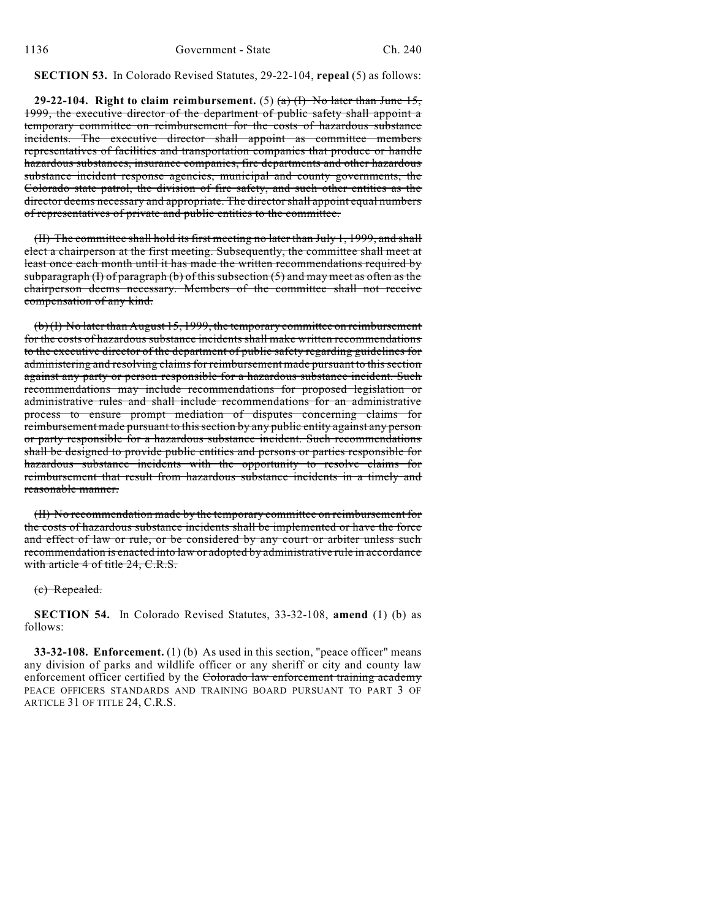# **SECTION 53.** In Colorado Revised Statutes, 29-22-104, **repeal** (5) as follows:

**29-22-104.** Right to claim reimbursement. (5)  $\left(\frac{a}{b}\right)$  No later than June 15, 1999, the executive director of the department of public safety shall appoint a temporary committee on reimbursement for the costs of hazardous substance incidents. The executive director shall appoint as committee members representatives of facilities and transportation companies that produce or handle hazardous substances, insurance companies, fire departments and other hazardous substance incident response agencies, municipal and county governments, the Colorado state patrol, the division of fire safety, and such other entities as the director deems necessary and appropriate. The director shall appoint equal numbers of representatives of private and public entities to the committee.

(II) The committee shall hold its first meeting no later than July 1, 1999, and shall elect a chairperson at the first meeting. Subsequently, the committee shall meet at least once each month until it has made the written recommendations required by subparagraph (I) of paragraph (b) of this subsection  $(5)$  and may meet as often as the chairperson deems necessary. Members of the committee shall not receive compensation of any kind.

(b) (I) No later than August 15, 1999, the temporary committee on reimbursement for the costs of hazardous substance incidents shall make written recommendations to the executive director of the department of public safety regarding guidelines for administering and resolving claims for reimbursement made pursuant to this section against any party or person responsible for a hazardous substance incident. Such recommendations may include recommendations for proposed legislation or administrative rules and shall include recommendations for an administrative process to ensure prompt mediation of disputes concerning claims for reimbursement made pursuant to this section by any public entity against any person or party responsible for a hazardous substance incident. Such recommendations shall be designed to provide public entities and persons or parties responsible for hazardous substance incidents with the opportunity to resolve claims for reimbursement that result from hazardous substance incidents in a timely and reasonable manner.

(II) No recommendation made by the temporary committee on reimbursement for the costs of hazardous substance incidents shall be implemented or have the force and effect of law or rule, or be considered by any court or arbiter unless such recommendation is enacted into law or adopted by administrative rule in accordance with article 4 of title 24, C.R.S.

#### (c) Repealed.

**SECTION 54.** In Colorado Revised Statutes, 33-32-108, **amend** (1) (b) as follows:

**33-32-108. Enforcement.** (1) (b) As used in this section, "peace officer" means any division of parks and wildlife officer or any sheriff or city and county law enforcement officer certified by the Colorado law enforcement training academy PEACE OFFICERS STANDARDS AND TRAINING BOARD PURSUANT TO PART 3 OF ARTICLE 31 OF TITLE 24, C.R.S.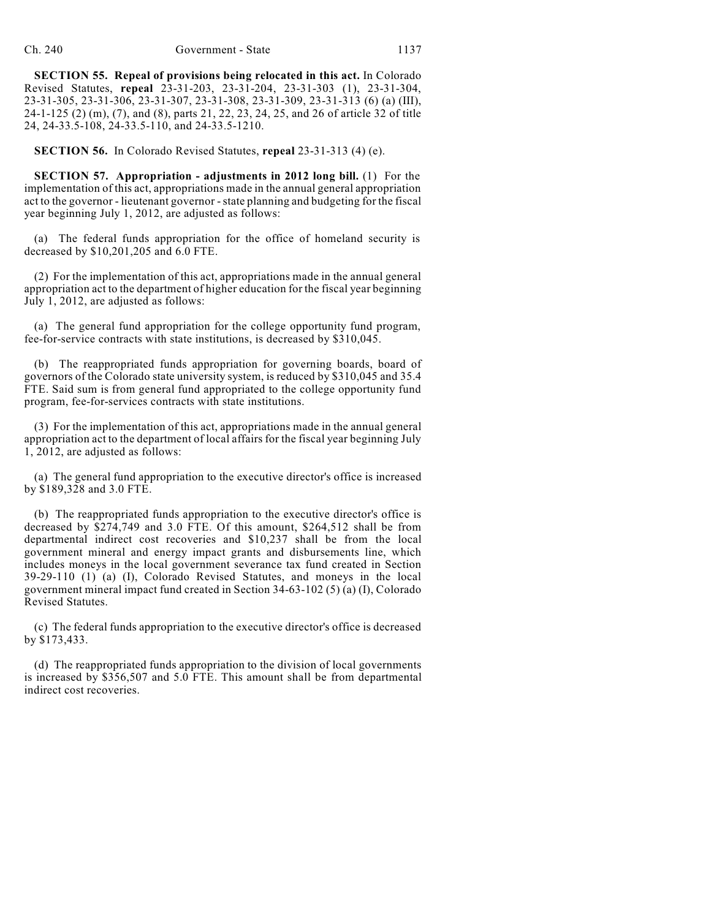**SECTION 55. Repeal of provisions being relocated in this act.** In Colorado Revised Statutes, **repeal** 23-31-203, 23-31-204, 23-31-303 (1), 23-31-304, 23-31-305, 23-31-306, 23-31-307, 23-31-308, 23-31-309, 23-31-313 (6) (a) (III), 24-1-125 (2) (m), (7), and (8), parts 21, 22, 23, 24, 25, and 26 of article 32 of title 24, 24-33.5-108, 24-33.5-110, and 24-33.5-1210.

**SECTION 56.** In Colorado Revised Statutes, **repeal** 23-31-313 (4) (e).

**SECTION 57. Appropriation - adjustments in 2012 long bill.** (1) For the implementation of this act, appropriations made in the annual general appropriation act to the governor - lieutenant governor - state planning and budgeting for the fiscal year beginning July 1, 2012, are adjusted as follows:

(a) The federal funds appropriation for the office of homeland security is decreased by \$10,201,205 and 6.0 FTE.

(2) For the implementation of this act, appropriations made in the annual general appropriation act to the department of higher education for the fiscal year beginning July 1, 2012, are adjusted as follows:

(a) The general fund appropriation for the college opportunity fund program, fee-for-service contracts with state institutions, is decreased by \$310,045.

(b) The reappropriated funds appropriation for governing boards, board of governors of the Colorado state university system, is reduced by \$310,045 and 35.4 FTE. Said sum is from general fund appropriated to the college opportunity fund program, fee-for-services contracts with state institutions.

(3) For the implementation of this act, appropriations made in the annual general appropriation act to the department of local affairs for the fiscal year beginning July 1, 2012, are adjusted as follows:

(a) The general fund appropriation to the executive director's office is increased by \$189,328 and 3.0 FTE.

(b) The reappropriated funds appropriation to the executive director's office is decreased by \$274,749 and 3.0 FTE. Of this amount, \$264,512 shall be from departmental indirect cost recoveries and \$10,237 shall be from the local government mineral and energy impact grants and disbursements line, which includes moneys in the local government severance tax fund created in Section 39-29-110 (1) (a) (I), Colorado Revised Statutes, and moneys in the local government mineral impact fund created in Section 34-63-102 (5) (a) (I), Colorado Revised Statutes.

(c) The federal funds appropriation to the executive director's office is decreased by \$173,433.

(d) The reappropriated funds appropriation to the division of local governments is increased by \$356,507 and 5.0 FTE. This amount shall be from departmental indirect cost recoveries.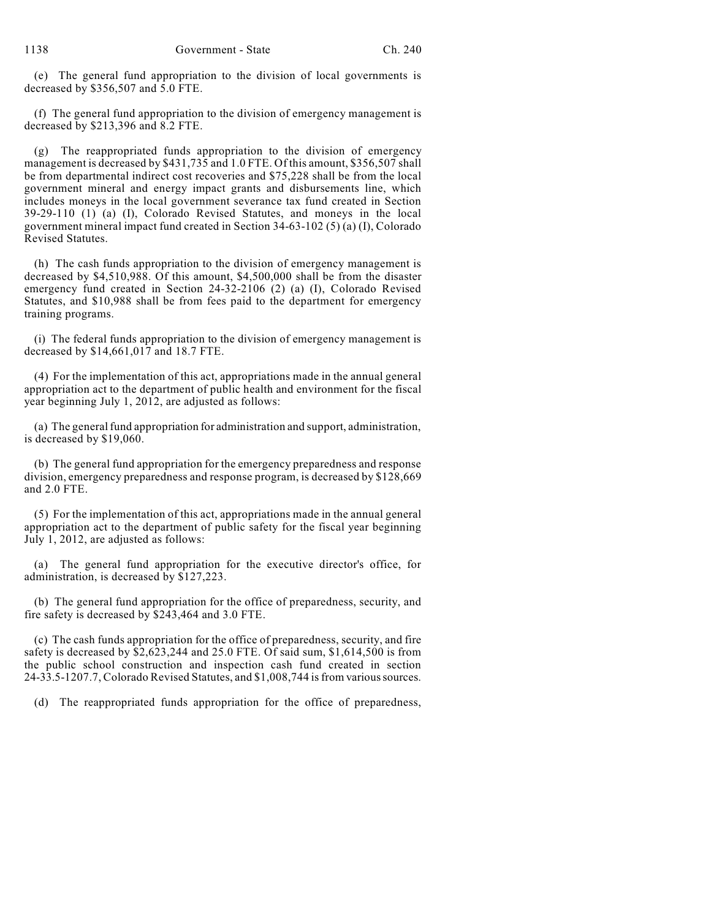(e) The general fund appropriation to the division of local governments is decreased by \$356,507 and 5.0 FTE.

(f) The general fund appropriation to the division of emergency management is decreased by \$213,396 and 8.2 FTE.

(g) The reappropriated funds appropriation to the division of emergency management is decreased by \$431,735 and 1.0 FTE. Of this amount, \$356,507 shall be from departmental indirect cost recoveries and \$75,228 shall be from the local government mineral and energy impact grants and disbursements line, which includes moneys in the local government severance tax fund created in Section 39-29-110 (1) (a) (I), Colorado Revised Statutes, and moneys in the local government mineral impact fund created in Section 34-63-102 (5) (a) (I), Colorado Revised Statutes.

(h) The cash funds appropriation to the division of emergency management is decreased by \$4,510,988. Of this amount, \$4,500,000 shall be from the disaster emergency fund created in Section 24-32-2106 (2) (a) (I), Colorado Revised Statutes, and \$10,988 shall be from fees paid to the department for emergency training programs.

(i) The federal funds appropriation to the division of emergency management is decreased by \$14,661,017 and 18.7 FTE.

(4) For the implementation of this act, appropriations made in the annual general appropriation act to the department of public health and environment for the fiscal year beginning July 1, 2012, are adjusted as follows:

(a) The general fund appropriation for administration and support, administration, is decreased by \$19,060.

(b) The general fund appropriation for the emergency preparedness and response division, emergency preparedness and response program, is decreased by \$128,669 and 2.0 FTE.

(5) For the implementation of this act, appropriations made in the annual general appropriation act to the department of public safety for the fiscal year beginning July 1, 2012, are adjusted as follows:

(a) The general fund appropriation for the executive director's office, for administration, is decreased by \$127,223.

(b) The general fund appropriation for the office of preparedness, security, and fire safety is decreased by \$243,464 and 3.0 FTE.

(c) The cash funds appropriation for the office of preparedness, security, and fire safety is decreased by \$2,623,244 and 25.0 FTE. Of said sum, \$1,614,500 is from the public school construction and inspection cash fund created in section 24-33.5-1207.7,Colorado Revised Statutes, and \$1,008,744 isfrom various sources.

(d) The reappropriated funds appropriation for the office of preparedness,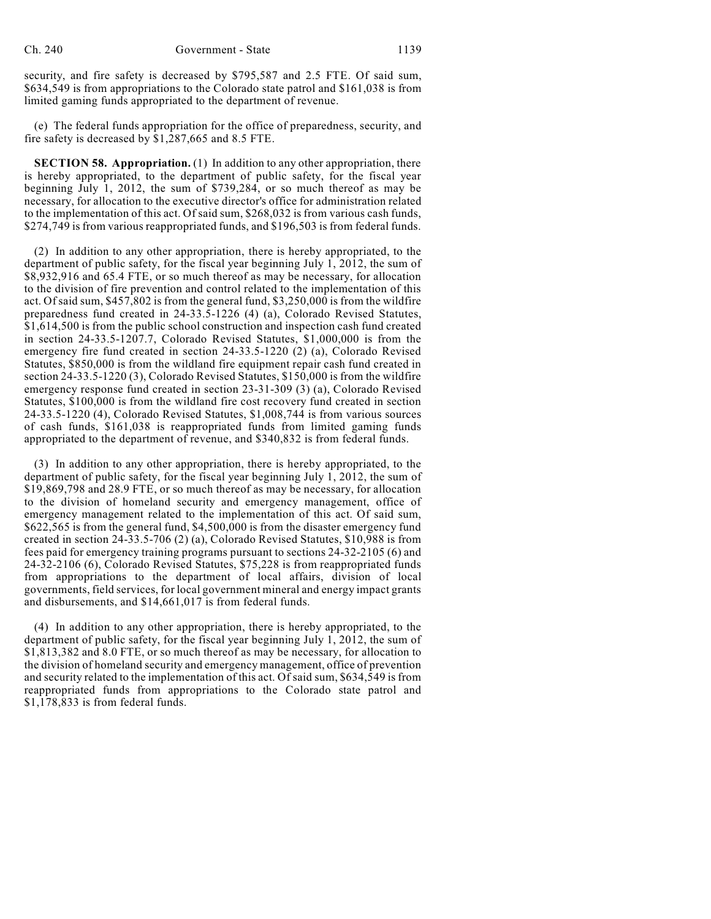security, and fire safety is decreased by \$795,587 and 2.5 FTE. Of said sum, \$634,549 is from appropriations to the Colorado state patrol and \$161,038 is from limited gaming funds appropriated to the department of revenue.

(e) The federal funds appropriation for the office of preparedness, security, and fire safety is decreased by \$1,287,665 and 8.5 FTE.

**SECTION 58. Appropriation.** (1) In addition to any other appropriation, there is hereby appropriated, to the department of public safety, for the fiscal year beginning July 1, 2012, the sum of \$739,284, or so much thereof as may be necessary, for allocation to the executive director's office for administration related to the implementation of this act. Of said sum, \$268,032 is from various cash funds, \$274,749 is from various reappropriated funds, and \$196,503 is from federal funds.

(2) In addition to any other appropriation, there is hereby appropriated, to the department of public safety, for the fiscal year beginning July 1, 2012, the sum of \$8,932,916 and 65.4 FTE, or so much thereof as may be necessary, for allocation to the division of fire prevention and control related to the implementation of this act. Ofsaid sum, \$457,802 is from the general fund, \$3,250,000 is from the wildfire preparedness fund created in 24-33.5-1226 (4) (a), Colorado Revised Statutes, \$1,614,500 is from the public school construction and inspection cash fund created in section 24-33.5-1207.7, Colorado Revised Statutes, \$1,000,000 is from the emergency fire fund created in section 24-33.5-1220 (2) (a), Colorado Revised Statutes, \$850,000 is from the wildland fire equipment repair cash fund created in section 24-33.5-1220 (3), Colorado Revised Statutes, \$150,000 is from the wildfire emergency response fund created in section 23-31-309 (3) (a), Colorado Revised Statutes, \$100,000 is from the wildland fire cost recovery fund created in section 24-33.5-1220 (4), Colorado Revised Statutes, \$1,008,744 is from various sources of cash funds, \$161,038 is reappropriated funds from limited gaming funds appropriated to the department of revenue, and \$340,832 is from federal funds.

(3) In addition to any other appropriation, there is hereby appropriated, to the department of public safety, for the fiscal year beginning July 1, 2012, the sum of \$19,869,798 and 28.9 FTE, or so much thereof as may be necessary, for allocation to the division of homeland security and emergency management, office of emergency management related to the implementation of this act. Of said sum, \$622,565 is from the general fund, \$4,500,000 is from the disaster emergency fund created in section 24-33.5-706 (2) (a), Colorado Revised Statutes, \$10,988 is from fees paid for emergency training programs pursuant to sections 24-32-2105 (6) and 24-32-2106 (6), Colorado Revised Statutes, \$75,228 is from reappropriated funds from appropriations to the department of local affairs, division of local governments, field services, for local government mineral and energy impact grants and disbursements, and \$14,661,017 is from federal funds.

(4) In addition to any other appropriation, there is hereby appropriated, to the department of public safety, for the fiscal year beginning July 1, 2012, the sum of \$1,813,382 and 8.0 FTE, or so much thereof as may be necessary, for allocation to the division of homeland security and emergency management, office of prevention and security related to the implementation of this act. Of said sum, \$634,549 is from reappropriated funds from appropriations to the Colorado state patrol and \$1,178,833 is from federal funds.